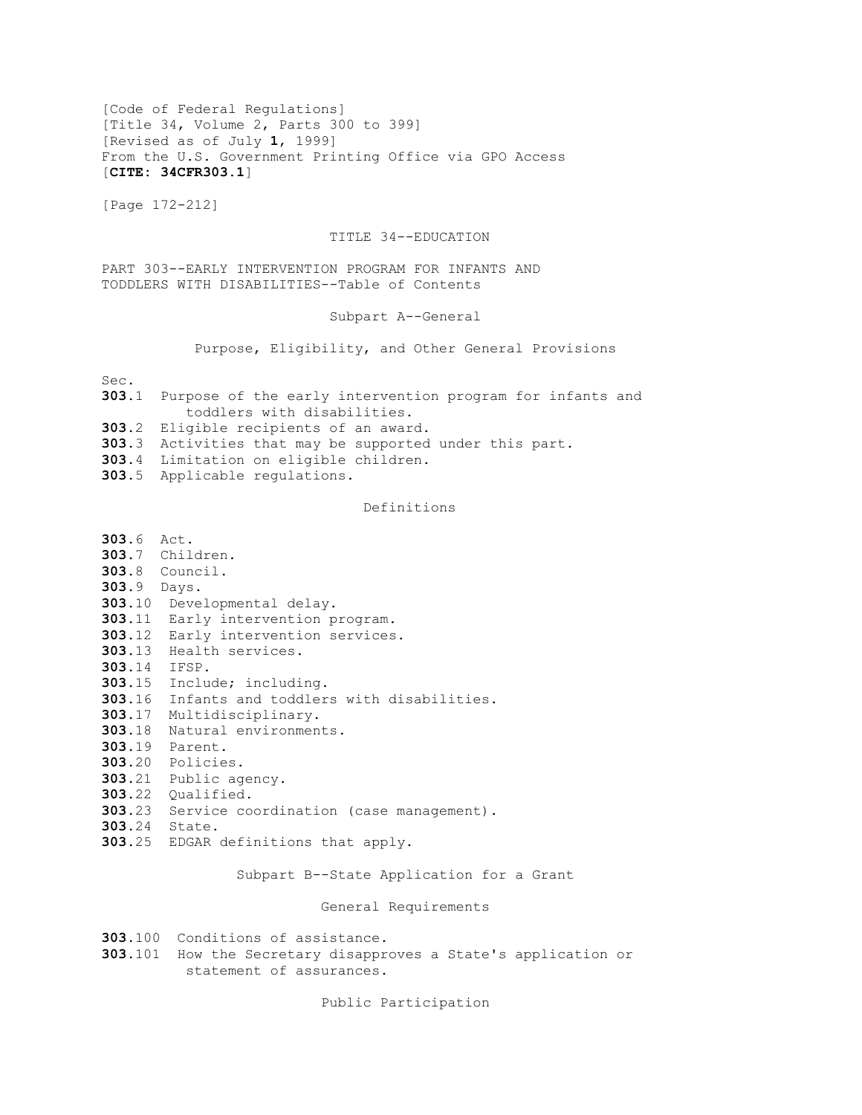[Code of Federal Regulations] [Title 34, Volume 2, Parts 300 to 399] [Revised as of July **1**, 1999] From the U.S. Government Printing Office via GPO Access [**CITE: 34CFR303.1**]

[Page 172-212]

# TITLE 34--EDUCATION

PART 303--EARLY INTERVENTION PROGRAM FOR INFANTS AND TODDLERS WITH DISABILITIES--Table of Contents

Subpart A--General

Purpose, Eligibility, and Other General Provisions

Sec.

| 303.1 Purpose of the early intervention program for infants and |
|-----------------------------------------------------------------|
| toddlers with disabilities.                                     |
| <b>303.</b> 2 Eligible recipients of an award.                  |
| <b>303.</b> 3 Activities that may be supported under this part. |
| 303.4 Limitation on eligible children.                          |
| <b>303.</b> 5 Applicable requiations.                           |

## Definitions

| 303.6 Act.   |                                                        |
|--------------|--------------------------------------------------------|
|              | 303.7 Children.                                        |
|              | <b>303.</b> 8 Council.                                 |
| 303.9 Days.  |                                                        |
|              | 303.10 Developmental delay.                            |
|              | 303.11 Early intervention program.                     |
|              | 303.12 Early intervention services.                    |
|              | 303.13 Health services.                                |
| 303.14 IFSP. |                                                        |
|              | 303.15 Include; including.                             |
|              | 303.16 Infants and toddlers with disabilities.         |
|              | 303.17 Multidisciplinary.                              |
|              | 303.18 Natural environments.                           |
|              | <b>303.19</b> Parent.                                  |
|              | 303.20 Policies.                                       |
|              | 303.21 Public agency.                                  |
|              | <b>303.</b> 22 Qualified.                              |
|              | <b>303.</b> 23 Service coordination (case management). |
|              | 303.24 State.                                          |
|              | 303.25 EDGAR definitions that apply.                   |
|              |                                                        |

Subpart B--State Application for a Grant

## General Requirements

**303**.100 Conditions of assistance. **303**.101 How the Secretary disapproves a State's application or statement of assurances.

Public Participation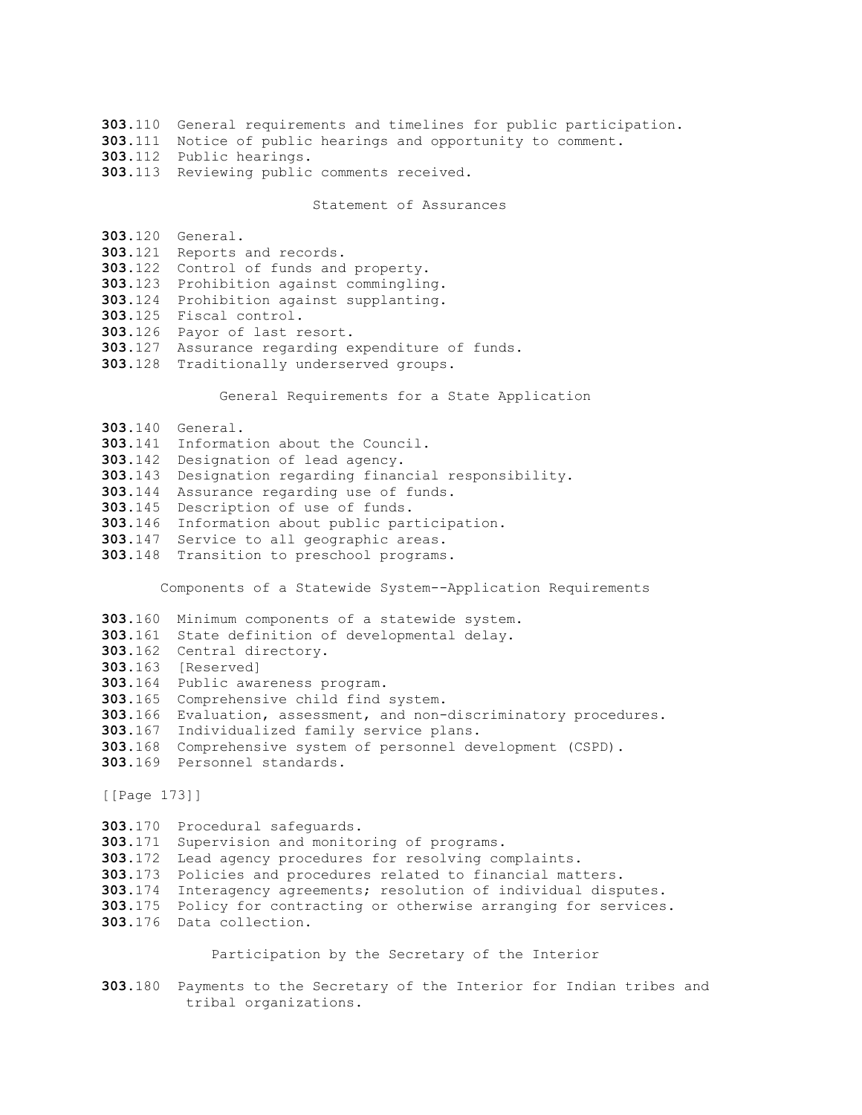.110 General requirements and timelines for public participation. .111 Notice of public hearings and opportunity to comment. .112 Public hearings. .113 Reviewing public comments received. Statement of Assurances .120 General. .121 Reports and records. .122 Control of funds and property. .123 Prohibition against commingling. .124 Prohibition against supplanting. .125 Fiscal control. .126 Payor of last resort. .127 Assurance regarding expenditure of funds. .128 Traditionally underserved groups. General Requirements for a State Application .140 General. .141 Information about the Council. .142 Designation of lead agency. .143 Designation regarding financial responsibility. .144 Assurance regarding use of funds. .145 Description of use of funds. .146 Information about public participation. .147 Service to all geographic areas. .148 Transition to preschool programs. Components of a Statewide System--Application Requirements .160 Minimum components of a statewide system. .161 State definition of developmental delay. .162 Central directory. .163 [Reserved] .164 Public awareness program. .165 Comprehensive child find system. .166 Evaluation, assessment, and non-discriminatory procedures. .167 Individualized family service plans. .168 Comprehensive system of personnel development (CSPD). .169 Personnel standards. [[Page 173]] .170 Procedural safeguards. .171 Supervision and monitoring of programs. .172 Lead agency procedures for resolving complaints. .173 Policies and procedures related to financial matters. .174 Interagency agreements; resolution of individual disputes. .175 Policy for contracting or otherwise arranging for services. .176 Data collection. Participation by the Secretary of the Interior .180 Payments to the Secretary of the Interior for Indian tribes and

tribal organizations.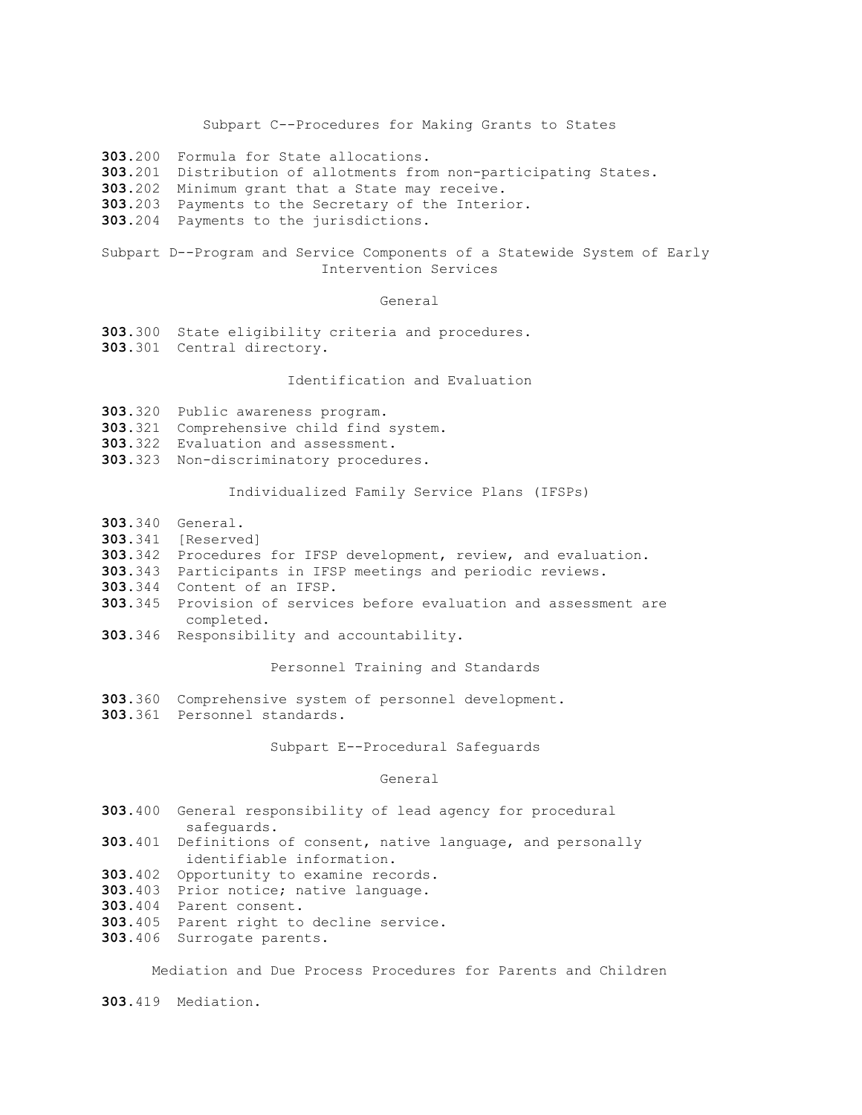Subpart C--Procedures for Making Grants to States

.200 Formula for State allocations.

.201 Distribution of allotments from non-participating States.

.202 Minimum grant that a State may receive.

.203 Payments to the Secretary of the Interior.

.204 Payments to the jurisdictions.

Subpart D--Program and Service Components of a Statewide System of Early Intervention Services

General

.300 State eligibility criteria and procedures. .301 Central directory.

Identification and Evaluation

- .320 Public awareness program.
- .321 Comprehensive child find system.
- .322 Evaluation and assessment.
- .323 Non-discriminatory procedures.

Individualized Family Service Plans (IFSPs)

- .340 General.
- .341 [Reserved]
- .342 Procedures for IFSP development, review, and evaluation.
- .343 Participants in IFSP meetings and periodic reviews.
- .344 Content of an IFSP.
- .345 Provision of services before evaluation and assessment are completed.
- .346 Responsibility and accountability.

# Personnel Training and Standards

- .360 Comprehensive system of personnel development.
- .361 Personnel standards.

Subpart E--Procedural Safeguards

#### General

- .400 General responsibility of lead agency for procedural safeguards.
- .401 Definitions of consent, native language, and personally identifiable information.
- 
- .402 Opportunity to examine records.
- .403 Prior notice; native language.
- .404 Parent consent.
- .405 Parent right to decline service.
- .406 Surrogate parents.

Mediation and Due Process Procedures for Parents and Children

.419 Mediation.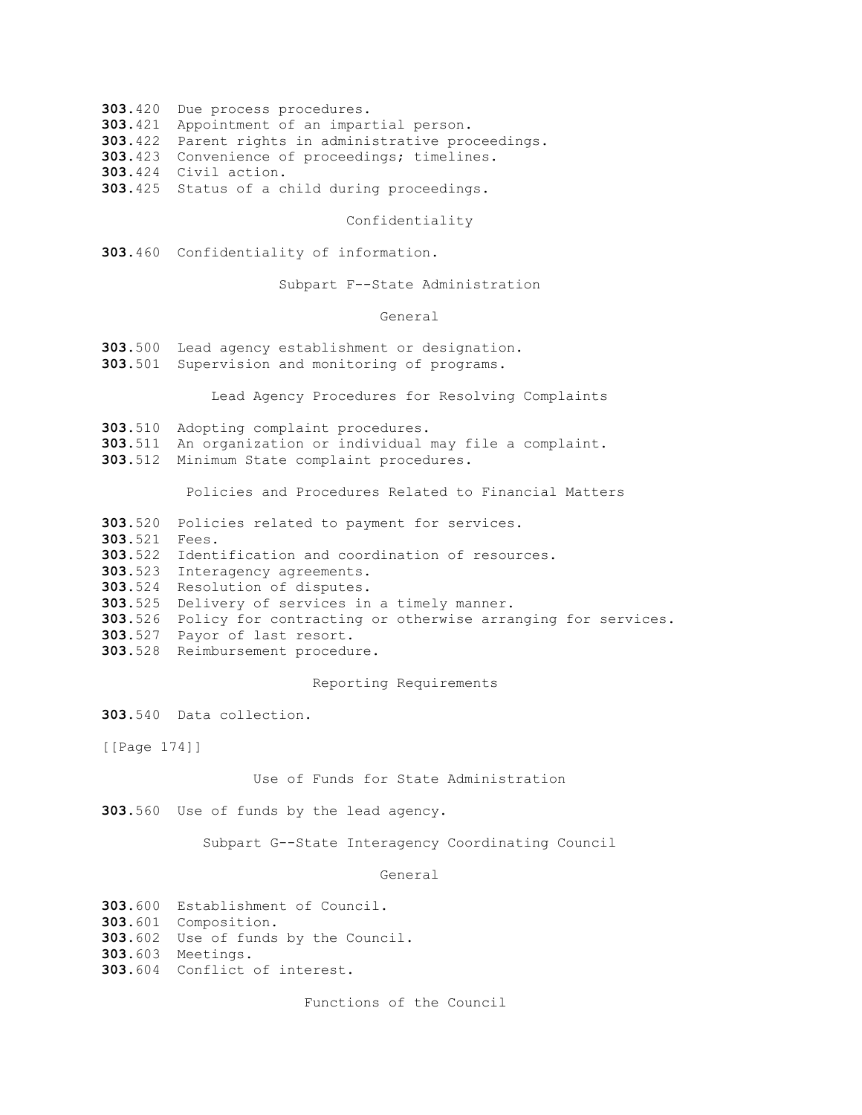- .420 Due process procedures.
- .421 Appointment of an impartial person.
- .422 Parent rights in administrative proceedings.
- .423 Convenience of proceedings; timelines.
- .424 Civil action.
- .425 Status of a child during proceedings.

### Confidentiality

.460 Confidentiality of information.

Subpart F--State Administration

#### General

.500 Lead agency establishment or designation. .501 Supervision and monitoring of programs.

Lead Agency Procedures for Resolving Complaints

- .510 Adopting complaint procedures.
- .511 An organization or individual may file a complaint.
- .512 Minimum State complaint procedures.

Policies and Procedures Related to Financial Matters

.520 Policies related to payment for services.

.521 Fees.

.522 Identification and coordination of resources.

- .523 Interagency agreements.
- .524 Resolution of disputes.
- .525 Delivery of services in a timely manner.
- .526 Policy for contracting or otherwise arranging for services.
- .527 Payor of last resort.
- .528 Reimbursement procedure.

## Reporting Requirements

.540 Data collection.

[[Page 174]]

Use of Funds for State Administration

.560 Use of funds by the lead agency.

Subpart G--State Interagency Coordinating Council

#### General

.600 Establishment of Council. .601 Composition. .602 Use of funds by the Council. .603 Meetings. .604 Conflict of interest.

Functions of the Council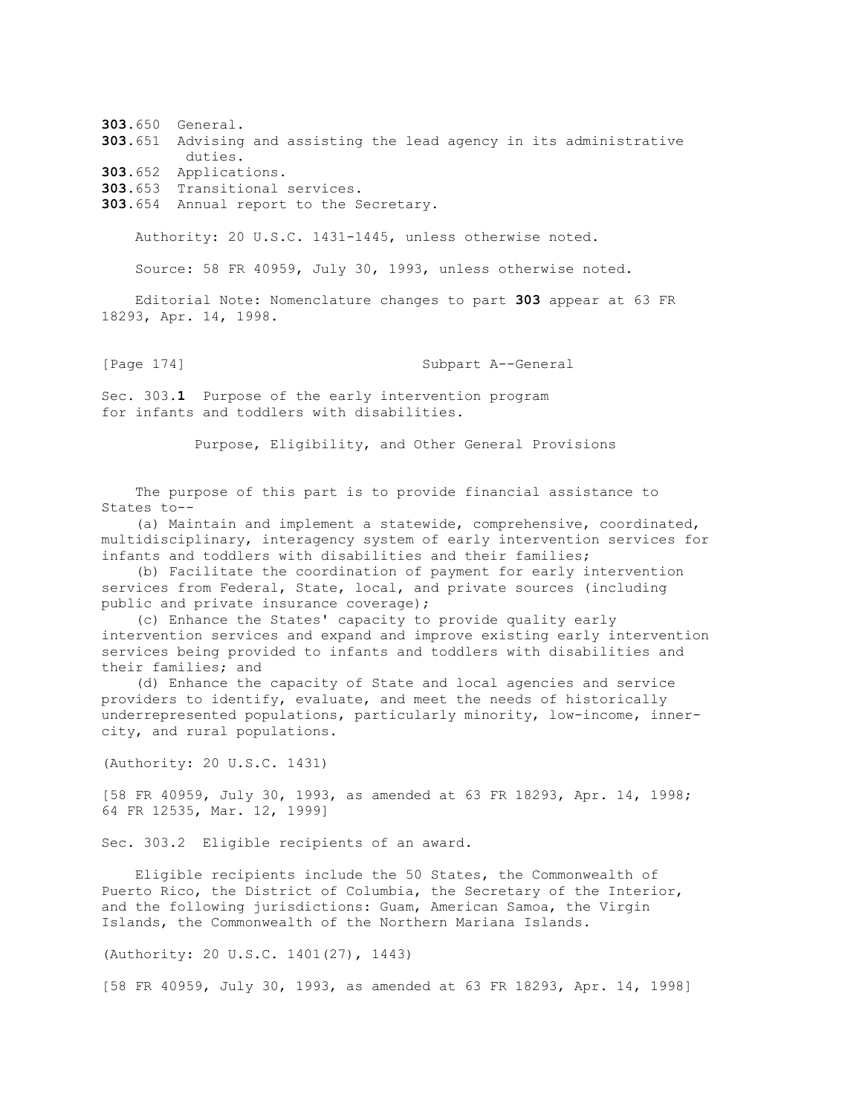**303**.650 General. **303**.651 Advising and assisting the lead agency in its administrative duties.

**303**.652 Applications.

**303**.653 Transitional services.

**303**.654 Annual report to the Secretary.

Authority: 20 U.S.C. 1431-1445, unless otherwise noted.

Source: 58 FR 40959, July 30, 1993, unless otherwise noted.

 Editorial Note: Nomenclature changes to part **303** appear at 63 FR 18293, Apr. 14, 1998.

[Page 174] Subpart A--General

Sec. 303.**1** Purpose of the early intervention program for infants and toddlers with disabilities.

Purpose, Eligibility, and Other General Provisions

 The purpose of this part is to provide financial assistance to States to--

 (a) Maintain and implement a statewide, comprehensive, coordinated, multidisciplinary, interagency system of early intervention services for infants and toddlers with disabilities and their families;

 (b) Facilitate the coordination of payment for early intervention services from Federal, State, local, and private sources (including public and private insurance coverage);

 (c) Enhance the States' capacity to provide quality early intervention services and expand and improve existing early intervention services being provided to infants and toddlers with disabilities and their families; and

 (d) Enhance the capacity of State and local agencies and service providers to identify, evaluate, and meet the needs of historically underrepresented populations, particularly minority, low-income, innercity, and rural populations.

(Authority: 20 U.S.C. 1431)

[58 FR 40959, July 30, 1993, as amended at 63 FR 18293, Apr. 14, 1998; 64 FR 12535, Mar. 12, 1999]

Sec. 303.2 Eligible recipients of an award.

 Eligible recipients include the 50 States, the Commonwealth of Puerto Rico, the District of Columbia, the Secretary of the Interior, and the following jurisdictions: Guam, American Samoa, the Virgin Islands, the Commonwealth of the Northern Mariana Islands.

(Authority: 20 U.S.C. 1401(27), 1443)

[58 FR 40959, July 30, 1993, as amended at 63 FR 18293, Apr. 14, 1998]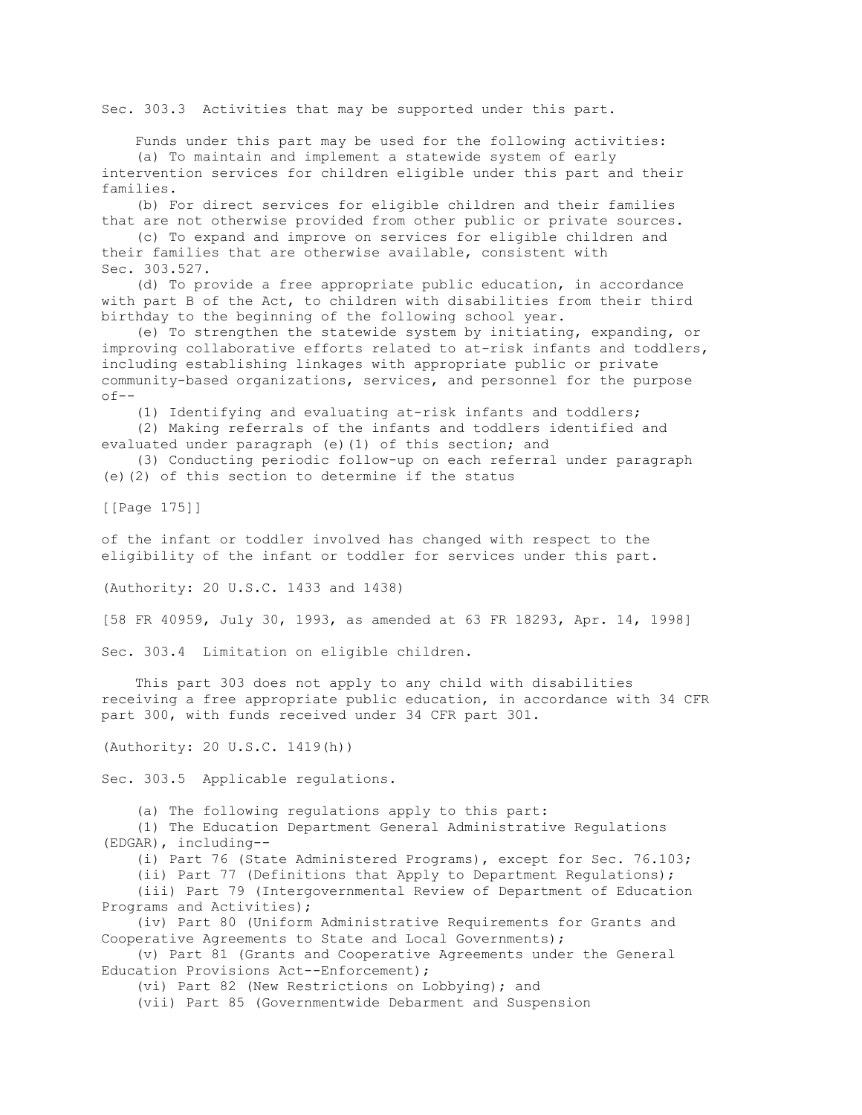Sec. 303.3 Activities that may be supported under this part.

 Funds under this part may be used for the following activities: (a) To maintain and implement a statewide system of early intervention services for children eligible under this part and their families.

 (b) For direct services for eligible children and their families that are not otherwise provided from other public or private sources.

 (c) To expand and improve on services for eligible children and their families that are otherwise available, consistent with Sec. 303.527.

 (d) To provide a free appropriate public education, in accordance with part B of the Act, to children with disabilities from their third birthday to the beginning of the following school year.

 (e) To strengthen the statewide system by initiating, expanding, or improving collaborative efforts related to at-risk infants and toddlers, including establishing linkages with appropriate public or private community-based organizations, services, and personnel for the purpose  $of--$ 

(1) Identifying and evaluating at-risk infants and toddlers;

 (2) Making referrals of the infants and toddlers identified and evaluated under paragraph (e)(1) of this section; and

 (3) Conducting periodic follow-up on each referral under paragraph (e)(2) of this section to determine if the status

[[Page 175]]

of the infant or toddler involved has changed with respect to the eligibility of the infant or toddler for services under this part.

(Authority: 20 U.S.C. 1433 and 1438)

[58 FR 40959, July 30, 1993, as amended at 63 FR 18293, Apr. 14, 1998]

Sec. 303.4 Limitation on eligible children.

 This part 303 does not apply to any child with disabilities receiving a free appropriate public education, in accordance with 34 CFR part 300, with funds received under 34 CFR part 301.

(Authority: 20 U.S.C. 1419(h))

Sec. 303.5 Applicable regulations.

(a) The following regulations apply to this part:

 (1) The Education Department General Administrative Regulations (EDGAR), including--

(i) Part 76 (State Administered Programs), except for Sec. 76.103;

(ii) Part 77 (Definitions that Apply to Department Regulations);

 (iii) Part 79 (Intergovernmental Review of Department of Education Programs and Activities);

 (iv) Part 80 (Uniform Administrative Requirements for Grants and Cooperative Agreements to State and Local Governments);

 (v) Part 81 (Grants and Cooperative Agreements under the General Education Provisions Act--Enforcement);

(vi) Part 82 (New Restrictions on Lobbying); and

(vii) Part 85 (Governmentwide Debarment and Suspension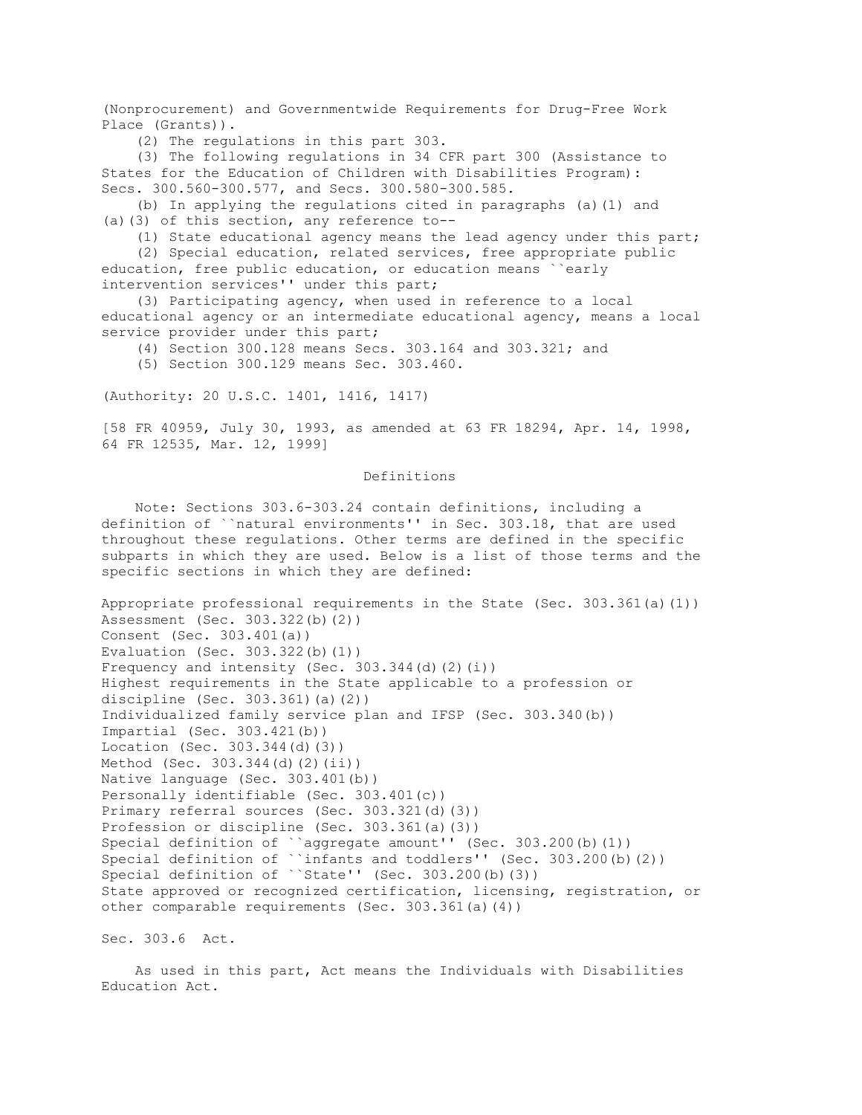(Nonprocurement) and Governmentwide Requirements for Drug-Free Work Place (Grants)).

(2) The regulations in this part 303.

 (3) The following regulations in 34 CFR part 300 (Assistance to States for the Education of Children with Disabilities Program): Secs. 300.560-300.577, and Secs. 300.580-300.585.

 (b) In applying the regulations cited in paragraphs (a)(1) and (a)(3) of this section, any reference to--

 (1) State educational agency means the lead agency under this part; (2) Special education, related services, free appropriate public education, free public education, or education means ``early

intervention services'' under this part;

 (3) Participating agency, when used in reference to a local educational agency or an intermediate educational agency, means a local service provider under this part;

(4) Section 300.128 means Secs. 303.164 and 303.321; and

(5) Section 300.129 means Sec. 303.460.

(Authority: 20 U.S.C. 1401, 1416, 1417)

[58 FR 40959, July 30, 1993, as amended at 63 FR 18294, Apr. 14, 1998, 64 FR 12535, Mar. 12, 1999]

## Definitions

 Note: Sections 303.6-303.24 contain definitions, including a definition of ``natural environments'' in Sec. 303.18, that are used throughout these regulations. Other terms are defined in the specific subparts in which they are used. Below is a list of those terms and the specific sections in which they are defined:

Appropriate professional requirements in the State (Sec. 303.361(a)(1)) Assessment (Sec. 303.322(b)(2)) Consent (Sec. 303.401(a)) Evaluation (Sec. 303.322(b)(1)) Frequency and intensity (Sec.  $303.344$ (d)(2)(i)) Highest requirements in the State applicable to a profession or discipline (Sec. 303.361)(a)(2)) Individualized family service plan and IFSP (Sec. 303.340(b)) Impartial (Sec. 303.421(b)) Location (Sec. 303.344(d)(3)) Method (Sec. 303.344(d)(2)(ii)) Native language (Sec. 303.401(b)) Personally identifiable (Sec. 303.401(c)) Primary referral sources (Sec. 303.321(d)(3)) Profession or discipline (Sec. 303.361(a)(3)) Special definition of ``aggregate amount'' (Sec. 303.200(b)(1)) Special definition of ``infants and toddlers'' (Sec. 303.200(b)(2)) Special definition of ``State'' (Sec. 303.200(b)(3)) State approved or recognized certification, licensing, registration, or other comparable requirements (Sec. 303.361(a)(4))

Sec. 303.6 Act.

 As used in this part, Act means the Individuals with Disabilities Education Act.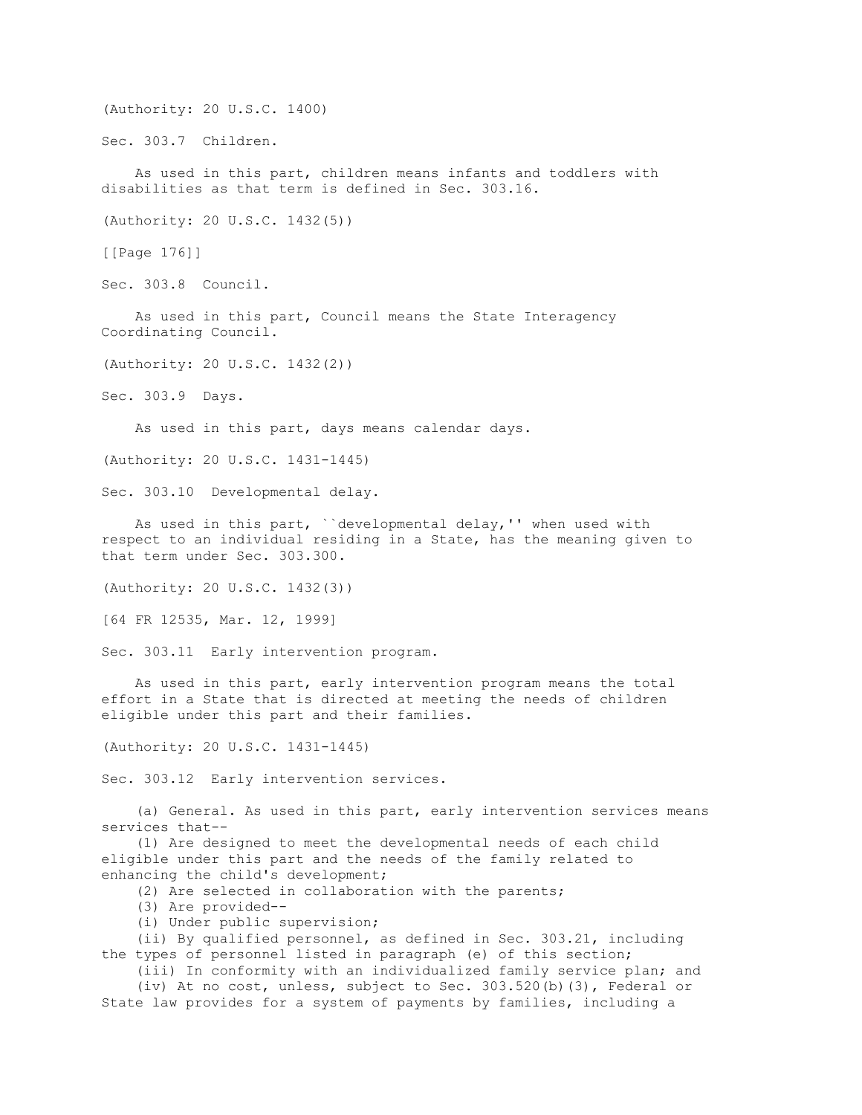(Authority: 20 U.S.C. 1400)

Sec. 303.7 Children.

 As used in this part, children means infants and toddlers with disabilities as that term is defined in Sec. 303.16.

(Authority: 20 U.S.C. 1432(5))

[[Page 176]]

Sec. 303.8 Council.

 As used in this part, Council means the State Interagency Coordinating Council.

(Authority: 20 U.S.C. 1432(2))

Sec. 303.9 Days.

As used in this part, days means calendar days.

(Authority: 20 U.S.C. 1431-1445)

Sec. 303.10 Developmental delay.

 As used in this part, ``developmental delay,'' when used with respect to an individual residing in a State, has the meaning given to that term under Sec. 303.300.

(Authority: 20 U.S.C. 1432(3))

[64 FR 12535, Mar. 12, 1999]

Sec. 303.11 Early intervention program.

 As used in this part, early intervention program means the total effort in a State that is directed at meeting the needs of children eligible under this part and their families.

(Authority: 20 U.S.C. 1431-1445)

Sec. 303.12 Early intervention services.

 (a) General. As used in this part, early intervention services means services that--

 (1) Are designed to meet the developmental needs of each child eligible under this part and the needs of the family related to enhancing the child's development;

(2) Are selected in collaboration with the parents;

- (3) Are provided--
- (i) Under public supervision;

 (ii) By qualified personnel, as defined in Sec. 303.21, including the types of personnel listed in paragraph (e) of this section; (iii) In conformity with an individualized family service plan; and

 (iv) At no cost, unless, subject to Sec. 303.520(b)(3), Federal or State law provides for a system of payments by families, including a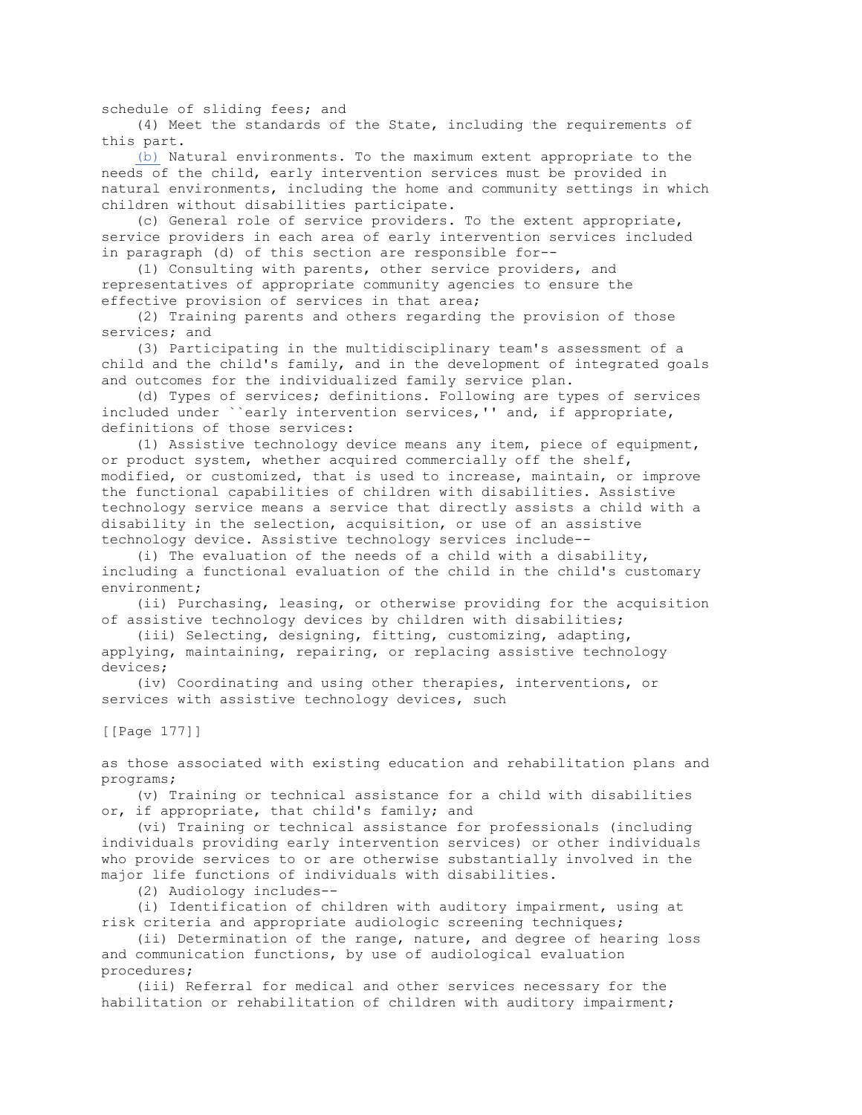schedule of sliding fees; and

 (4) Meet the standards of the State, including the requirements of this part.

 (b) Natural environments. To the maximum extent appropriate to the needs of the child, early intervention services must be provided in natural environments, including the home and community settings in which children without disabilities participate.

 (c) General role of service providers. To the extent appropriate, service providers in each area of early intervention services included in paragraph (d) of this section are responsible for--

 (1) Consulting with parents, other service providers, and representatives of appropriate community agencies to ensure the effective provision of services in that area;

 (2) Training parents and others regarding the provision of those services; and

 (3) Participating in the multidisciplinary team's assessment of a child and the child's family, and in the development of integrated goals and outcomes for the individualized family service plan.

 (d) Types of services; definitions. Following are types of services included under ``early intervention services,'' and, if appropriate, definitions of those services:

 (1) Assistive technology device means any item, piece of equipment, or product system, whether acquired commercially off the shelf, modified, or customized, that is used to increase, maintain, or improve the functional capabilities of children with disabilities. Assistive technology service means a service that directly assists a child with a disability in the selection, acquisition, or use of an assistive technology device. Assistive technology services include--

 (i) The evaluation of the needs of a child with a disability, including a functional evaluation of the child in the child's customary environment;

 (ii) Purchasing, leasing, or otherwise providing for the acquisition of assistive technology devices by children with disabilities;

 (iii) Selecting, designing, fitting, customizing, adapting, applying, maintaining, repairing, or replacing assistive technology devices;

 (iv) Coordinating and using other therapies, interventions, or services with assistive technology devices, such

[[Page 177]]

as those associated with existing education and rehabilitation plans and programs;

 (v) Training or technical assistance for a child with disabilities or, if appropriate, that child's family; and

 (vi) Training or technical assistance for professionals (including individuals providing early intervention services) or other individuals who provide services to or are otherwise substantially involved in the major life functions of individuals with disabilities.

(2) Audiology includes--

 (i) Identification of children with auditory impairment, using at risk criteria and appropriate audiologic screening techniques;

 (ii) Determination of the range, nature, and degree of hearing loss and communication functions, by use of audiological evaluation procedures;

 (iii) Referral for medical and other services necessary for the habilitation or rehabilitation of children with auditory impairment;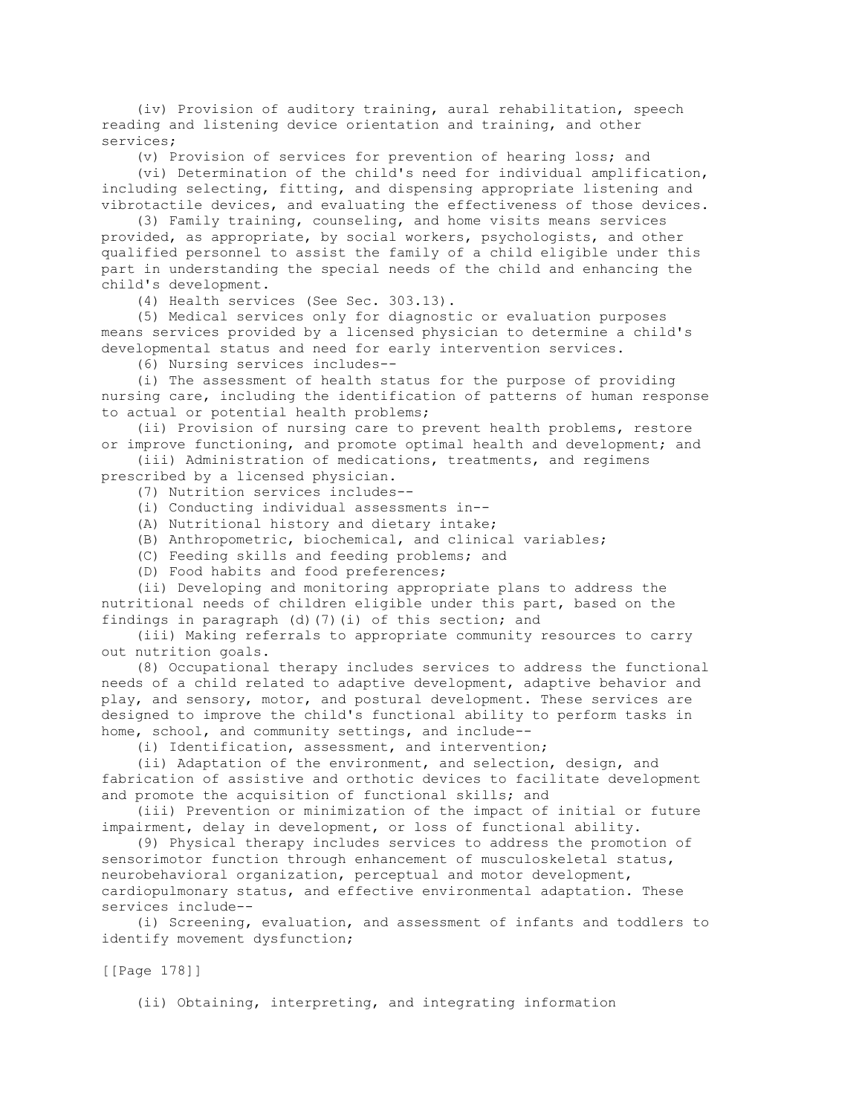(iv) Provision of auditory training, aural rehabilitation, speech reading and listening device orientation and training, and other services;

(v) Provision of services for prevention of hearing loss; and

 (vi) Determination of the child's need for individual amplification, including selecting, fitting, and dispensing appropriate listening and vibrotactile devices, and evaluating the effectiveness of those devices.

 (3) Family training, counseling, and home visits means services provided, as appropriate, by social workers, psychologists, and other qualified personnel to assist the family of a child eligible under this part in understanding the special needs of the child and enhancing the child's development.

(4) Health services (See Sec. 303.13).

 (5) Medical services only for diagnostic or evaluation purposes means services provided by a licensed physician to determine a child's developmental status and need for early intervention services.

(6) Nursing services includes--

 (i) The assessment of health status for the purpose of providing nursing care, including the identification of patterns of human response to actual or potential health problems;

 (ii) Provision of nursing care to prevent health problems, restore or improve functioning, and promote optimal health and development; and

 (iii) Administration of medications, treatments, and regimens prescribed by a licensed physician.

- (7) Nutrition services includes--
- (i) Conducting individual assessments in--
- (A) Nutritional history and dietary intake;
- (B) Anthropometric, biochemical, and clinical variables;
- (C) Feeding skills and feeding problems; and
- (D) Food habits and food preferences;

 (ii) Developing and monitoring appropriate plans to address the nutritional needs of children eligible under this part, based on the findings in paragraph (d)(7)(i) of this section; and

 (iii) Making referrals to appropriate community resources to carry out nutrition goals.

 (8) Occupational therapy includes services to address the functional needs of a child related to adaptive development, adaptive behavior and play, and sensory, motor, and postural development. These services are designed to improve the child's functional ability to perform tasks in home, school, and community settings, and include--

(i) Identification, assessment, and intervention;

 (ii) Adaptation of the environment, and selection, design, and fabrication of assistive and orthotic devices to facilitate development and promote the acquisition of functional skills; and

 (iii) Prevention or minimization of the impact of initial or future impairment, delay in development, or loss of functional ability.

 (9) Physical therapy includes services to address the promotion of sensorimotor function through enhancement of musculoskeletal status, neurobehavioral organization, perceptual and motor development, cardiopulmonary status, and effective environmental adaptation. These services include--

 (i) Screening, evaluation, and assessment of infants and toddlers to identify movement dysfunction;

[[Page 178]]

(ii) Obtaining, interpreting, and integrating information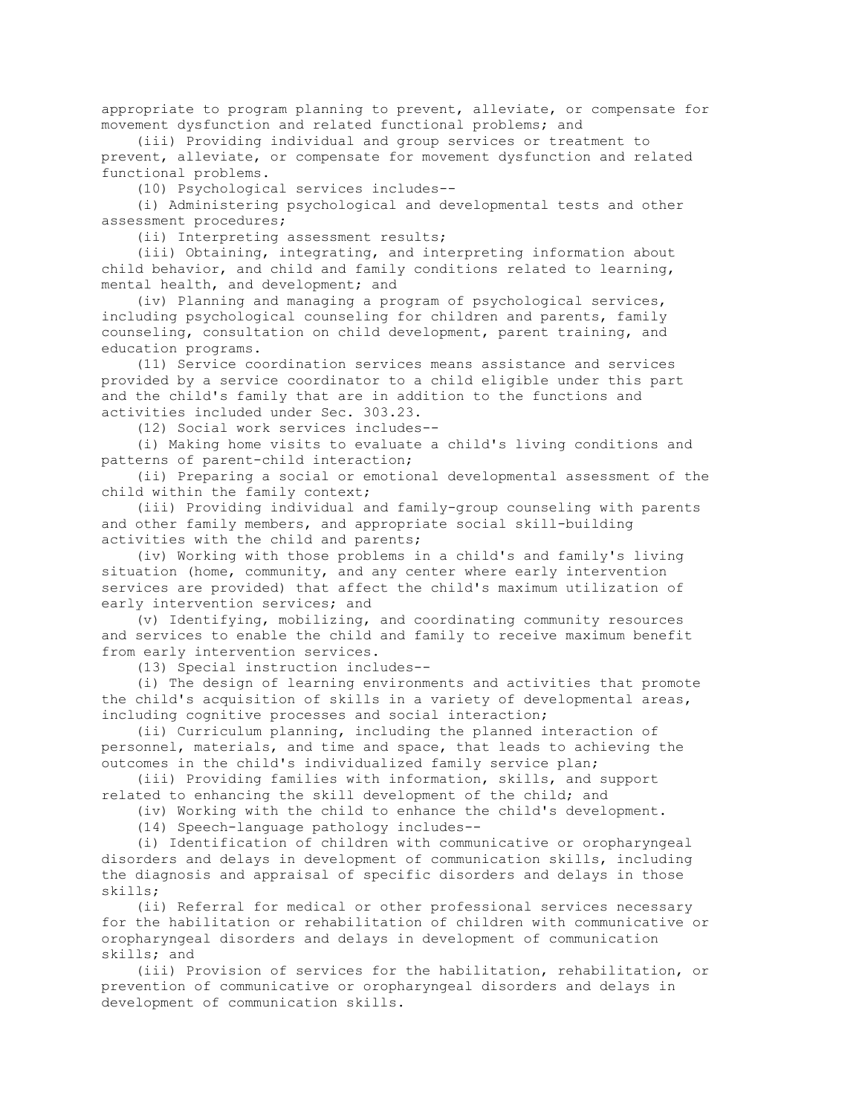appropriate to program planning to prevent, alleviate, or compensate for movement dysfunction and related functional problems; and

 (iii) Providing individual and group services or treatment to prevent, alleviate, or compensate for movement dysfunction and related functional problems.

(10) Psychological services includes--

 (i) Administering psychological and developmental tests and other assessment procedures;

(ii) Interpreting assessment results;

 (iii) Obtaining, integrating, and interpreting information about child behavior, and child and family conditions related to learning, mental health, and development; and

 (iv) Planning and managing a program of psychological services, including psychological counseling for children and parents, family counseling, consultation on child development, parent training, and education programs.

 (11) Service coordination services means assistance and services provided by a service coordinator to a child eligible under this part and the child's family that are in addition to the functions and activities included under Sec. 303.23.

(12) Social work services includes--

 (i) Making home visits to evaluate a child's living conditions and patterns of parent-child interaction;

 (ii) Preparing a social or emotional developmental assessment of the child within the family context;

 (iii) Providing individual and family-group counseling with parents and other family members, and appropriate social skill-building activities with the child and parents;

 (iv) Working with those problems in a child's and family's living situation (home, community, and any center where early intervention services are provided) that affect the child's maximum utilization of early intervention services; and

 (v) Identifying, mobilizing, and coordinating community resources and services to enable the child and family to receive maximum benefit from early intervention services.

(13) Special instruction includes--

 (i) The design of learning environments and activities that promote the child's acquisition of skills in a variety of developmental areas, including cognitive processes and social interaction;

 (ii) Curriculum planning, including the planned interaction of personnel, materials, and time and space, that leads to achieving the outcomes in the child's individualized family service plan;

 (iii) Providing families with information, skills, and support related to enhancing the skill development of the child; and

(iv) Working with the child to enhance the child's development.

(14) Speech-language pathology includes--

 (i) Identification of children with communicative or oropharyngeal disorders and delays in development of communication skills, including the diagnosis and appraisal of specific disorders and delays in those skills;

 (ii) Referral for medical or other professional services necessary for the habilitation or rehabilitation of children with communicative or oropharyngeal disorders and delays in development of communication skills; and

 (iii) Provision of services for the habilitation, rehabilitation, or prevention of communicative or oropharyngeal disorders and delays in development of communication skills.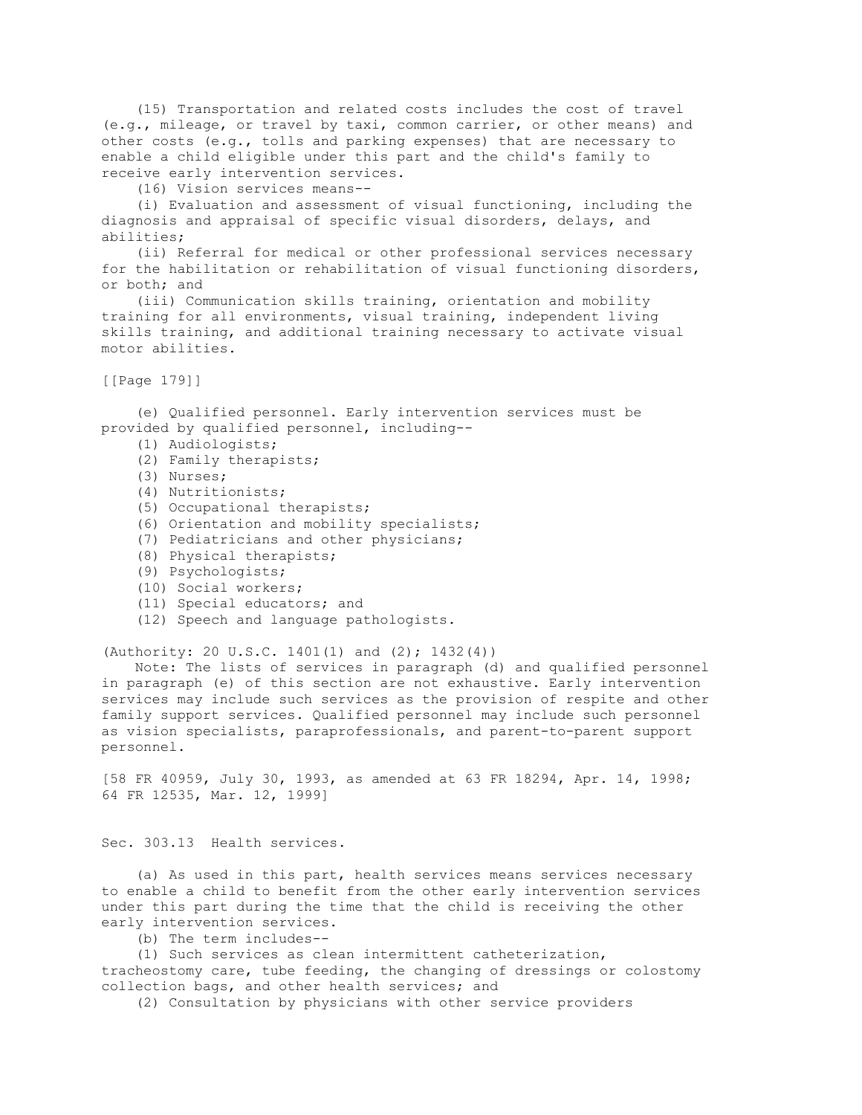(15) Transportation and related costs includes the cost of travel (e.g., mileage, or travel by taxi, common carrier, or other means) and other costs (e.g., tolls and parking expenses) that are necessary to enable a child eligible under this part and the child's family to receive early intervention services.

(16) Vision services means--

 (i) Evaluation and assessment of visual functioning, including the diagnosis and appraisal of specific visual disorders, delays, and abilities;

 (ii) Referral for medical or other professional services necessary for the habilitation or rehabilitation of visual functioning disorders, or both; and

 (iii) Communication skills training, orientation and mobility training for all environments, visual training, independent living skills training, and additional training necessary to activate visual motor abilities.

[[Page 179]]

 (e) Qualified personnel. Early intervention services must be provided by qualified personnel, including--

- (1) Audiologists;
- (2) Family therapists;
- (3) Nurses;
- (4) Nutritionists;
- (5) Occupational therapists;
- (6) Orientation and mobility specialists;
- (7) Pediatricians and other physicians;
- (8) Physical therapists;
- (9) Psychologists;
- (10) Social workers;
- (11) Special educators; and
- (12) Speech and language pathologists.

(Authority: 20 U.S.C. 1401(1) and (2); 1432(4))

 Note: The lists of services in paragraph (d) and qualified personnel in paragraph (e) of this section are not exhaustive. Early intervention services may include such services as the provision of respite and other family support services. Qualified personnel may include such personnel as vision specialists, paraprofessionals, and parent-to-parent support personnel.

[58 FR 40959, July 30, 1993, as amended at 63 FR 18294, Apr. 14, 1998; 64 FR 12535, Mar. 12, 1999]

Sec. 303.13 Health services.

 (a) As used in this part, health services means services necessary to enable a child to benefit from the other early intervention services under this part during the time that the child is receiving the other early intervention services.

(b) The term includes--

 (1) Such services as clean intermittent catheterization, tracheostomy care, tube feeding, the changing of dressings or colostomy collection bags, and other health services; and

(2) Consultation by physicians with other service providers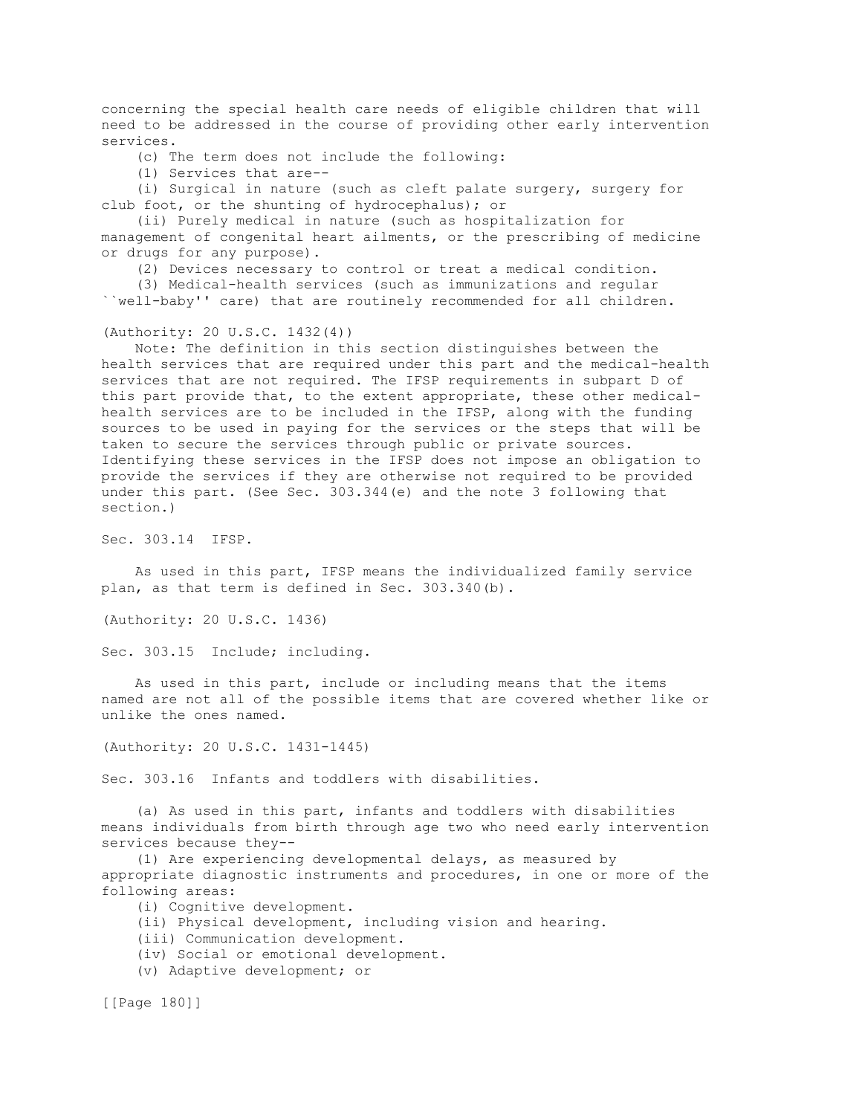concerning the special health care needs of eligible children that will need to be addressed in the course of providing other early intervention services.

(c) The term does not include the following:

(1) Services that are--

 (i) Surgical in nature (such as cleft palate surgery, surgery for club foot, or the shunting of hydrocephalus); or

 (ii) Purely medical in nature (such as hospitalization for management of congenital heart ailments, or the prescribing of medicine or drugs for any purpose).

(2) Devices necessary to control or treat a medical condition.

 (3) Medical-health services (such as immunizations and regular ``well-baby'' care) that are routinely recommended for all children.

## (Authority: 20 U.S.C. 1432(4))

 Note: The definition in this section distinguishes between the health services that are required under this part and the medical-health services that are not required. The IFSP requirements in subpart D of this part provide that, to the extent appropriate, these other medicalhealth services are to be included in the IFSP, along with the funding sources to be used in paying for the services or the steps that will be taken to secure the services through public or private sources. Identifying these services in the IFSP does not impose an obligation to provide the services if they are otherwise not required to be provided under this part. (See Sec. 303.344(e) and the note 3 following that section.)

Sec. 303.14 IFSP.

 As used in this part, IFSP means the individualized family service plan, as that term is defined in Sec. 303.340(b).

(Authority: 20 U.S.C. 1436)

Sec. 303.15 Include; including.

 As used in this part, include or including means that the items named are not all of the possible items that are covered whether like or unlike the ones named.

(Authority: 20 U.S.C. 1431-1445)

Sec. 303.16 Infants and toddlers with disabilities.

 (a) As used in this part, infants and toddlers with disabilities means individuals from birth through age two who need early intervention services because they--

 (1) Are experiencing developmental delays, as measured by appropriate diagnostic instruments and procedures, in one or more of the following areas:

(i) Cognitive development.

(ii) Physical development, including vision and hearing.

- (iii) Communication development.
- (iv) Social or emotional development.
- (v) Adaptive development; or

[[Page 180]]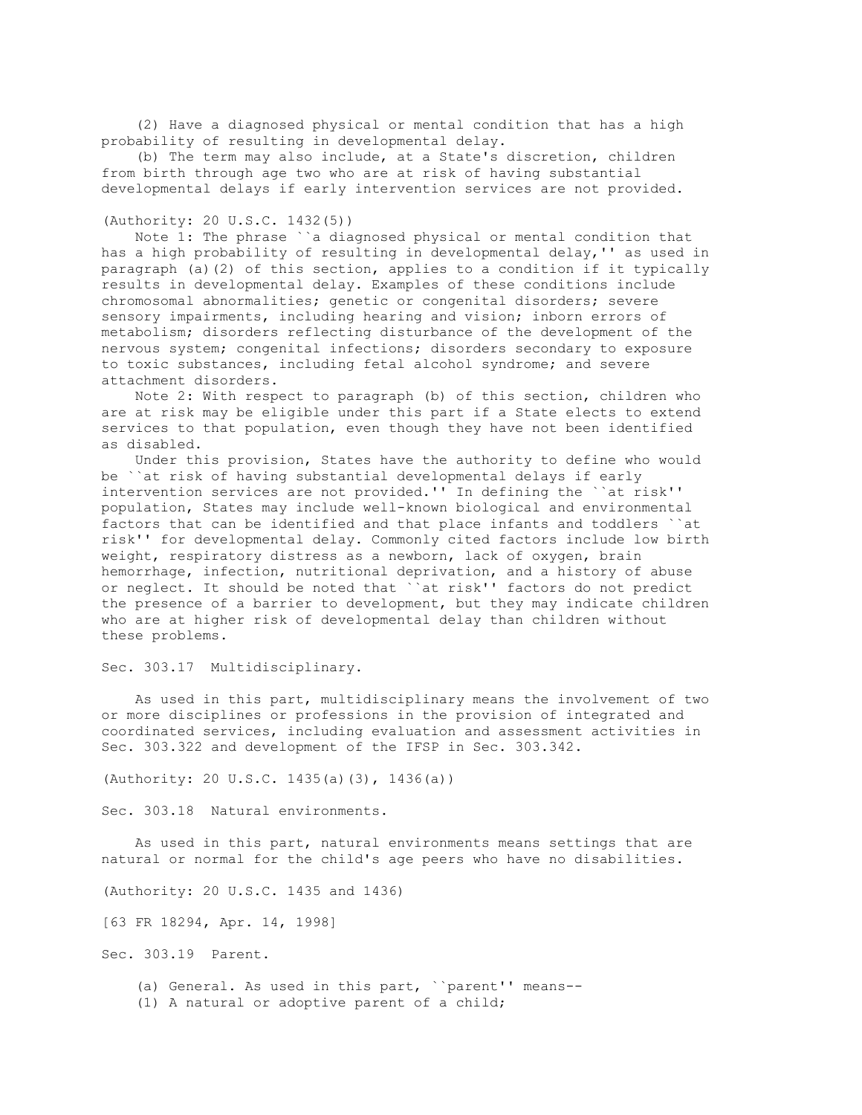(2) Have a diagnosed physical or mental condition that has a high probability of resulting in developmental delay.

 (b) The term may also include, at a State's discretion, children from birth through age two who are at risk of having substantial developmental delays if early intervention services are not provided.

### (Authority: 20 U.S.C. 1432(5))

 Note 1: The phrase ``a diagnosed physical or mental condition that has a high probability of resulting in developmental delay,'' as used in paragraph (a)(2) of this section, applies to a condition if it typically results in developmental delay. Examples of these conditions include chromosomal abnormalities; genetic or congenital disorders; severe sensory impairments, including hearing and vision; inborn errors of metabolism; disorders reflecting disturbance of the development of the nervous system; congenital infections; disorders secondary to exposure to toxic substances, including fetal alcohol syndrome; and severe attachment disorders.

 Note 2: With respect to paragraph (b) of this section, children who are at risk may be eligible under this part if a State elects to extend services to that population, even though they have not been identified as disabled.

 Under this provision, States have the authority to define who would be ``at risk of having substantial developmental delays if early intervention services are not provided.'' In defining the ``at risk'' population, States may include well-known biological and environmental factors that can be identified and that place infants and toddlers ``at risk'' for developmental delay. Commonly cited factors include low birth weight, respiratory distress as a newborn, lack of oxygen, brain hemorrhage, infection, nutritional deprivation, and a history of abuse or neglect. It should be noted that ``at risk'' factors do not predict the presence of a barrier to development, but they may indicate children who are at higher risk of developmental delay than children without these problems.

Sec. 303.17 Multidisciplinary.

 As used in this part, multidisciplinary means the involvement of two or more disciplines or professions in the provision of integrated and coordinated services, including evaluation and assessment activities in Sec. 303.322 and development of the IFSP in Sec. 303.342.

(Authority: 20 U.S.C. 1435(a)(3), 1436(a))

Sec. 303.18 Natural environments.

 As used in this part, natural environments means settings that are natural or normal for the child's age peers who have no disabilities.

(Authority: 20 U.S.C. 1435 and 1436)

[63 FR 18294, Apr. 14, 1998]

Sec. 303.19 Parent.

(a) General. As used in this part, ``parent'' means--

(1) A natural or adoptive parent of a child;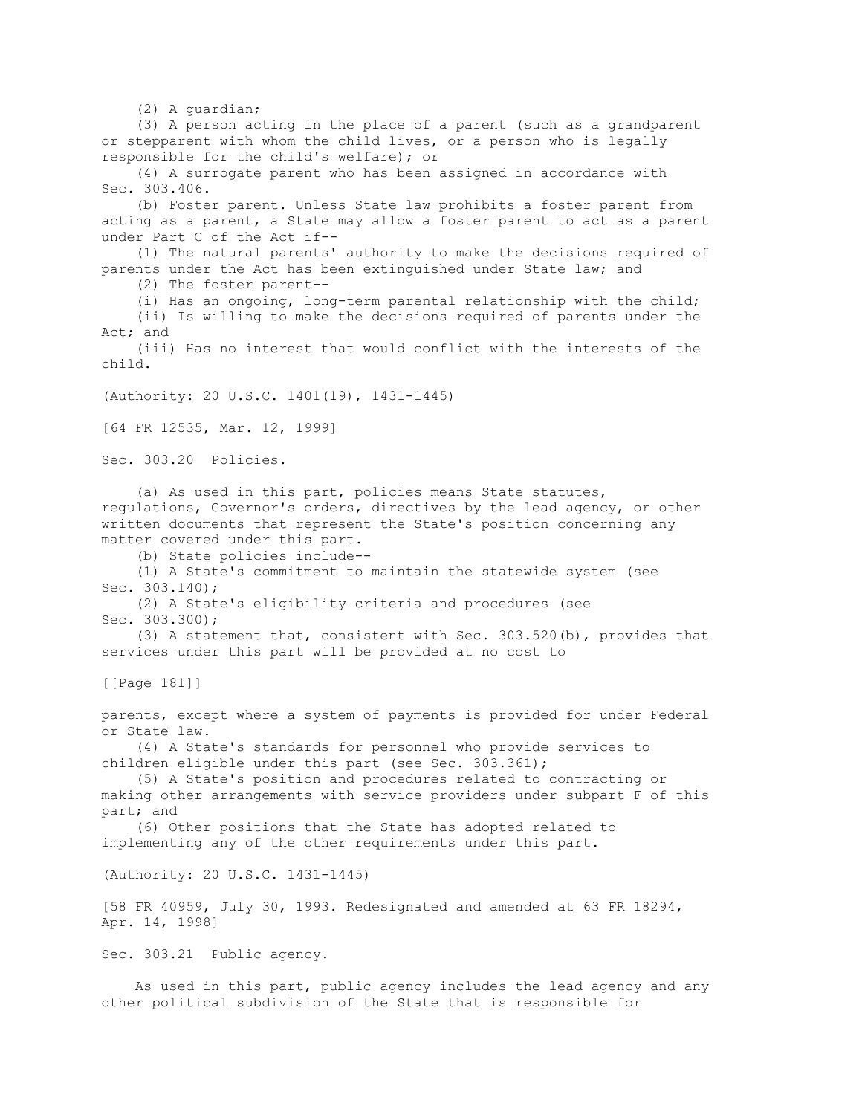(2) A guardian;

 (3) A person acting in the place of a parent (such as a grandparent or stepparent with whom the child lives, or a person who is legally responsible for the child's welfare); or

 (4) A surrogate parent who has been assigned in accordance with Sec. 303.406.

 (b) Foster parent. Unless State law prohibits a foster parent from acting as a parent, a State may allow a foster parent to act as a parent under Part C of the Act if--

 (1) The natural parents' authority to make the decisions required of parents under the Act has been extinguished under State law; and

(2) The foster parent--

(i) Has an ongoing, long-term parental relationship with the child;

 (ii) Is willing to make the decisions required of parents under the Act; and

 (iii) Has no interest that would conflict with the interests of the child.

(Authority: 20 U.S.C. 1401(19), 1431-1445)

[64 FR 12535, Mar. 12, 1999]

Sec. 303.20 Policies.

 (a) As used in this part, policies means State statutes, regulations, Governor's orders, directives by the lead agency, or other written documents that represent the State's position concerning any matter covered under this part.

(b) State policies include--

 (1) A State's commitment to maintain the statewide system (see Sec. 303.140);

 (2) A State's eligibility criteria and procedures (see Sec. 303.300);

 (3) A statement that, consistent with Sec. 303.520(b), provides that services under this part will be provided at no cost to

[[Page 181]]

parents, except where a system of payments is provided for under Federal or State law.

 (4) A State's standards for personnel who provide services to children eligible under this part (see Sec. 303.361);

 (5) A State's position and procedures related to contracting or making other arrangements with service providers under subpart F of this part; and

 (6) Other positions that the State has adopted related to implementing any of the other requirements under this part.

(Authority: 20 U.S.C. 1431-1445)

[58 FR 40959, July 30, 1993. Redesignated and amended at 63 FR 18294, Apr. 14, 1998]

Sec. 303.21 Public agency.

 As used in this part, public agency includes the lead agency and any other political subdivision of the State that is responsible for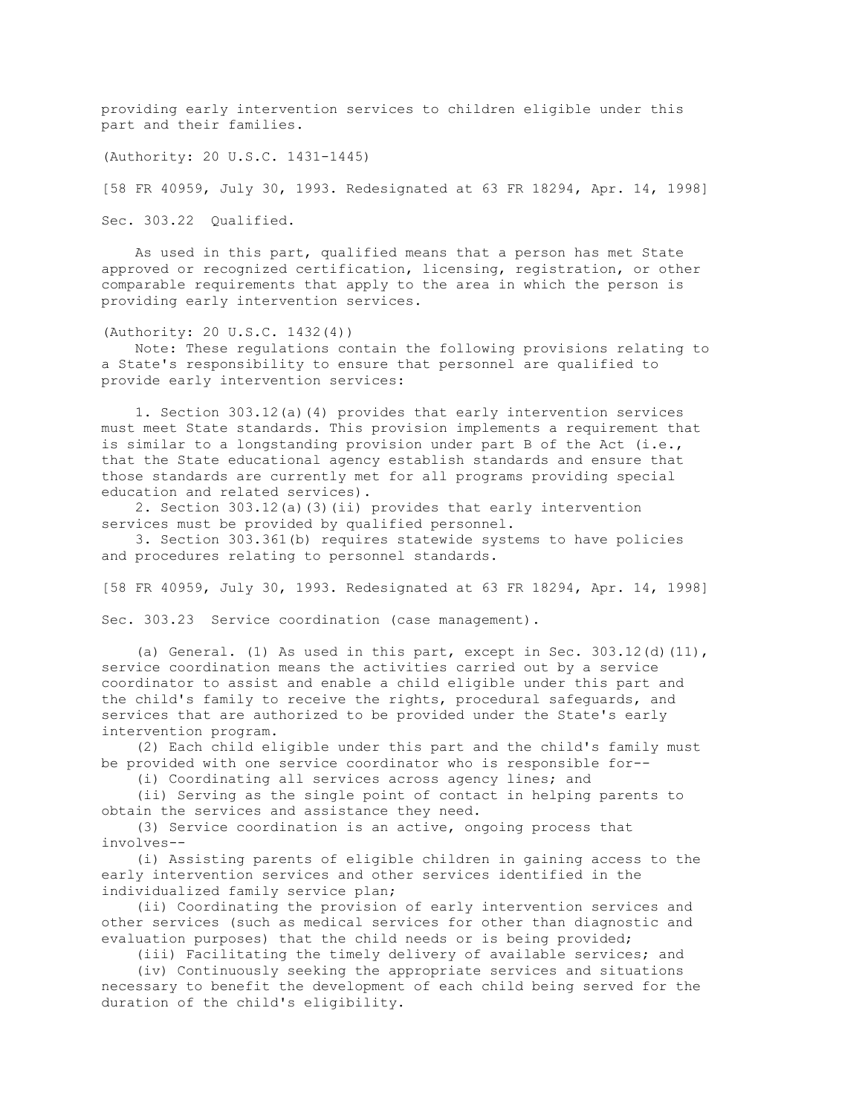providing early intervention services to children eligible under this part and their families.

(Authority: 20 U.S.C. 1431-1445)

[58 FR 40959, July 30, 1993. Redesignated at 63 FR 18294, Apr. 14, 1998]

Sec. 303.22 Qualified.

 As used in this part, qualified means that a person has met State approved or recognized certification, licensing, registration, or other comparable requirements that apply to the area in which the person is providing early intervention services.

(Authority: 20 U.S.C. 1432(4))

 Note: These regulations contain the following provisions relating to a State's responsibility to ensure that personnel are qualified to provide early intervention services:

 1. Section 303.12(a)(4) provides that early intervention services must meet State standards. This provision implements a requirement that is similar to a longstanding provision under part B of the Act (i.e., that the State educational agency establish standards and ensure that those standards are currently met for all programs providing special education and related services).

 2. Section 303.12(a)(3)(ii) provides that early intervention services must be provided by qualified personnel.

 3. Section 303.361(b) requires statewide systems to have policies and procedures relating to personnel standards.

[58 FR 40959, July 30, 1993. Redesignated at 63 FR 18294, Apr. 14, 1998]

Sec. 303.23 Service coordination (case management).

(a) General. (1) As used in this part, except in Sec.  $303.12$ (d)(11), service coordination means the activities carried out by a service coordinator to assist and enable a child eligible under this part and the child's family to receive the rights, procedural safeguards, and services that are authorized to be provided under the State's early intervention program.

 (2) Each child eligible under this part and the child's family must be provided with one service coordinator who is responsible for--

(i) Coordinating all services across agency lines; and

 (ii) Serving as the single point of contact in helping parents to obtain the services and assistance they need.

 (3) Service coordination is an active, ongoing process that involves--

 (i) Assisting parents of eligible children in gaining access to the early intervention services and other services identified in the individualized family service plan;

 (ii) Coordinating the provision of early intervention services and other services (such as medical services for other than diagnostic and evaluation purposes) that the child needs or is being provided;

(iii) Facilitating the timely delivery of available services; and

 (iv) Continuously seeking the appropriate services and situations necessary to benefit the development of each child being served for the duration of the child's eligibility.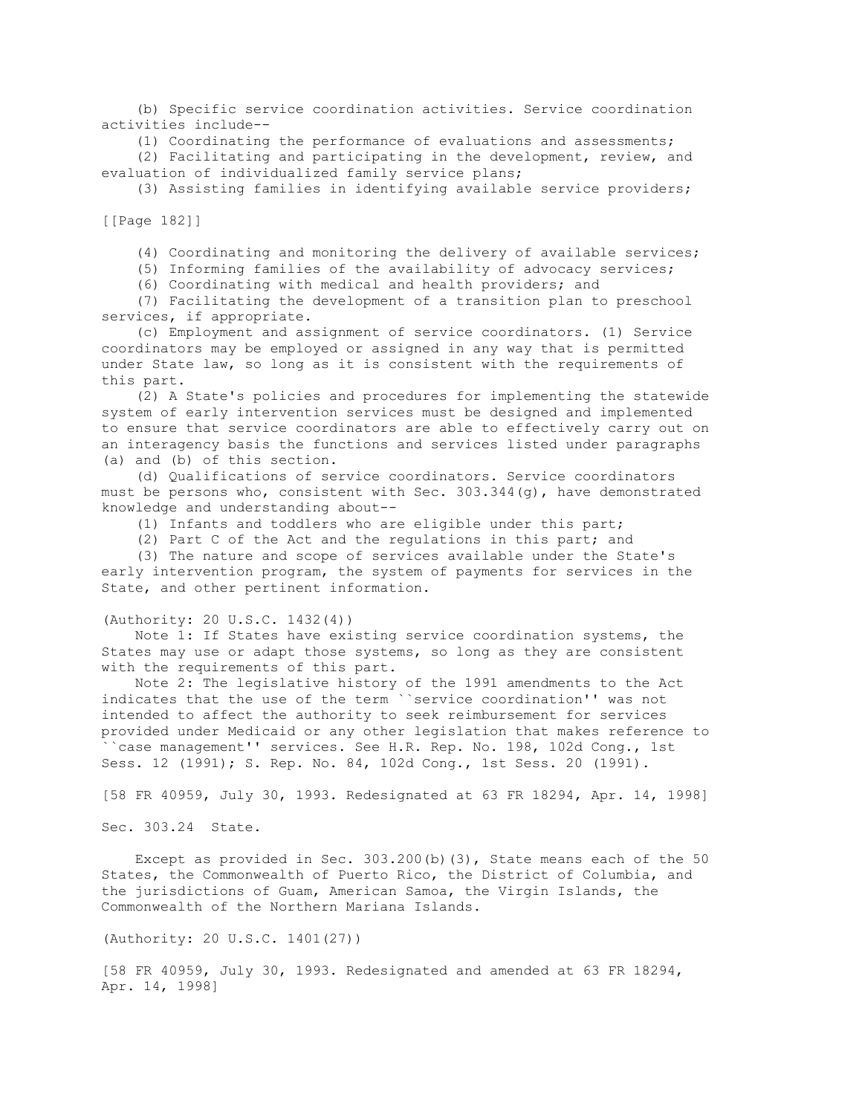(b) Specific service coordination activities. Service coordination activities include--

(1) Coordinating the performance of evaluations and assessments;

 (2) Facilitating and participating in the development, review, and evaluation of individualized family service plans;

(3) Assisting families in identifying available service providers;

[[Page 182]]

(4) Coordinating and monitoring the delivery of available services;

(5) Informing families of the availability of advocacy services;

(6) Coordinating with medical and health providers; and

 (7) Facilitating the development of a transition plan to preschool services, if appropriate.

 (c) Employment and assignment of service coordinators. (1) Service coordinators may be employed or assigned in any way that is permitted under State law, so long as it is consistent with the requirements of this part.

 (2) A State's policies and procedures for implementing the statewide system of early intervention services must be designed and implemented to ensure that service coordinators are able to effectively carry out on an interagency basis the functions and services listed under paragraphs (a) and (b) of this section.

 (d) Qualifications of service coordinators. Service coordinators must be persons who, consistent with Sec. 303.344(g), have demonstrated knowledge and understanding about--

(1) Infants and toddlers who are eligible under this part;

(2) Part C of the Act and the regulations in this part; and

 (3) The nature and scope of services available under the State's early intervention program, the system of payments for services in the State, and other pertinent information.

### (Authority: 20 U.S.C. 1432(4))

 Note 1: If States have existing service coordination systems, the States may use or adapt those systems, so long as they are consistent with the requirements of this part.

 Note 2: The legislative history of the 1991 amendments to the Act indicates that the use of the term ``service coordination'' was not intended to affect the authority to seek reimbursement for services provided under Medicaid or any other legislation that makes reference to ``case management'' services. See H.R. Rep. No. 198, 102d Cong., 1st Sess. 12 (1991); S. Rep. No. 84, 102d Cong., 1st Sess. 20 (1991).

[58 FR 40959, July 30, 1993. Redesignated at 63 FR 18294, Apr. 14, 1998]

Sec. 303.24 State.

Except as provided in Sec.  $303.200(b)(3)$ , State means each of the 50 States, the Commonwealth of Puerto Rico, the District of Columbia, and the jurisdictions of Guam, American Samoa, the Virgin Islands, the Commonwealth of the Northern Mariana Islands.

## (Authority: 20 U.S.C. 1401(27))

[58 FR 40959, July 30, 1993. Redesignated and amended at 63 FR 18294, Apr. 14, 1998]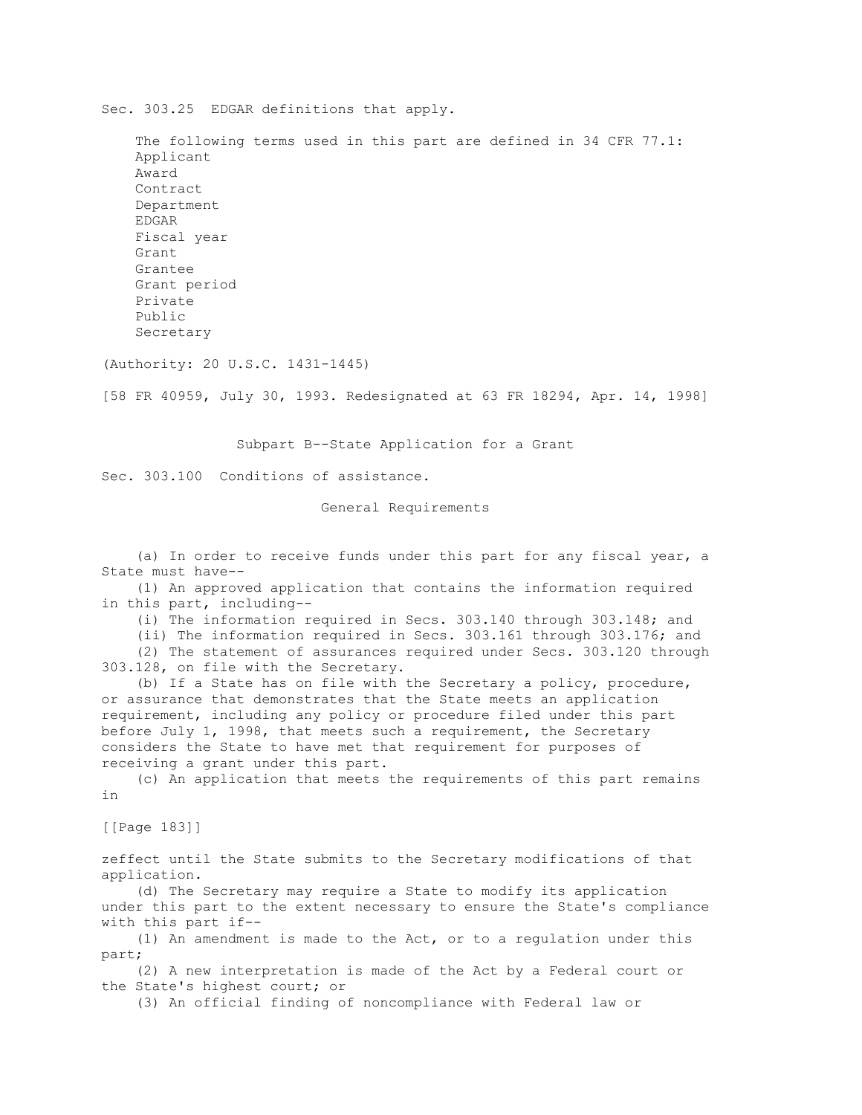Sec. 303.25 EDGAR definitions that apply.

 The following terms used in this part are defined in 34 CFR 77.1: Applicant Award Contract Department EDGAR Fiscal year Grant Grantee Grant period Private Public Secretary

(Authority: 20 U.S.C. 1431-1445)

[58 FR 40959, July 30, 1993. Redesignated at 63 FR 18294, Apr. 14, 1998]

Subpart B--State Application for a Grant

Sec. 303.100 Conditions of assistance.

General Requirements

 (a) In order to receive funds under this part for any fiscal year, a State must have--

 (1) An approved application that contains the information required in this part, including--

(i) The information required in Secs. 303.140 through 303.148; and

(ii) The information required in Secs. 303.161 through 303.176; and

 (2) The statement of assurances required under Secs. 303.120 through 303.128, on file with the Secretary.

 (b) If a State has on file with the Secretary a policy, procedure, or assurance that demonstrates that the State meets an application requirement, including any policy or procedure filed under this part before July 1, 1998, that meets such a requirement, the Secretary considers the State to have met that requirement for purposes of receiving a grant under this part.

 (c) An application that meets the requirements of this part remains in

[[Page 183]]

zeffect until the State submits to the Secretary modifications of that application.

 (d) The Secretary may require a State to modify its application under this part to the extent necessary to ensure the State's compliance with this part if--

 (1) An amendment is made to the Act, or to a regulation under this part;

 (2) A new interpretation is made of the Act by a Federal court or the State's highest court; or

(3) An official finding of noncompliance with Federal law or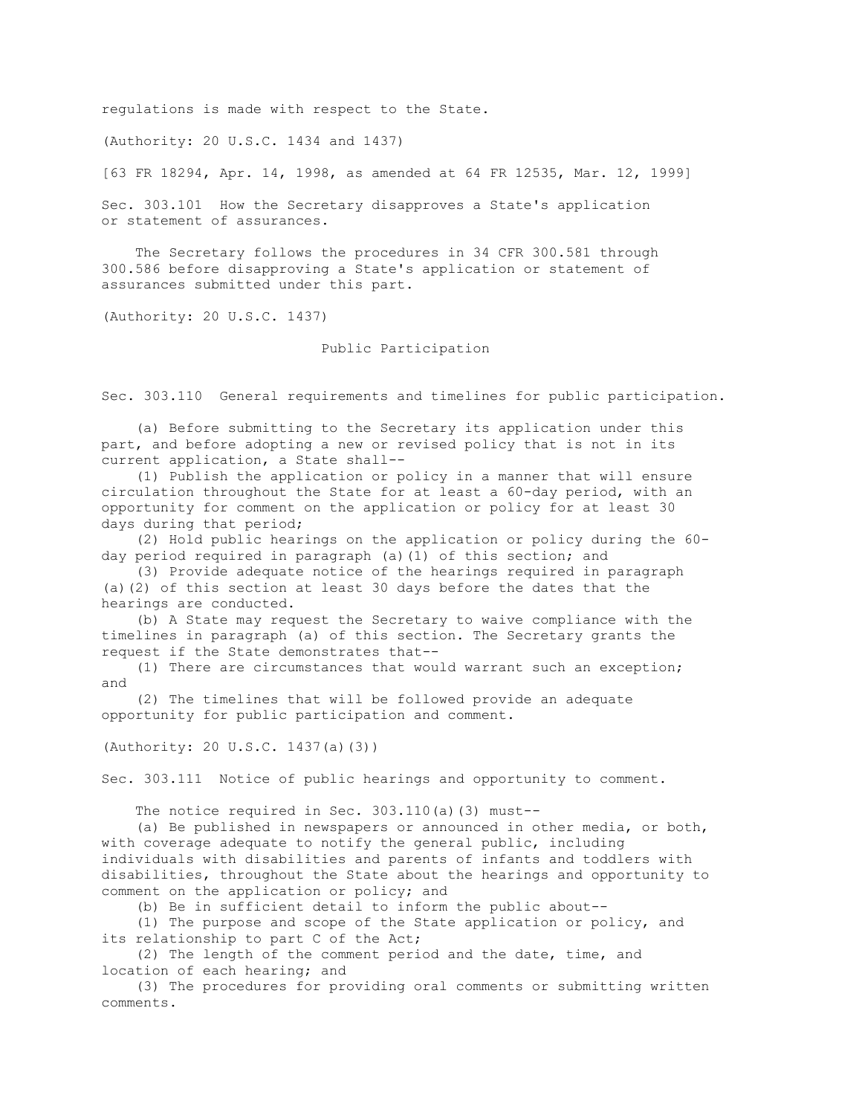regulations is made with respect to the State.

(Authority: 20 U.S.C. 1434 and 1437)

[63 FR 18294, Apr. 14, 1998, as amended at 64 FR 12535, Mar. 12, 1999]

Sec. 303.101 How the Secretary disapproves a State's application or statement of assurances.

 The Secretary follows the procedures in 34 CFR 300.581 through 300.586 before disapproving a State's application or statement of assurances submitted under this part.

(Authority: 20 U.S.C. 1437)

Public Participation

Sec. 303.110 General requirements and timelines for public participation.

 (a) Before submitting to the Secretary its application under this part, and before adopting a new or revised policy that is not in its current application, a State shall--

 (1) Publish the application or policy in a manner that will ensure circulation throughout the State for at least a 60-day period, with an opportunity for comment on the application or policy for at least 30 days during that period;

 (2) Hold public hearings on the application or policy during the 60 day period required in paragraph (a)(1) of this section; and

 (3) Provide adequate notice of the hearings required in paragraph (a)(2) of this section at least 30 days before the dates that the hearings are conducted.

 (b) A State may request the Secretary to waive compliance with the timelines in paragraph (a) of this section. The Secretary grants the request if the State demonstrates that--

 (1) There are circumstances that would warrant such an exception; and

 (2) The timelines that will be followed provide an adequate opportunity for public participation and comment.

(Authority: 20 U.S.C. 1437(a)(3))

Sec. 303.111 Notice of public hearings and opportunity to comment.

The notice required in Sec. 303.110(a)(3) must--

 (a) Be published in newspapers or announced in other media, or both, with coverage adequate to notify the general public, including individuals with disabilities and parents of infants and toddlers with disabilities, throughout the State about the hearings and opportunity to comment on the application or policy; and

(b) Be in sufficient detail to inform the public about--

 (1) The purpose and scope of the State application or policy, and its relationship to part C of the Act;

 (2) The length of the comment period and the date, time, and location of each hearing; and

 (3) The procedures for providing oral comments or submitting written comments.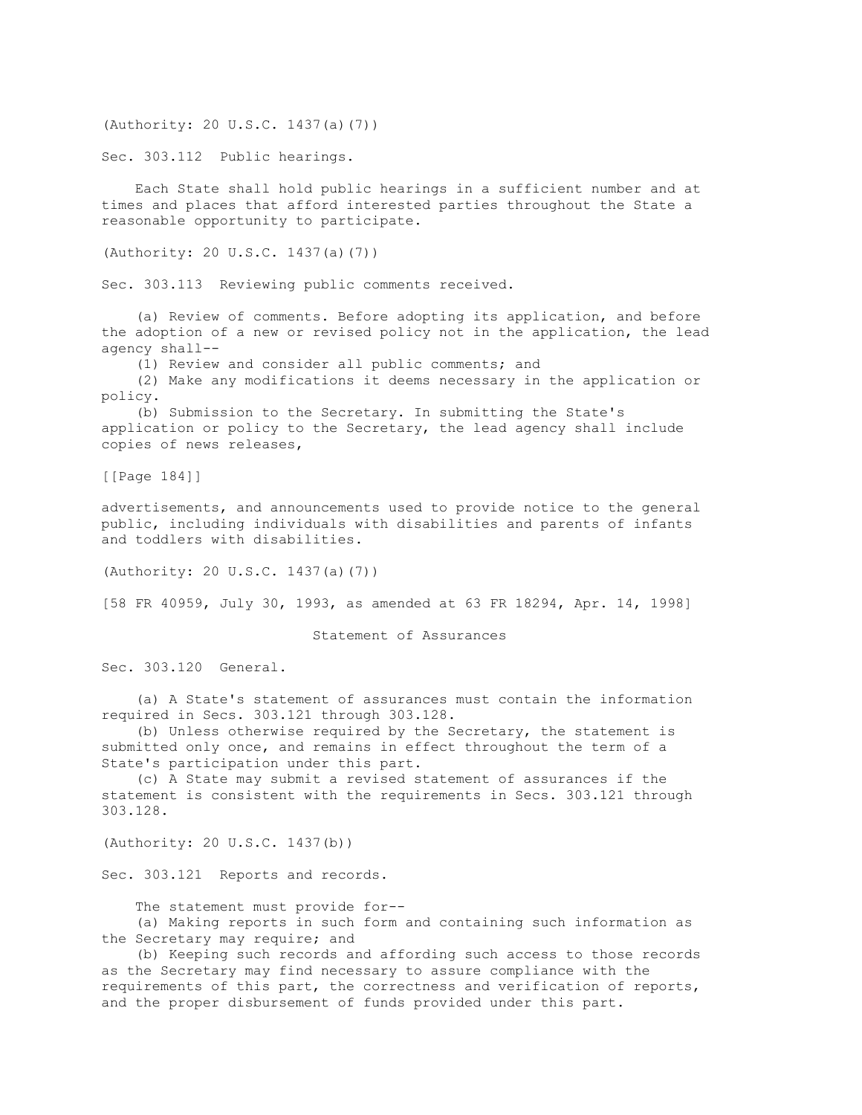(Authority: 20 U.S.C. 1437(a)(7))

Sec. 303.112 Public hearings.

 Each State shall hold public hearings in a sufficient number and at times and places that afford interested parties throughout the State a reasonable opportunity to participate.

(Authority: 20 U.S.C. 1437(a)(7))

Sec. 303.113 Reviewing public comments received.

 (a) Review of comments. Before adopting its application, and before the adoption of a new or revised policy not in the application, the lead agency shall--

(1) Review and consider all public comments; and

 (2) Make any modifications it deems necessary in the application or policy.

 (b) Submission to the Secretary. In submitting the State's application or policy to the Secretary, the lead agency shall include copies of news releases,

[[Page 184]]

advertisements, and announcements used to provide notice to the general public, including individuals with disabilities and parents of infants and toddlers with disabilities.

(Authority: 20 U.S.C. 1437(a)(7))

[58 FR 40959, July 30, 1993, as amended at 63 FR 18294, Apr. 14, 1998]

Statement of Assurances

Sec. 303.120 General.

 (a) A State's statement of assurances must contain the information required in Secs. 303.121 through 303.128.

 (b) Unless otherwise required by the Secretary, the statement is submitted only once, and remains in effect throughout the term of a State's participation under this part.

 (c) A State may submit a revised statement of assurances if the statement is consistent with the requirements in Secs. 303.121 through 303.128.

(Authority: 20 U.S.C. 1437(b))

Sec. 303.121 Reports and records.

The statement must provide for--

 (a) Making reports in such form and containing such information as the Secretary may require; and

 (b) Keeping such records and affording such access to those records as the Secretary may find necessary to assure compliance with the requirements of this part, the correctness and verification of reports, and the proper disbursement of funds provided under this part.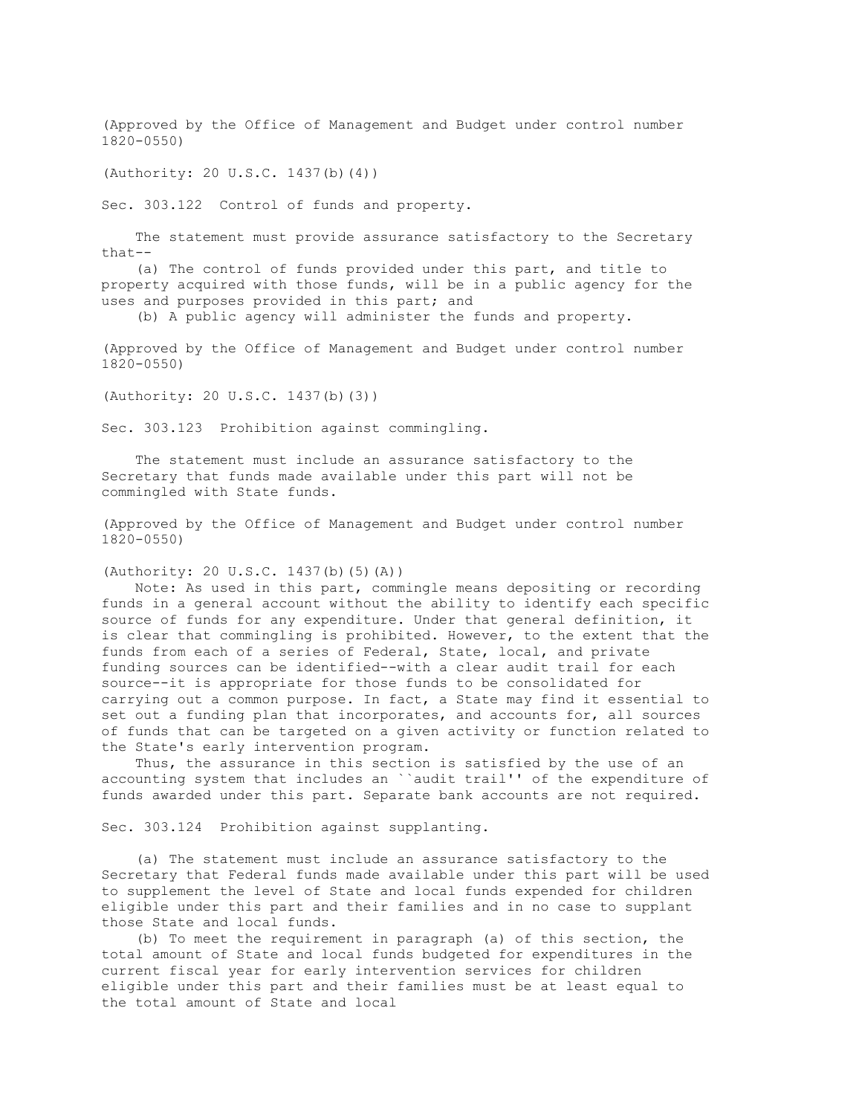(Approved by the Office of Management and Budget under control number 1820-0550)

(Authority: 20 U.S.C. 1437(b)(4))

Sec. 303.122 Control of funds and property.

 The statement must provide assurance satisfactory to the Secretary that--

 (a) The control of funds provided under this part, and title to property acquired with those funds, will be in a public agency for the uses and purposes provided in this part; and

(b) A public agency will administer the funds and property.

(Approved by the Office of Management and Budget under control number 1820-0550)

(Authority: 20 U.S.C. 1437(b)(3))

Sec. 303.123 Prohibition against commingling.

 The statement must include an assurance satisfactory to the Secretary that funds made available under this part will not be commingled with State funds.

(Approved by the Office of Management and Budget under control number 1820-0550)

(Authority: 20 U.S.C. 1437(b)(5)(A))

 Note: As used in this part, commingle means depositing or recording funds in a general account without the ability to identify each specific source of funds for any expenditure. Under that general definition, it is clear that commingling is prohibited. However, to the extent that the funds from each of a series of Federal, State, local, and private funding sources can be identified--with a clear audit trail for each source--it is appropriate for those funds to be consolidated for carrying out a common purpose. In fact, a State may find it essential to set out a funding plan that incorporates, and accounts for, all sources of funds that can be targeted on a given activity or function related to the State's early intervention program.

 Thus, the assurance in this section is satisfied by the use of an accounting system that includes an ``audit trail'' of the expenditure of funds awarded under this part. Separate bank accounts are not required.

Sec. 303.124 Prohibition against supplanting.

 (a) The statement must include an assurance satisfactory to the Secretary that Federal funds made available under this part will be used to supplement the level of State and local funds expended for children eligible under this part and their families and in no case to supplant those State and local funds.

 (b) To meet the requirement in paragraph (a) of this section, the total amount of State and local funds budgeted for expenditures in the current fiscal year for early intervention services for children eligible under this part and their families must be at least equal to the total amount of State and local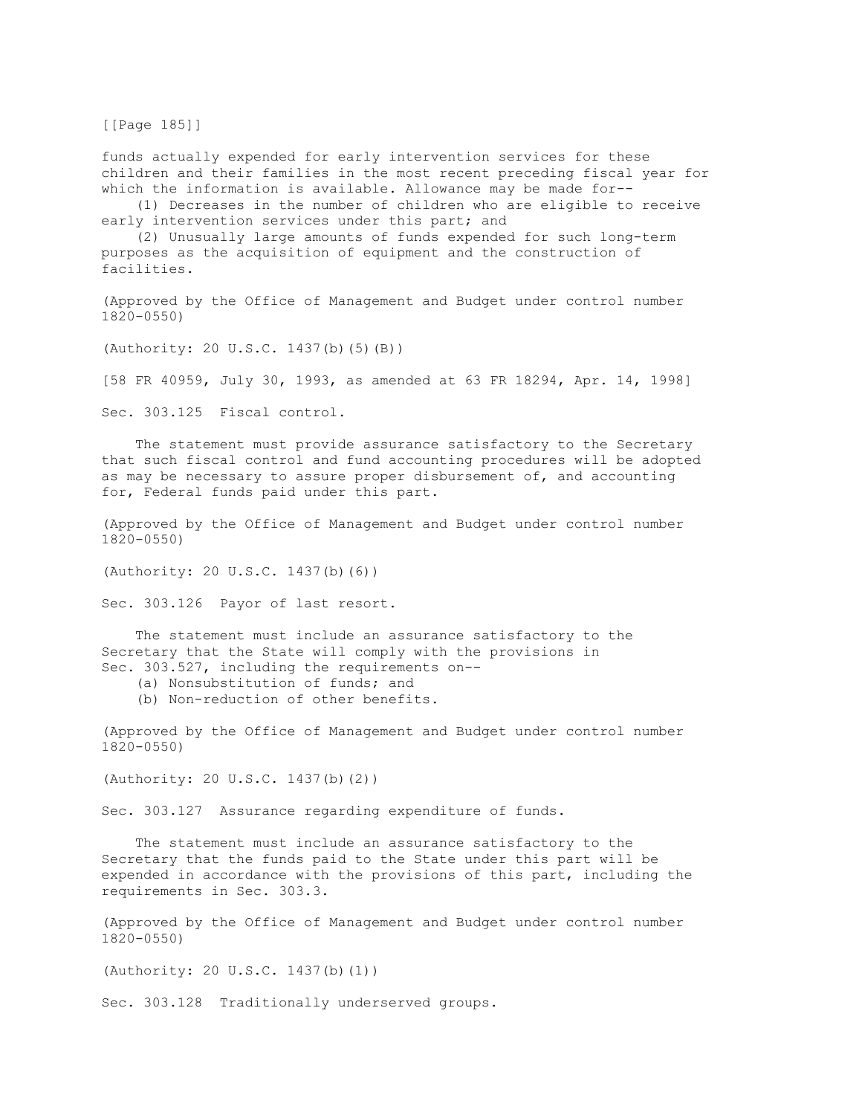[[Page 185]]

funds actually expended for early intervention services for these children and their families in the most recent preceding fiscal year for which the information is available. Allowance may be made for--

 (1) Decreases in the number of children who are eligible to receive early intervention services under this part; and

 (2) Unusually large amounts of funds expended for such long-term purposes as the acquisition of equipment and the construction of facilities.

(Approved by the Office of Management and Budget under control number 1820-0550)

(Authority: 20 U.S.C. 1437(b)(5)(B))

[58 FR 40959, July 30, 1993, as amended at 63 FR 18294, Apr. 14, 1998]

Sec. 303.125 Fiscal control.

 The statement must provide assurance satisfactory to the Secretary that such fiscal control and fund accounting procedures will be adopted as may be necessary to assure proper disbursement of, and accounting for, Federal funds paid under this part.

(Approved by the Office of Management and Budget under control number 1820-0550)

(Authority: 20 U.S.C. 1437(b)(6))

Sec. 303.126 Payor of last resort.

 The statement must include an assurance satisfactory to the Secretary that the State will comply with the provisions in Sec. 303.527, including the requirements on--

- (a) Nonsubstitution of funds; and
- (b) Non-reduction of other benefits.

(Approved by the Office of Management and Budget under control number 1820-0550)

(Authority: 20 U.S.C. 1437(b)(2))

Sec. 303.127 Assurance regarding expenditure of funds.

 The statement must include an assurance satisfactory to the Secretary that the funds paid to the State under this part will be expended in accordance with the provisions of this part, including the requirements in Sec. 303.3.

(Approved by the Office of Management and Budget under control number 1820-0550)

(Authority: 20 U.S.C. 1437(b)(1))

Sec. 303.128 Traditionally underserved groups.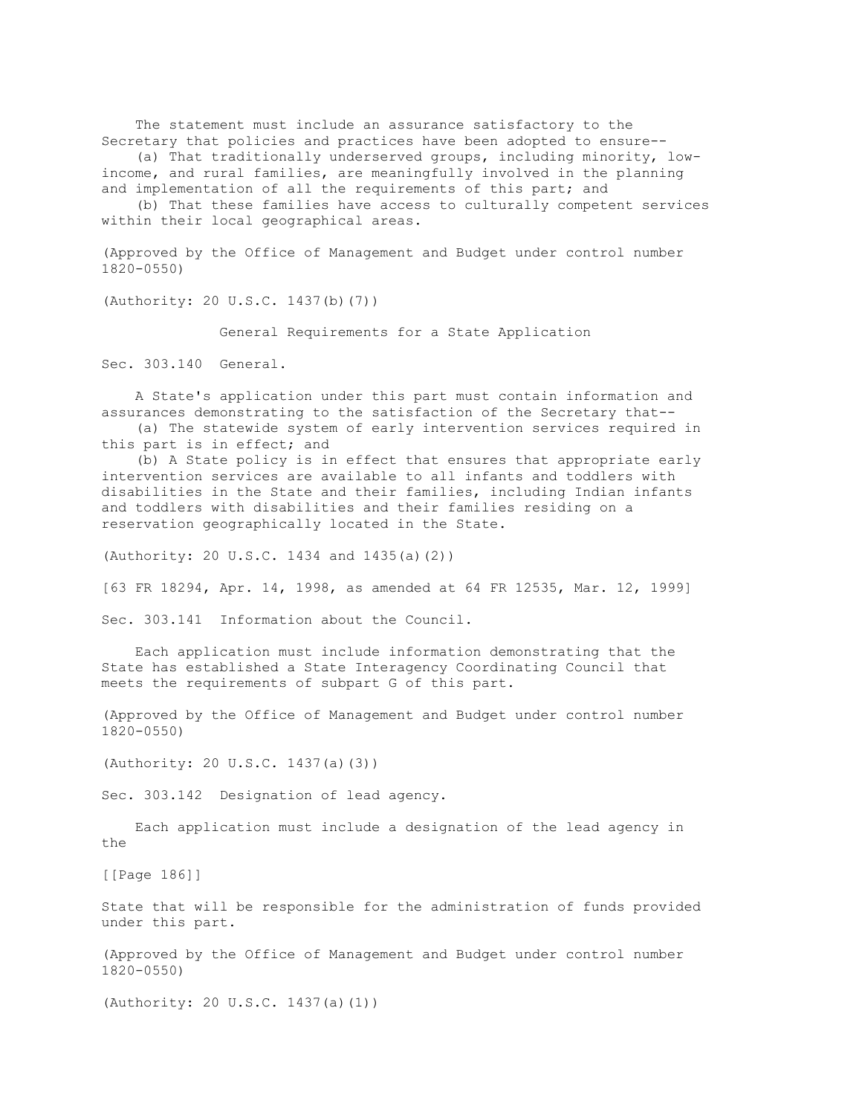The statement must include an assurance satisfactory to the Secretary that policies and practices have been adopted to ensure-- (a) That traditionally underserved groups, including minority, lowincome, and rural families, are meaningfully involved in the planning and implementation of all the requirements of this part; and

 (b) That these families have access to culturally competent services within their local geographical areas.

(Approved by the Office of Management and Budget under control number 1820-0550)

(Authority: 20 U.S.C. 1437(b)(7))

General Requirements for a State Application

Sec. 303.140 General.

 A State's application under this part must contain information and assurances demonstrating to the satisfaction of the Secretary that--

 (a) The statewide system of early intervention services required in this part is in effect; and

 (b) A State policy is in effect that ensures that appropriate early intervention services are available to all infants and toddlers with disabilities in the State and their families, including Indian infants and toddlers with disabilities and their families residing on a reservation geographically located in the State.

(Authority: 20 U.S.C. 1434 and 1435(a)(2))

[63 FR 18294, Apr. 14, 1998, as amended at 64 FR 12535, Mar. 12, 1999]

Sec. 303.141 Information about the Council.

 Each application must include information demonstrating that the State has established a State Interagency Coordinating Council that meets the requirements of subpart G of this part.

(Approved by the Office of Management and Budget under control number 1820-0550)

(Authority: 20 U.S.C. 1437(a)(3))

Sec. 303.142 Designation of lead agency.

 Each application must include a designation of the lead agency in the

[[Page 186]]

State that will be responsible for the administration of funds provided under this part.

(Approved by the Office of Management and Budget under control number 1820-0550)

(Authority: 20 U.S.C. 1437(a)(1))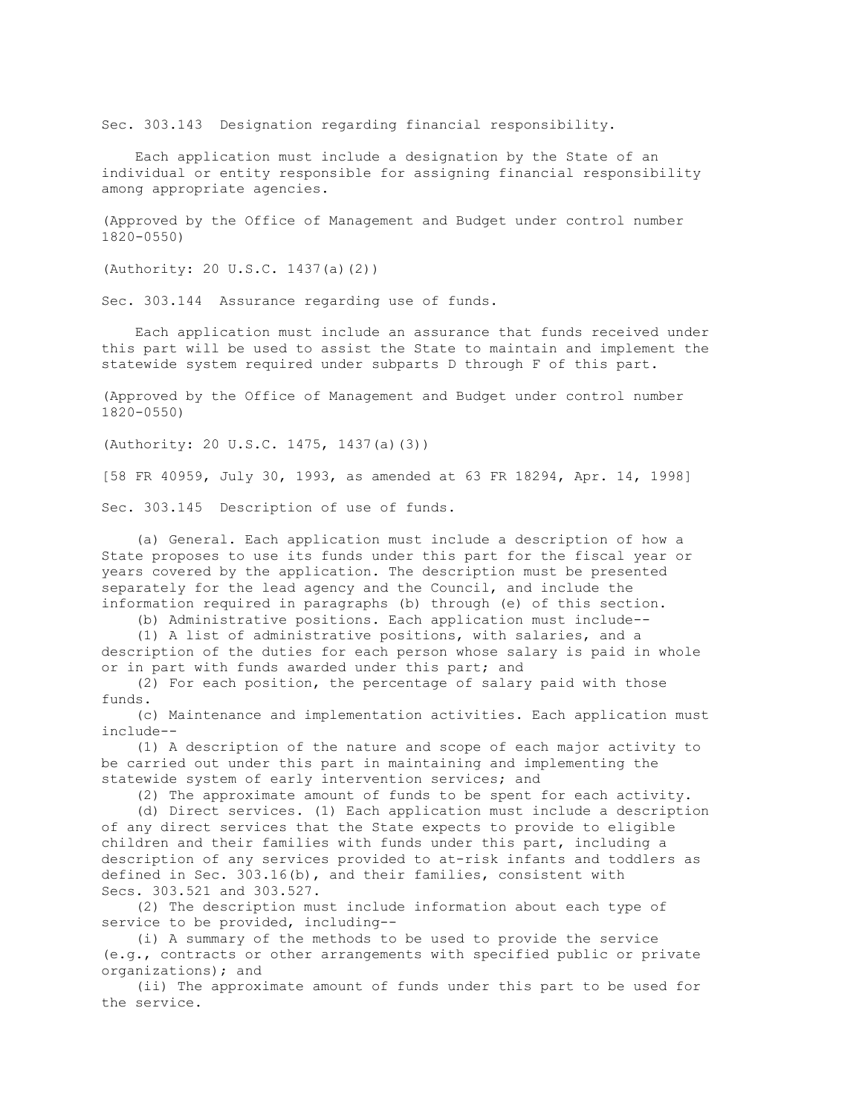Sec. 303.143 Designation regarding financial responsibility.

 Each application must include a designation by the State of an individual or entity responsible for assigning financial responsibility among appropriate agencies.

(Approved by the Office of Management and Budget under control number 1820-0550)

(Authority: 20 U.S.C. 1437(a)(2))

Sec. 303.144 Assurance regarding use of funds.

 Each application must include an assurance that funds received under this part will be used to assist the State to maintain and implement the statewide system required under subparts D through F of this part.

(Approved by the Office of Management and Budget under control number 1820-0550)

(Authority: 20 U.S.C. 1475, 1437(a)(3))

[58 FR 40959, July 30, 1993, as amended at 63 FR 18294, Apr. 14, 1998]

Sec. 303.145 Description of use of funds.

 (a) General. Each application must include a description of how a State proposes to use its funds under this part for the fiscal year or years covered by the application. The description must be presented separately for the lead agency and the Council, and include the information required in paragraphs (b) through (e) of this section.

(b) Administrative positions. Each application must include--

 (1) A list of administrative positions, with salaries, and a description of the duties for each person whose salary is paid in whole or in part with funds awarded under this part; and

 (2) For each position, the percentage of salary paid with those funds.

 (c) Maintenance and implementation activities. Each application must include--

 (1) A description of the nature and scope of each major activity to be carried out under this part in maintaining and implementing the statewide system of early intervention services; and

(2) The approximate amount of funds to be spent for each activity.

 (d) Direct services. (1) Each application must include a description of any direct services that the State expects to provide to eligible children and their families with funds under this part, including a description of any services provided to at-risk infants and toddlers as defined in Sec. 303.16(b), and their families, consistent with Secs. 303.521 and 303.527.

 (2) The description must include information about each type of service to be provided, including--

 (i) A summary of the methods to be used to provide the service (e.g., contracts or other arrangements with specified public or private organizations); and

 (ii) The approximate amount of funds under this part to be used for the service.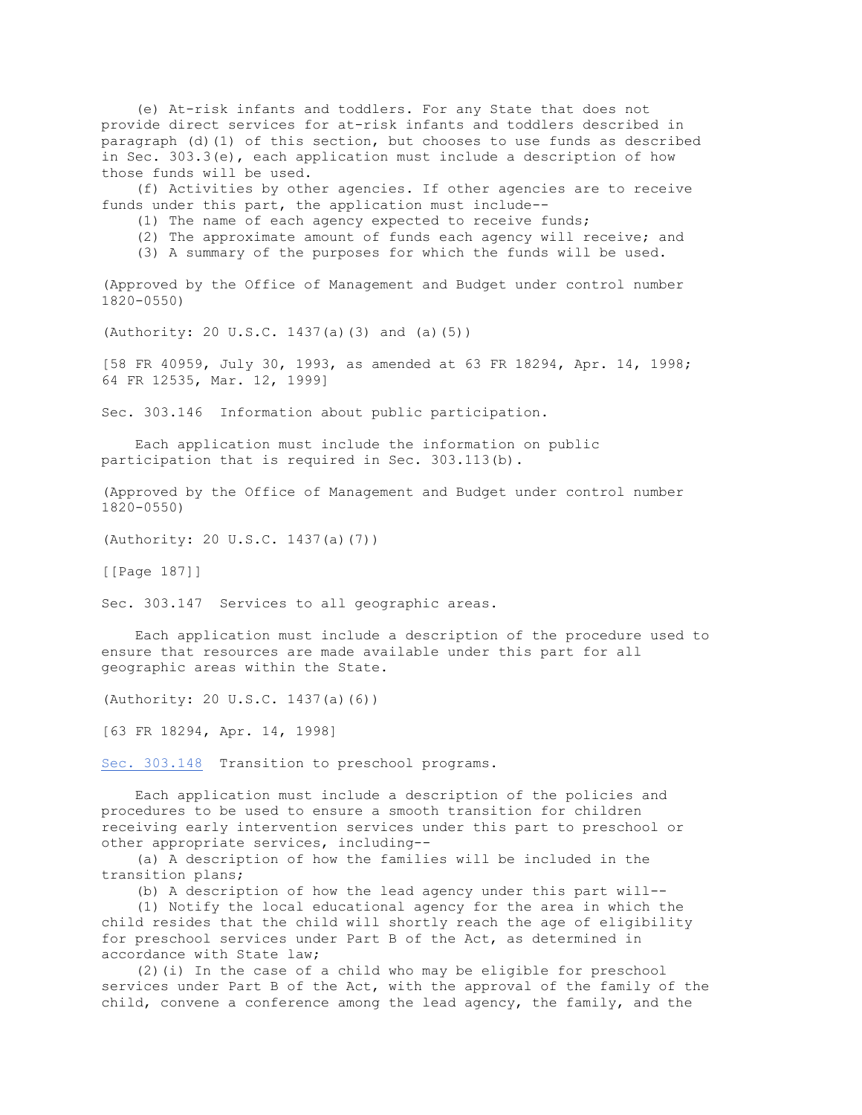(e) At-risk infants and toddlers. For any State that does not provide direct services for at-risk infants and toddlers described in paragraph (d)(1) of this section, but chooses to use funds as described in Sec. 303.3(e), each application must include a description of how those funds will be used.

 (f) Activities by other agencies. If other agencies are to receive funds under this part, the application must include--

(1) The name of each agency expected to receive funds;

- (2) The approximate amount of funds each agency will receive; and
- (3) A summary of the purposes for which the funds will be used.

(Approved by the Office of Management and Budget under control number 1820-0550)

(Authority: 20 U.S.C. 1437(a)(3) and (a)(5))

[58 FR 40959, July 30, 1993, as amended at 63 FR 18294, Apr. 14, 1998; 64 FR 12535, Mar. 12, 1999]

Sec. 303.146 Information about public participation.

 Each application must include the information on public participation that is required in Sec. 303.113(b).

(Approved by the Office of Management and Budget under control number 1820-0550)

(Authority: 20 U.S.C. 1437(a)(7))

[[Page 187]]

Sec. 303.147 Services to all geographic areas.

 Each application must include a description of the procedure used to ensure that resources are made available under this part for all geographic areas within the State.

(Authority: 20 U.S.C. 1437(a)(6))

[63 FR 18294, Apr. 14, 1998]

Sec. 303.148 Transition to preschool programs.

 Each application must include a description of the policies and procedures to be used to ensure a smooth transition for children receiving early intervention services under this part to preschool or other appropriate services, including--

 (a) A description of how the families will be included in the transition plans;

(b) A description of how the lead agency under this part will--

 (1) Notify the local educational agency for the area in which the child resides that the child will shortly reach the age of eligibility for preschool services under Part B of the Act, as determined in accordance with State law;

 (2)(i) In the case of a child who may be eligible for preschool services under Part B of the Act, with the approval of the family of the child, convene a conference among the lead agency, the family, and the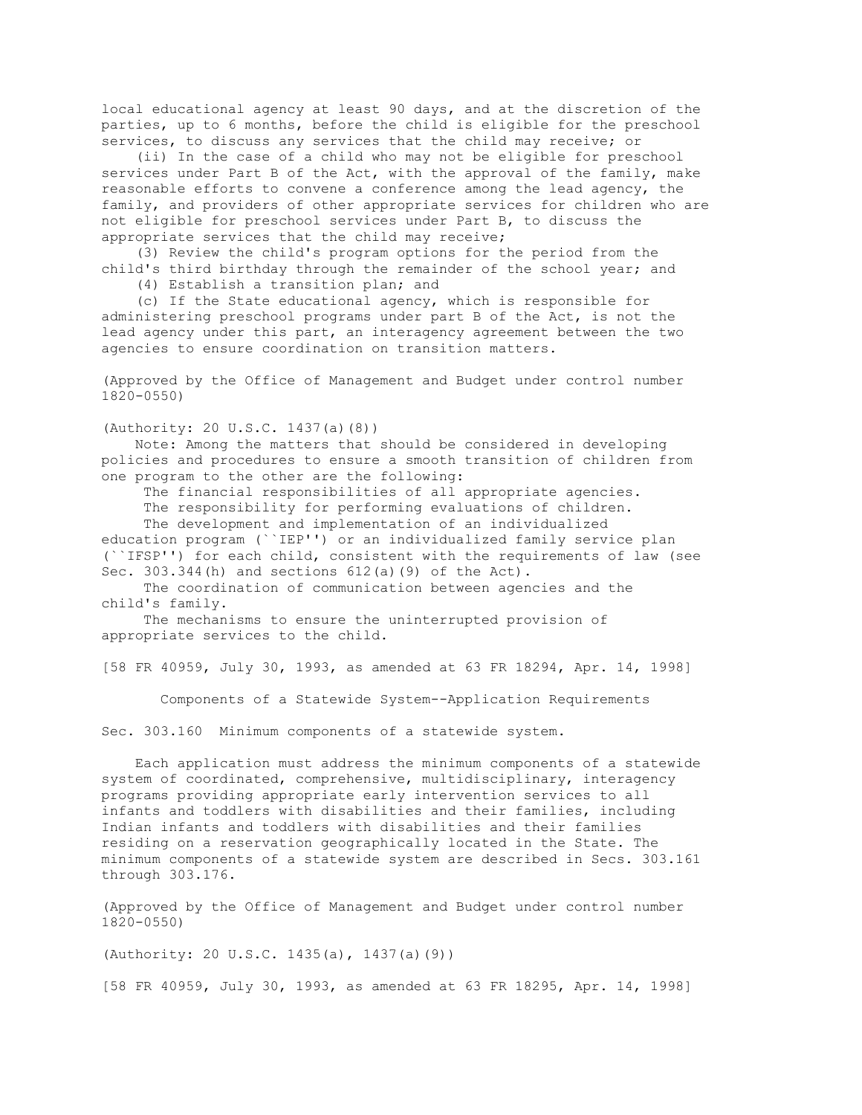local educational agency at least 90 days, and at the discretion of the parties, up to 6 months, before the child is eligible for the preschool services, to discuss any services that the child may receive; or

 (ii) In the case of a child who may not be eligible for preschool services under Part B of the Act, with the approval of the family, make reasonable efforts to convene a conference among the lead agency, the family, and providers of other appropriate services for children who are not eligible for preschool services under Part B, to discuss the appropriate services that the child may receive;

 (3) Review the child's program options for the period from the child's third birthday through the remainder of the school year; and

(4) Establish a transition plan; and

 (c) If the State educational agency, which is responsible for administering preschool programs under part B of the Act, is not the lead agency under this part, an interagency agreement between the two agencies to ensure coordination on transition matters.

(Approved by the Office of Management and Budget under control number 1820-0550)

(Authority: 20 U.S.C. 1437(a)(8))

 Note: Among the matters that should be considered in developing policies and procedures to ensure a smooth transition of children from one program to the other are the following:

 The financial responsibilities of all appropriate agencies. The responsibility for performing evaluations of children.

 The development and implementation of an individualized education program (``IEP'') or an individualized family service plan (``IFSP'') for each child, consistent with the requirements of law (see Sec. 303.344(h) and sections 612(a)(9) of the Act).

 The coordination of communication between agencies and the child's family.

 The mechanisms to ensure the uninterrupted provision of appropriate services to the child.

[58 FR 40959, July 30, 1993, as amended at 63 FR 18294, Apr. 14, 1998]

Components of a Statewide System--Application Requirements

Sec. 303.160 Minimum components of a statewide system.

 Each application must address the minimum components of a statewide system of coordinated, comprehensive, multidisciplinary, interagency programs providing appropriate early intervention services to all infants and toddlers with disabilities and their families, including Indian infants and toddlers with disabilities and their families residing on a reservation geographically located in the State. The minimum components of a statewide system are described in Secs. 303.161 through 303.176.

(Approved by the Office of Management and Budget under control number 1820-0550)

(Authority: 20 U.S.C. 1435(a), 1437(a)(9))

[58 FR 40959, July 30, 1993, as amended at 63 FR 18295, Apr. 14, 1998]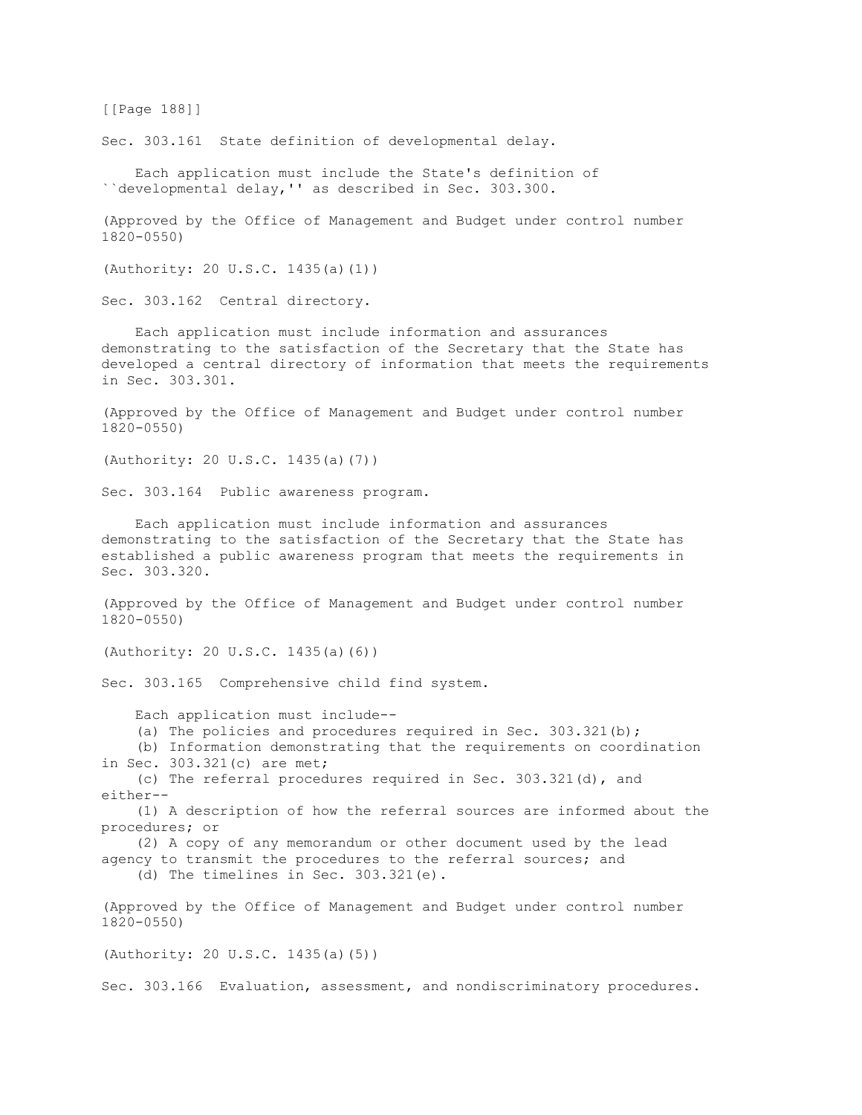[[Page 188]]

Sec. 303.161 State definition of developmental delay.

 Each application must include the State's definition of ``developmental delay,'' as described in Sec. 303.300.

(Approved by the Office of Management and Budget under control number 1820-0550)

(Authority: 20 U.S.C. 1435(a)(1))

Sec. 303.162 Central directory.

 Each application must include information and assurances demonstrating to the satisfaction of the Secretary that the State has developed a central directory of information that meets the requirements in Sec. 303.301.

(Approved by the Office of Management and Budget under control number 1820-0550)

(Authority: 20 U.S.C. 1435(a)(7))

Sec. 303.164 Public awareness program.

 Each application must include information and assurances demonstrating to the satisfaction of the Secretary that the State has established a public awareness program that meets the requirements in Sec. 303.320.

(Approved by the Office of Management and Budget under control number 1820-0550)

(Authority: 20 U.S.C. 1435(a)(6))

Sec. 303.165 Comprehensive child find system.

Each application must include--

(a) The policies and procedures required in Sec. 303.321(b);

 (b) Information demonstrating that the requirements on coordination in Sec. 303.321(c) are met;

 (c) The referral procedures required in Sec. 303.321(d), and either--

 (1) A description of how the referral sources are informed about the procedures; or

 (2) A copy of any memorandum or other document used by the lead agency to transmit the procedures to the referral sources; and

(d) The timelines in Sec. 303.321(e).

(Approved by the Office of Management and Budget under control number 1820-0550)

(Authority: 20 U.S.C. 1435(a)(5))

Sec. 303.166 Evaluation, assessment, and nondiscriminatory procedures.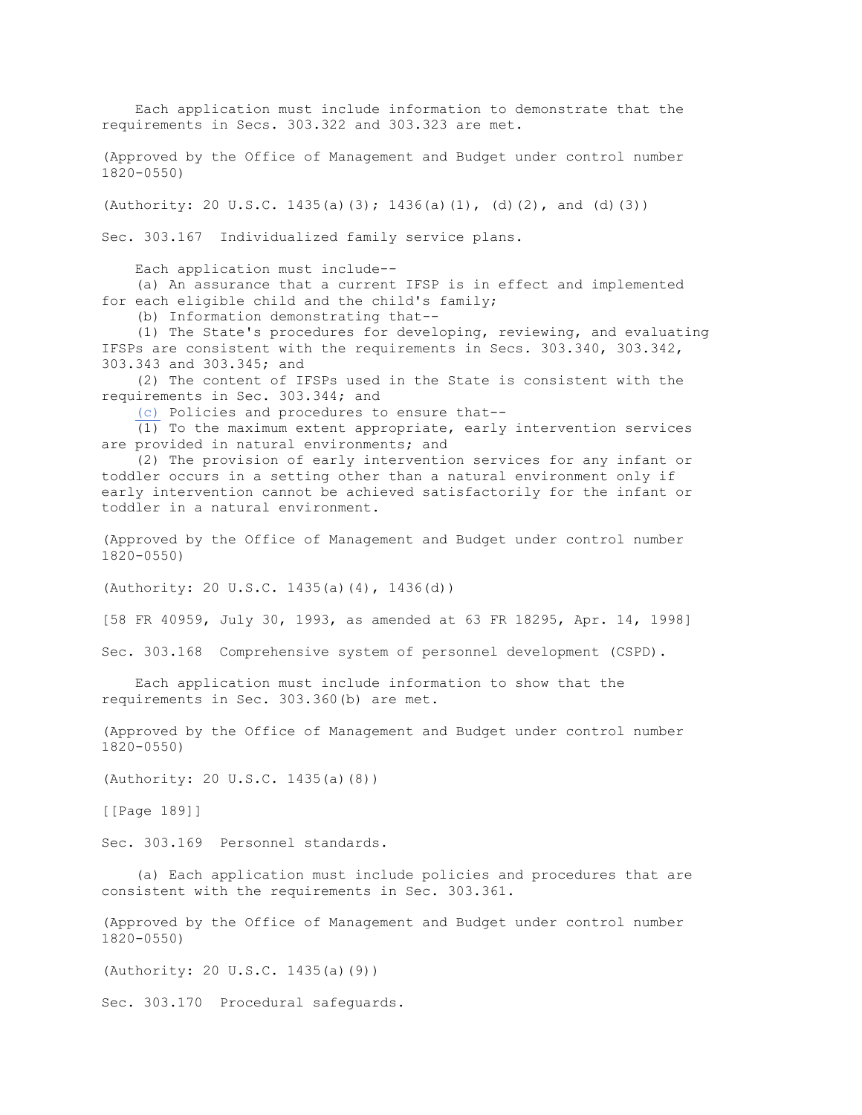Each application must include information to demonstrate that the requirements in Secs. 303.322 and 303.323 are met.

(Approved by the Office of Management and Budget under control number 1820-0550)

(Authority: 20 U.S.C. 1435(a)(3); 1436(a)(1), (d)(2), and (d)(3))

Sec. 303.167 Individualized family service plans.

Each application must include--

 (a) An assurance that a current IFSP is in effect and implemented for each eligible child and the child's family;

(b) Information demonstrating that--

 (1) The State's procedures for developing, reviewing, and evaluating IFSPs are consistent with the requirements in Secs. 303.340, 303.342, 303.343 and 303.345; and

 (2) The content of IFSPs used in the State is consistent with the requirements in Sec. 303.344; and

(c) Policies and procedures to ensure that--

 (1) To the maximum extent appropriate, early intervention services are provided in natural environments; and

 (2) The provision of early intervention services for any infant or toddler occurs in a setting other than a natural environment only if early intervention cannot be achieved satisfactorily for the infant or toddler in a natural environment.

(Approved by the Office of Management and Budget under control number 1820-0550)

(Authority: 20 U.S.C. 1435(a)(4), 1436(d))

[58 FR 40959, July 30, 1993, as amended at 63 FR 18295, Apr. 14, 1998]

Sec. 303.168 Comprehensive system of personnel development (CSPD).

 Each application must include information to show that the requirements in Sec. 303.360(b) are met.

(Approved by the Office of Management and Budget under control number 1820-0550)

(Authority: 20 U.S.C. 1435(a)(8))

[[Page 189]]

Sec. 303.169 Personnel standards.

 (a) Each application must include policies and procedures that are consistent with the requirements in Sec. 303.361.

(Approved by the Office of Management and Budget under control number 1820-0550)

(Authority: 20 U.S.C. 1435(a)(9))

Sec. 303.170 Procedural safeguards.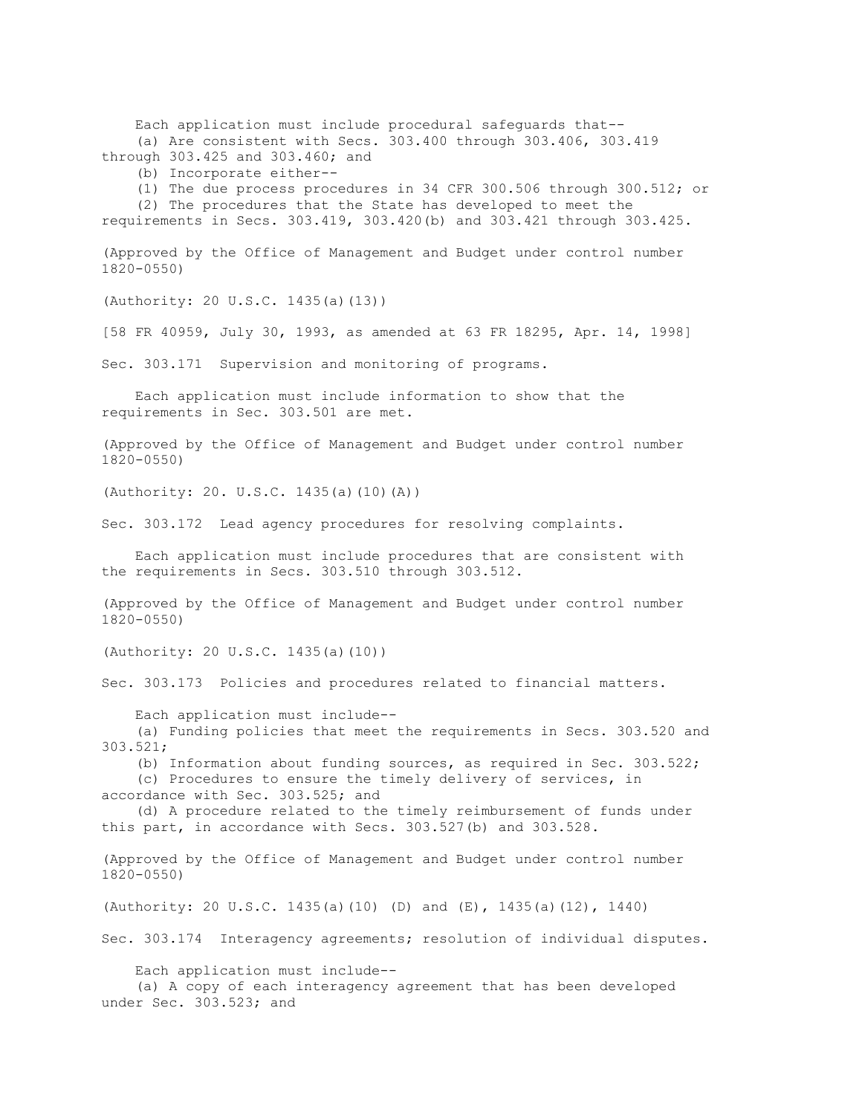Each application must include procedural safeguards that-- (a) Are consistent with Secs. 303.400 through 303.406, 303.419 through 303.425 and 303.460; and

(b) Incorporate either--

(1) The due process procedures in 34 CFR 300.506 through 300.512; or

 (2) The procedures that the State has developed to meet the requirements in Secs. 303.419, 303.420(b) and 303.421 through 303.425.

(Approved by the Office of Management and Budget under control number 1820-0550)

(Authority: 20 U.S.C. 1435(a)(13))

[58 FR 40959, July 30, 1993, as amended at 63 FR 18295, Apr. 14, 1998]

Sec. 303.171 Supervision and monitoring of programs.

 Each application must include information to show that the requirements in Sec. 303.501 are met.

(Approved by the Office of Management and Budget under control number 1820-0550)

(Authority: 20. U.S.C. 1435(a)(10)(A))

Sec. 303.172 Lead agency procedures for resolving complaints.

 Each application must include procedures that are consistent with the requirements in Secs. 303.510 through 303.512.

(Approved by the Office of Management and Budget under control number 1820-0550)

(Authority: 20 U.S.C. 1435(a)(10))

Sec. 303.173 Policies and procedures related to financial matters.

Each application must include--

 (a) Funding policies that meet the requirements in Secs. 303.520 and 303.521;

 (b) Information about funding sources, as required in Sec. 303.522; (c) Procedures to ensure the timely delivery of services, in

accordance with Sec. 303.525; and

 (d) A procedure related to the timely reimbursement of funds under this part, in accordance with Secs. 303.527(b) and 303.528.

(Approved by the Office of Management and Budget under control number 1820-0550)

(Authority: 20 U.S.C. 1435(a)(10) (D) and (E), 1435(a)(12), 1440)

Sec. 303.174 Interagency agreements; resolution of individual disputes.

Each application must include--

 (a) A copy of each interagency agreement that has been developed under Sec. 303.523; and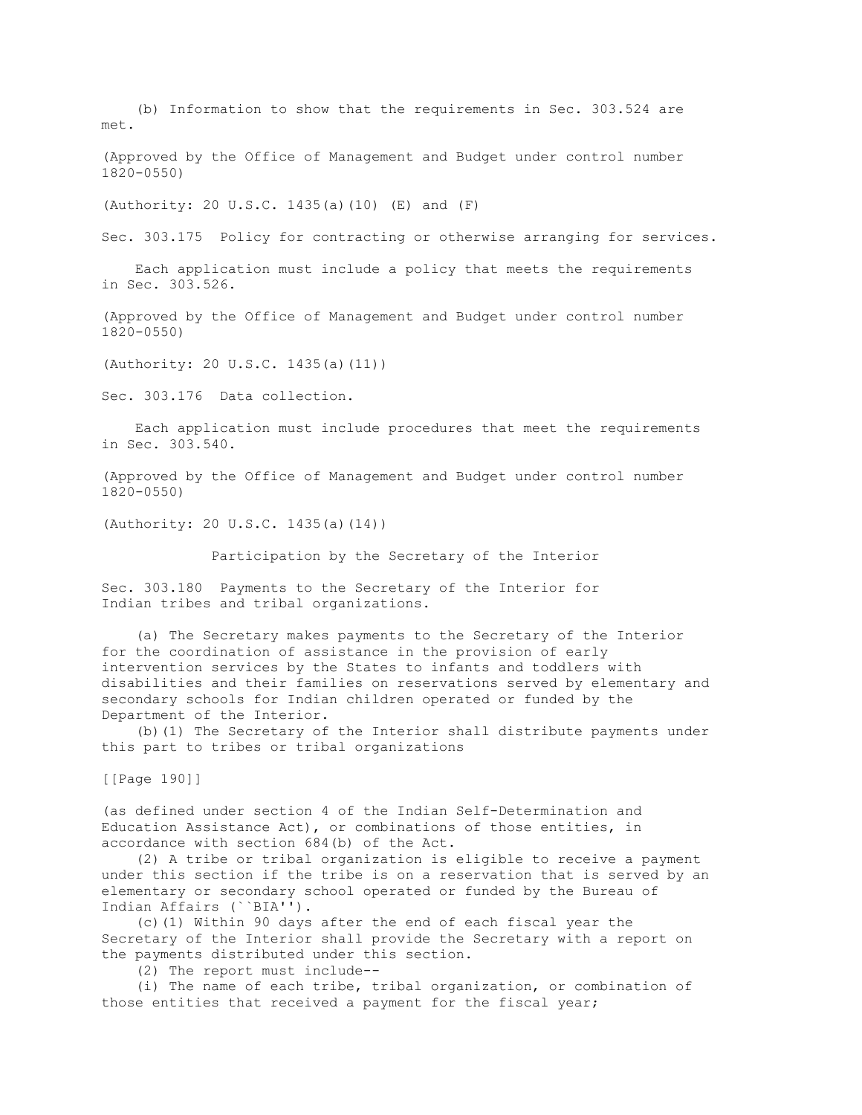(b) Information to show that the requirements in Sec. 303.524 are met.

(Approved by the Office of Management and Budget under control number 1820-0550)

(Authority: 20 U.S.C. 1435(a)(10) (E) and (F)

Sec. 303.175 Policy for contracting or otherwise arranging for services.

 Each application must include a policy that meets the requirements in Sec. 303.526.

(Approved by the Office of Management and Budget under control number 1820-0550)

(Authority: 20 U.S.C. 1435(a)(11))

Sec. 303.176 Data collection.

 Each application must include procedures that meet the requirements in Sec. 303.540.

(Approved by the Office of Management and Budget under control number 1820-0550)

(Authority: 20 U.S.C. 1435(a)(14))

Participation by the Secretary of the Interior

Sec. 303.180 Payments to the Secretary of the Interior for Indian tribes and tribal organizations.

 (a) The Secretary makes payments to the Secretary of the Interior for the coordination of assistance in the provision of early intervention services by the States to infants and toddlers with disabilities and their families on reservations served by elementary and secondary schools for Indian children operated or funded by the Department of the Interior.

 (b)(1) The Secretary of the Interior shall distribute payments under this part to tribes or tribal organizations

[[Page 190]]

(as defined under section 4 of the Indian Self-Determination and Education Assistance Act), or combinations of those entities, in accordance with section 684(b) of the Act.

 (2) A tribe or tribal organization is eligible to receive a payment under this section if the tribe is on a reservation that is served by an elementary or secondary school operated or funded by the Bureau of Indian Affairs (``BIA'').

 (c)(1) Within 90 days after the end of each fiscal year the Secretary of the Interior shall provide the Secretary with a report on the payments distributed under this section.

(2) The report must include--

 (i) The name of each tribe, tribal organization, or combination of those entities that received a payment for the fiscal year;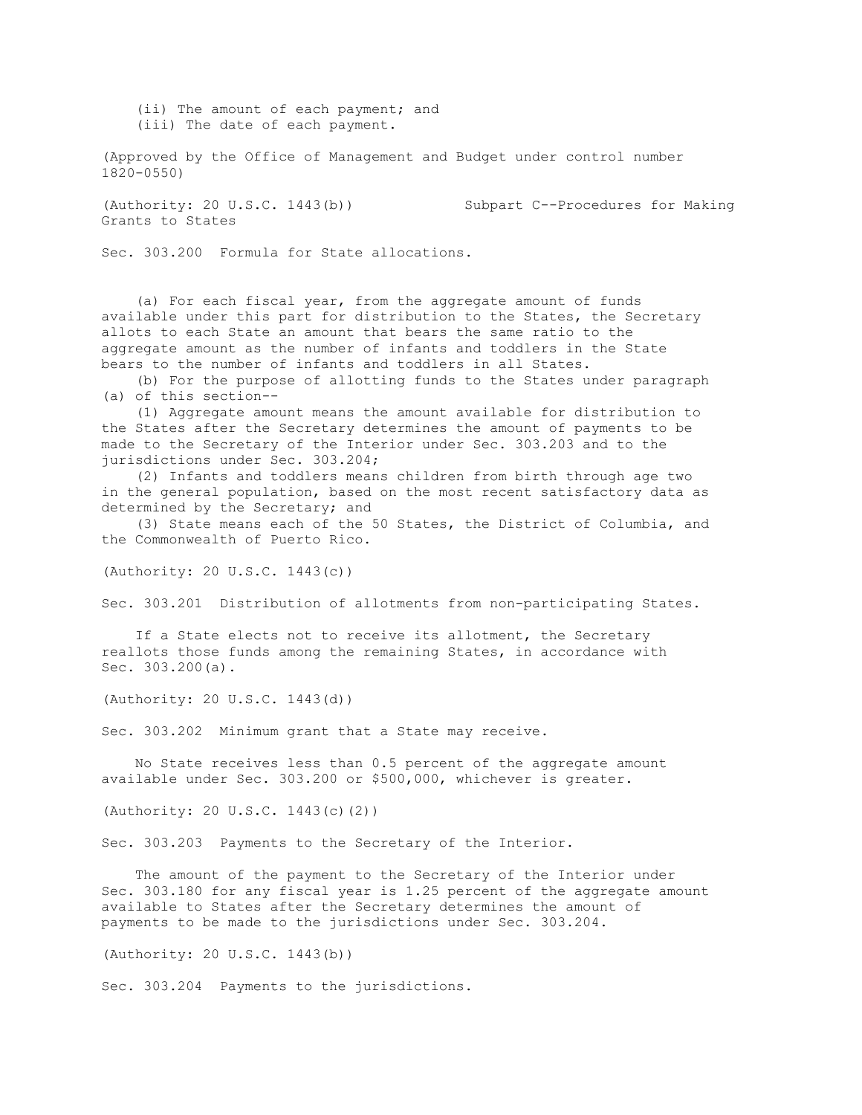(ii) The amount of each payment; and (iii) The date of each payment.

(Approved by the Office of Management and Budget under control number 1820-0550)

(Authority: 20 U.S.C. 1443(b)) Subpart C--Procedures for Making Grants to States

Sec. 303.200 Formula for State allocations.

 (a) For each fiscal year, from the aggregate amount of funds available under this part for distribution to the States, the Secretary allots to each State an amount that bears the same ratio to the aggregate amount as the number of infants and toddlers in the State bears to the number of infants and toddlers in all States.

 (b) For the purpose of allotting funds to the States under paragraph (a) of this section--

 (1) Aggregate amount means the amount available for distribution to the States after the Secretary determines the amount of payments to be made to the Secretary of the Interior under Sec. 303.203 and to the jurisdictions under Sec. 303.204;

 (2) Infants and toddlers means children from birth through age two in the general population, based on the most recent satisfactory data as determined by the Secretary; and

 (3) State means each of the 50 States, the District of Columbia, and the Commonwealth of Puerto Rico.

(Authority: 20 U.S.C. 1443(c))

Sec. 303.201 Distribution of allotments from non-participating States.

 If a State elects not to receive its allotment, the Secretary reallots those funds among the remaining States, in accordance with Sec. 303.200(a).

(Authority: 20 U.S.C. 1443(d))

Sec. 303.202 Minimum grant that a State may receive.

 No State receives less than 0.5 percent of the aggregate amount available under Sec. 303.200 or \$500,000, whichever is greater.

(Authority: 20 U.S.C. 1443(c)(2))

Sec. 303.203 Payments to the Secretary of the Interior.

 The amount of the payment to the Secretary of the Interior under Sec. 303.180 for any fiscal year is 1.25 percent of the aggregate amount available to States after the Secretary determines the amount of payments to be made to the jurisdictions under Sec. 303.204.

(Authority: 20 U.S.C. 1443(b))

Sec. 303.204 Payments to the jurisdictions.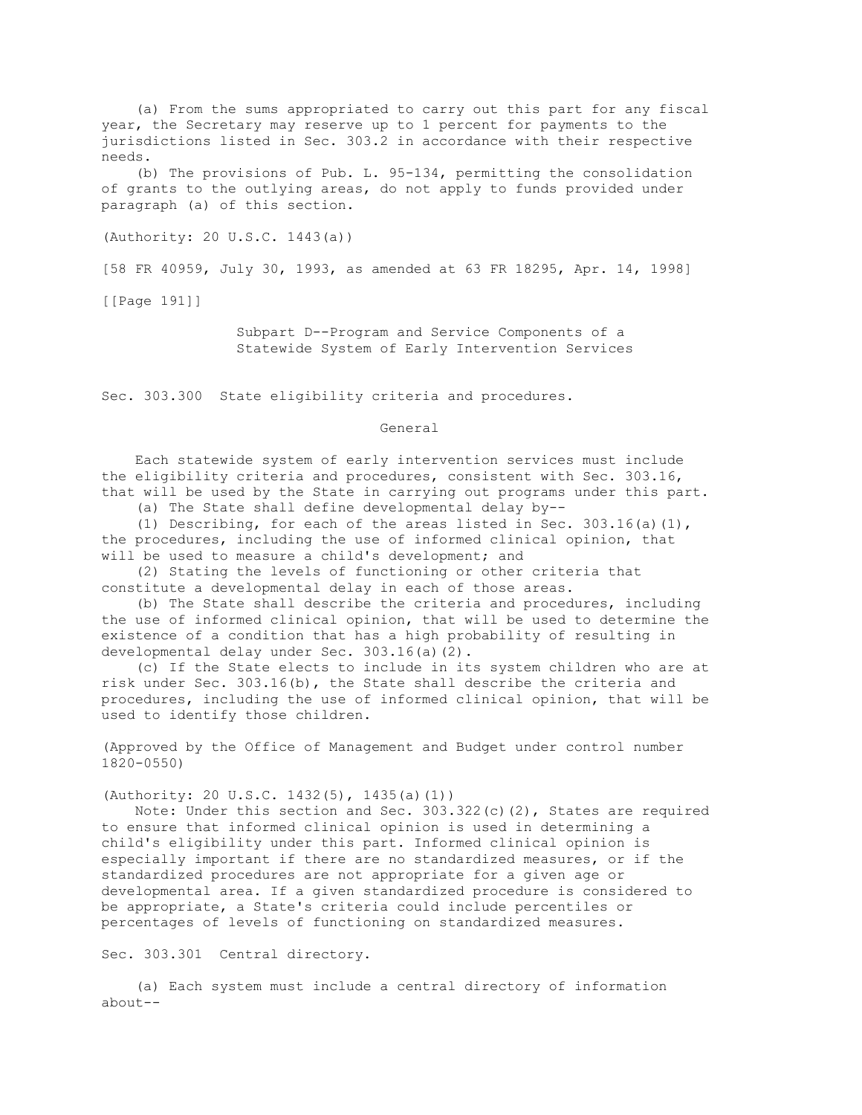(a) From the sums appropriated to carry out this part for any fiscal year, the Secretary may reserve up to 1 percent for payments to the jurisdictions listed in Sec. 303.2 in accordance with their respective needs.

 (b) The provisions of Pub. L. 95-134, permitting the consolidation of grants to the outlying areas, do not apply to funds provided under paragraph (a) of this section.

(Authority: 20 U.S.C. 1443(a))

[58 FR 40959, July 30, 1993, as amended at 63 FR 18295, Apr. 14, 1998]

[[Page 191]]

Subpart D--Program and Service Components of a Statewide System of Early Intervention Services

Sec. 303.300 State eligibility criteria and procedures.

## General

 Each statewide system of early intervention services must include the eligibility criteria and procedures, consistent with Sec. 303.16, that will be used by the State in carrying out programs under this part.

(a) The State shall define developmental delay by--

(1) Describing, for each of the areas listed in Sec. 303.16(a)(1), the procedures, including the use of informed clinical opinion, that will be used to measure a child's development; and

 (2) Stating the levels of functioning or other criteria that constitute a developmental delay in each of those areas.

 (b) The State shall describe the criteria and procedures, including the use of informed clinical opinion, that will be used to determine the existence of a condition that has a high probability of resulting in developmental delay under Sec. 303.16(a)(2).

 (c) If the State elects to include in its system children who are at risk under Sec. 303.16(b), the State shall describe the criteria and procedures, including the use of informed clinical opinion, that will be used to identify those children.

(Approved by the Office of Management and Budget under control number 1820-0550)

(Authority: 20 U.S.C. 1432(5), 1435(a)(1))

 Note: Under this section and Sec. 303.322(c)(2), States are required to ensure that informed clinical opinion is used in determining a child's eligibility under this part. Informed clinical opinion is especially important if there are no standardized measures, or if the standardized procedures are not appropriate for a given age or developmental area. If a given standardized procedure is considered to be appropriate, a State's criteria could include percentiles or percentages of levels of functioning on standardized measures.

Sec. 303.301 Central directory.

 (a) Each system must include a central directory of information about--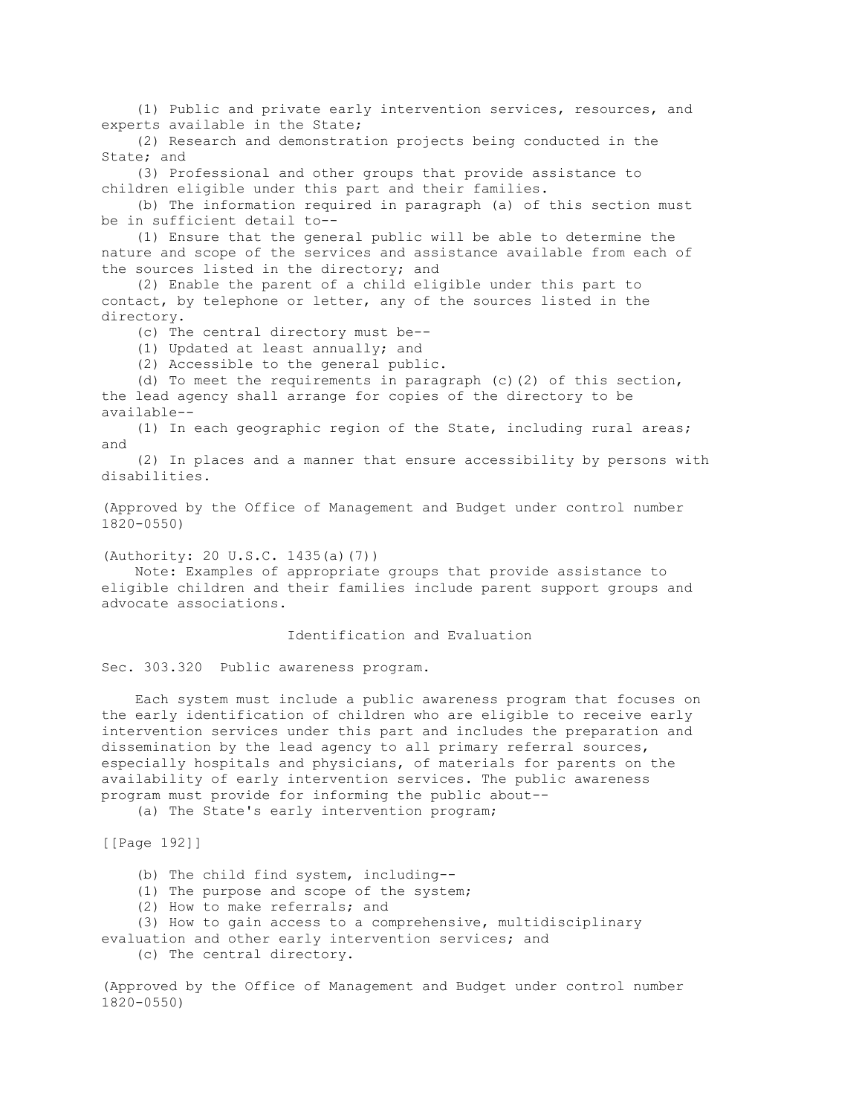(1) Public and private early intervention services, resources, and experts available in the State;

 (2) Research and demonstration projects being conducted in the State; and

 (3) Professional and other groups that provide assistance to children eligible under this part and their families.

 (b) The information required in paragraph (a) of this section must be in sufficient detail to--

 (1) Ensure that the general public will be able to determine the nature and scope of the services and assistance available from each of the sources listed in the directory; and

 (2) Enable the parent of a child eligible under this part to contact, by telephone or letter, any of the sources listed in the directory.

(c) The central directory must be--

(1) Updated at least annually; and

(2) Accessible to the general public.

 (d) To meet the requirements in paragraph (c)(2) of this section, the lead agency shall arrange for copies of the directory to be available--

 (1) In each geographic region of the State, including rural areas; and

 (2) In places and a manner that ensure accessibility by persons with disabilities.

(Approved by the Office of Management and Budget under control number 1820-0550)

(Authority: 20 U.S.C. 1435(a)(7))

 Note: Examples of appropriate groups that provide assistance to eligible children and their families include parent support groups and advocate associations.

## Identification and Evaluation

Sec. 303.320 Public awareness program.

 Each system must include a public awareness program that focuses on the early identification of children who are eligible to receive early intervention services under this part and includes the preparation and dissemination by the lead agency to all primary referral sources, especially hospitals and physicians, of materials for parents on the availability of early intervention services. The public awareness program must provide for informing the public about--

(a) The State's early intervention program;

[[Page 192]]

- (b) The child find system, including--
- (1) The purpose and scope of the system;
- (2) How to make referrals; and

(3) How to gain access to a comprehensive, multidisciplinary

evaluation and other early intervention services; and

(c) The central directory.

(Approved by the Office of Management and Budget under control number 1820-0550)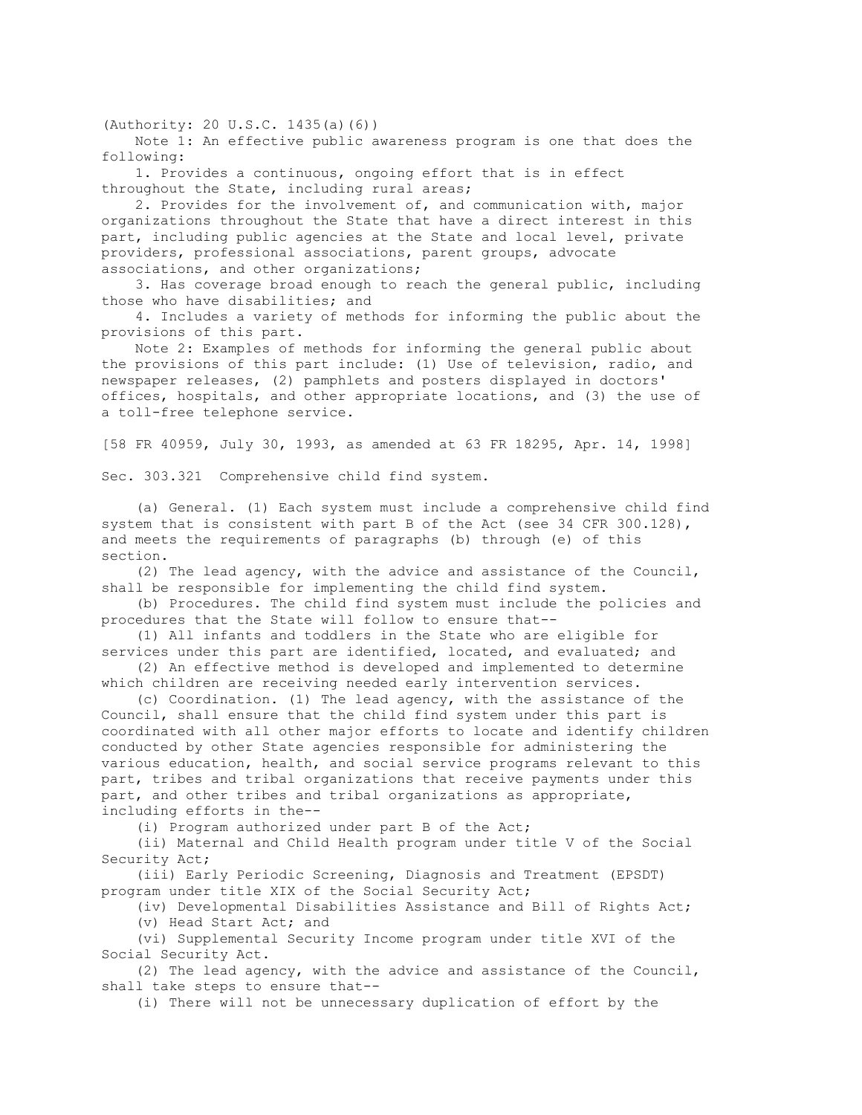(Authority: 20 U.S.C. 1435(a)(6))

 Note 1: An effective public awareness program is one that does the following:

 1. Provides a continuous, ongoing effort that is in effect throughout the State, including rural areas;

 2. Provides for the involvement of, and communication with, major organizations throughout the State that have a direct interest in this part, including public agencies at the State and local level, private providers, professional associations, parent groups, advocate associations, and other organizations;

 3. Has coverage broad enough to reach the general public, including those who have disabilities; and

 4. Includes a variety of methods for informing the public about the provisions of this part.

 Note 2: Examples of methods for informing the general public about the provisions of this part include: (1) Use of television, radio, and newspaper releases, (2) pamphlets and posters displayed in doctors' offices, hospitals, and other appropriate locations, and (3) the use of a toll-free telephone service.

[58 FR 40959, July 30, 1993, as amended at 63 FR 18295, Apr. 14, 1998]

Sec. 303.321 Comprehensive child find system.

 (a) General. (1) Each system must include a comprehensive child find system that is consistent with part B of the Act (see 34 CFR 300.128), and meets the requirements of paragraphs (b) through (e) of this section.

 (2) The lead agency, with the advice and assistance of the Council, shall be responsible for implementing the child find system.

 (b) Procedures. The child find system must include the policies and procedures that the State will follow to ensure that--

 (1) All infants and toddlers in the State who are eligible for services under this part are identified, located, and evaluated; and

 (2) An effective method is developed and implemented to determine which children are receiving needed early intervention services.

 (c) Coordination. (1) The lead agency, with the assistance of the Council, shall ensure that the child find system under this part is coordinated with all other major efforts to locate and identify children conducted by other State agencies responsible for administering the various education, health, and social service programs relevant to this part, tribes and tribal organizations that receive payments under this part, and other tribes and tribal organizations as appropriate, including efforts in the--

(i) Program authorized under part B of the Act;

 (ii) Maternal and Child Health program under title V of the Social Security Act;

 (iii) Early Periodic Screening, Diagnosis and Treatment (EPSDT) program under title XIX of the Social Security Act;

(iv) Developmental Disabilities Assistance and Bill of Rights Act;

(v) Head Start Act; and

 (vi) Supplemental Security Income program under title XVI of the Social Security Act.

 (2) The lead agency, with the advice and assistance of the Council, shall take steps to ensure that--

(i) There will not be unnecessary duplication of effort by the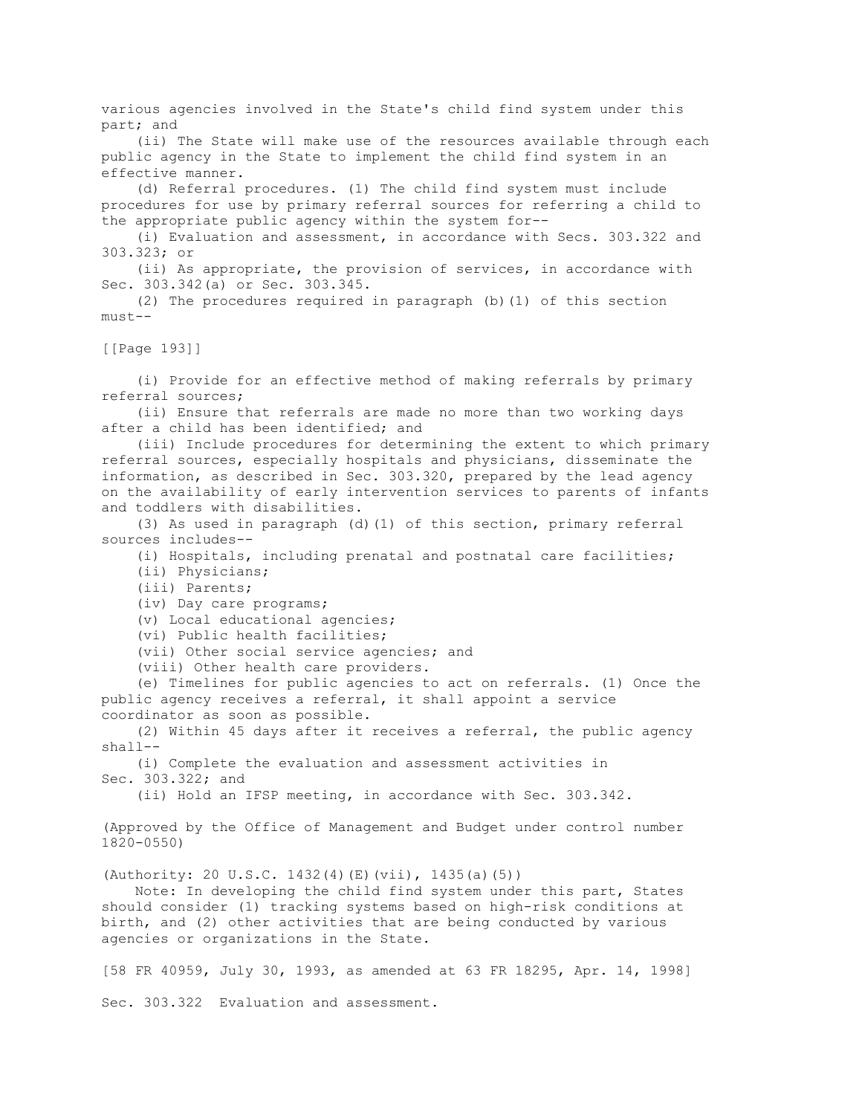various agencies involved in the State's child find system under this part; and (ii) The State will make use of the resources available through each public agency in the State to implement the child find system in an effective manner. (d) Referral procedures. (1) The child find system must include procedures for use by primary referral sources for referring a child to the appropriate public agency within the system for-- (i) Evaluation and assessment, in accordance with Secs. 303.322 and 303.323; or (ii) As appropriate, the provision of services, in accordance with Sec. 303.342(a) or Sec. 303.345. (2) The procedures required in paragraph (b)(1) of this section must-- [[Page 193]] (i) Provide for an effective method of making referrals by primary referral sources; (ii) Ensure that referrals are made no more than two working days after a child has been identified; and (iii) Include procedures for determining the extent to which primary referral sources, especially hospitals and physicians, disseminate the information, as described in Sec. 303.320, prepared by the lead agency on the availability of early intervention services to parents of infants and toddlers with disabilities. (3) As used in paragraph (d)(1) of this section, primary referral sources includes-- (i) Hospitals, including prenatal and postnatal care facilities; (ii) Physicians; (iii) Parents; (iv) Day care programs; (v) Local educational agencies; (vi) Public health facilities; (vii) Other social service agencies; and (viii) Other health care providers. (e) Timelines for public agencies to act on referrals. (1) Once the public agency receives a referral, it shall appoint a service coordinator as soon as possible. (2) Within 45 days after it receives a referral, the public agency shall-- (i) Complete the evaluation and assessment activities in Sec. 303.322; and (ii) Hold an IFSP meeting, in accordance with Sec. 303.342. (Approved by the Office of Management and Budget under control number 1820-0550) (Authority: 20 U.S.C. 1432(4)(E)(vii), 1435(a)(5)) Note: In developing the child find system under this part, States should consider (1) tracking systems based on high-risk conditions at birth, and (2) other activities that are being conducted by various agencies or organizations in the State. [58 FR 40959, July 30, 1993, as amended at 63 FR 18295, Apr. 14, 1998] Sec. 303.322 Evaluation and assessment.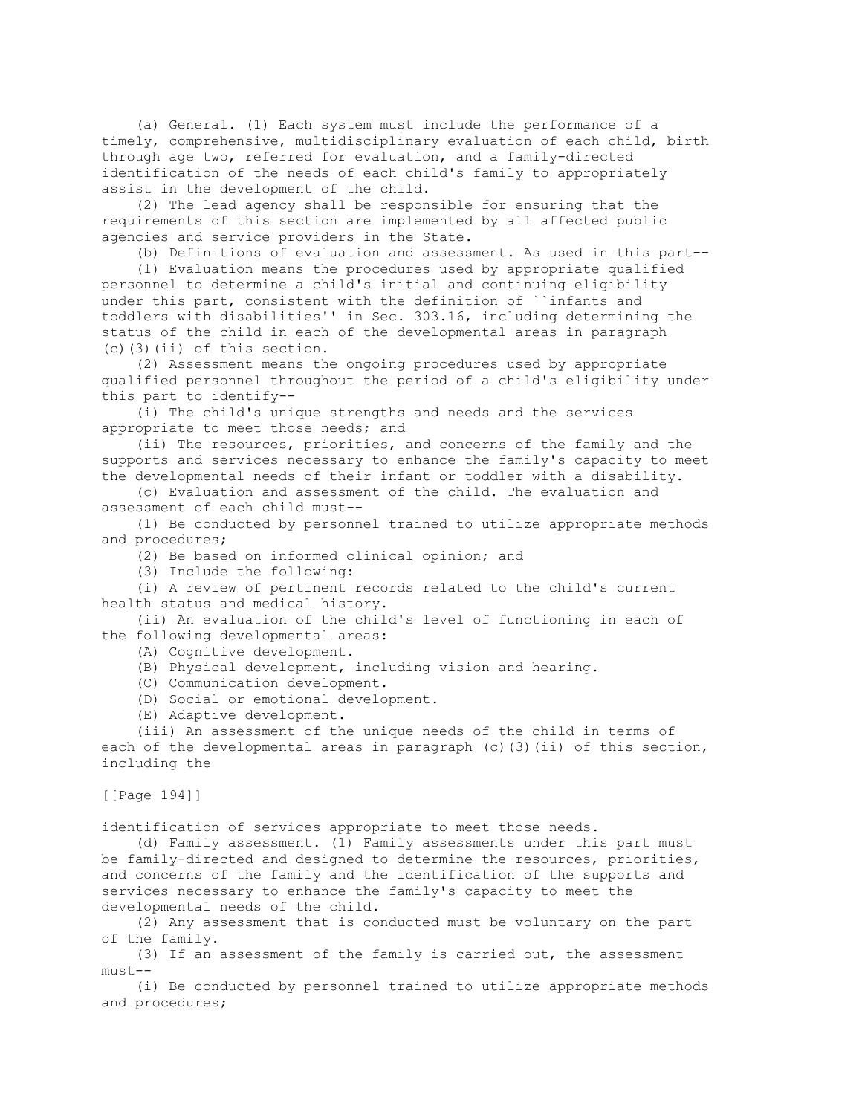(a) General. (1) Each system must include the performance of a timely, comprehensive, multidisciplinary evaluation of each child, birth through age two, referred for evaluation, and a family-directed identification of the needs of each child's family to appropriately assist in the development of the child.

 (2) The lead agency shall be responsible for ensuring that the requirements of this section are implemented by all affected public agencies and service providers in the State.

(b) Definitions of evaluation and assessment. As used in this part--

 (1) Evaluation means the procedures used by appropriate qualified personnel to determine a child's initial and continuing eligibility under this part, consistent with the definition of "infants and toddlers with disabilities'' in Sec. 303.16, including determining the status of the child in each of the developmental areas in paragraph (c)(3)(ii) of this section.

 (2) Assessment means the ongoing procedures used by appropriate qualified personnel throughout the period of a child's eligibility under this part to identify--

 (i) The child's unique strengths and needs and the services appropriate to meet those needs; and

 (ii) The resources, priorities, and concerns of the family and the supports and services necessary to enhance the family's capacity to meet the developmental needs of their infant or toddler with a disability.

 (c) Evaluation and assessment of the child. The evaluation and assessment of each child must--

 (1) Be conducted by personnel trained to utilize appropriate methods and procedures;

(2) Be based on informed clinical opinion; and

(3) Include the following:

 (i) A review of pertinent records related to the child's current health status and medical history.

 (ii) An evaluation of the child's level of functioning in each of the following developmental areas:

(A) Cognitive development.

(B) Physical development, including vision and hearing.

- (C) Communication development.
- (D) Social or emotional development.
- (E) Adaptive development.

 (iii) An assessment of the unique needs of the child in terms of each of the developmental areas in paragraph (c)(3)(ii) of this section, including the

[[Page 194]]

identification of services appropriate to meet those needs.

 (d) Family assessment. (1) Family assessments under this part must be family-directed and designed to determine the resources, priorities, and concerns of the family and the identification of the supports and services necessary to enhance the family's capacity to meet the developmental needs of the child.

 (2) Any assessment that is conducted must be voluntary on the part of the family.

 (3) If an assessment of the family is carried out, the assessment  $must--$ 

 (i) Be conducted by personnel trained to utilize appropriate methods and procedures;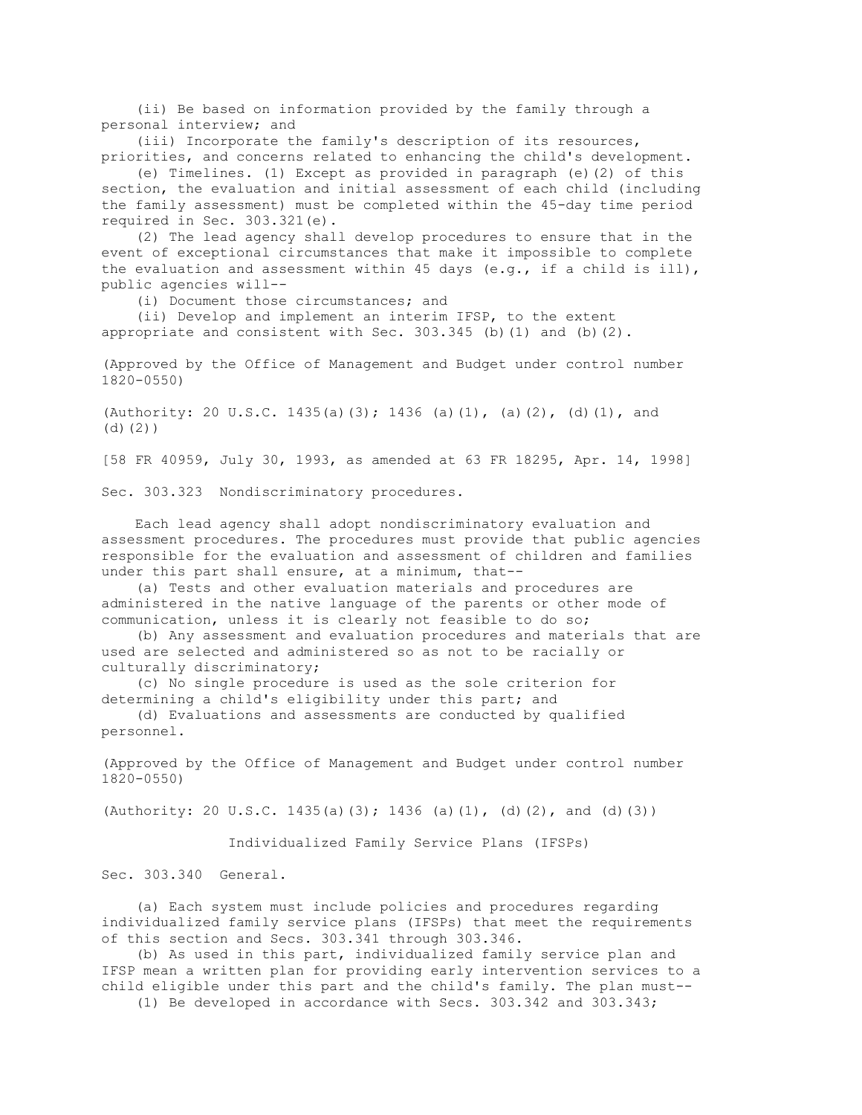(ii) Be based on information provided by the family through a personal interview; and

 (iii) Incorporate the family's description of its resources, priorities, and concerns related to enhancing the child's development.

 (e) Timelines. (1) Except as provided in paragraph (e)(2) of this section, the evaluation and initial assessment of each child (including the family assessment) must be completed within the 45-day time period required in Sec. 303.321(e).

 (2) The lead agency shall develop procedures to ensure that in the event of exceptional circumstances that make it impossible to complete the evaluation and assessment within 45 days (e.g., if a child is ill), public agencies will--

(i) Document those circumstances; and

 (ii) Develop and implement an interim IFSP, to the extent appropriate and consistent with Sec.  $303.345$  (b)(1) and (b)(2).

(Approved by the Office of Management and Budget under control number 1820-0550)

(Authority: 20 U.S.C. 1435(a)(3); 1436 (a)(1), (a)(2), (d)(1), and (d)(2))

[58 FR 40959, July 30, 1993, as amended at 63 FR 18295, Apr. 14, 1998]

Sec. 303.323 Nondiscriminatory procedures.

 Each lead agency shall adopt nondiscriminatory evaluation and assessment procedures. The procedures must provide that public agencies responsible for the evaluation and assessment of children and families under this part shall ensure, at a minimum, that--

 (a) Tests and other evaluation materials and procedures are administered in the native language of the parents or other mode of communication, unless it is clearly not feasible to do so;

 (b) Any assessment and evaluation procedures and materials that are used are selected and administered so as not to be racially or culturally discriminatory;

 (c) No single procedure is used as the sole criterion for determining a child's eligibility under this part; and

 (d) Evaluations and assessments are conducted by qualified personnel.

(Approved by the Office of Management and Budget under control number 1820-0550)

(Authority: 20 U.S.C. 1435(a)(3); 1436 (a)(1), (d)(2), and (d)(3))

Individualized Family Service Plans (IFSPs)

Sec. 303.340 General.

 (a) Each system must include policies and procedures regarding individualized family service plans (IFSPs) that meet the requirements of this section and Secs. 303.341 through 303.346.

 (b) As used in this part, individualized family service plan and IFSP mean a written plan for providing early intervention services to a child eligible under this part and the child's family. The plan must--

(1) Be developed in accordance with Secs. 303.342 and 303.343;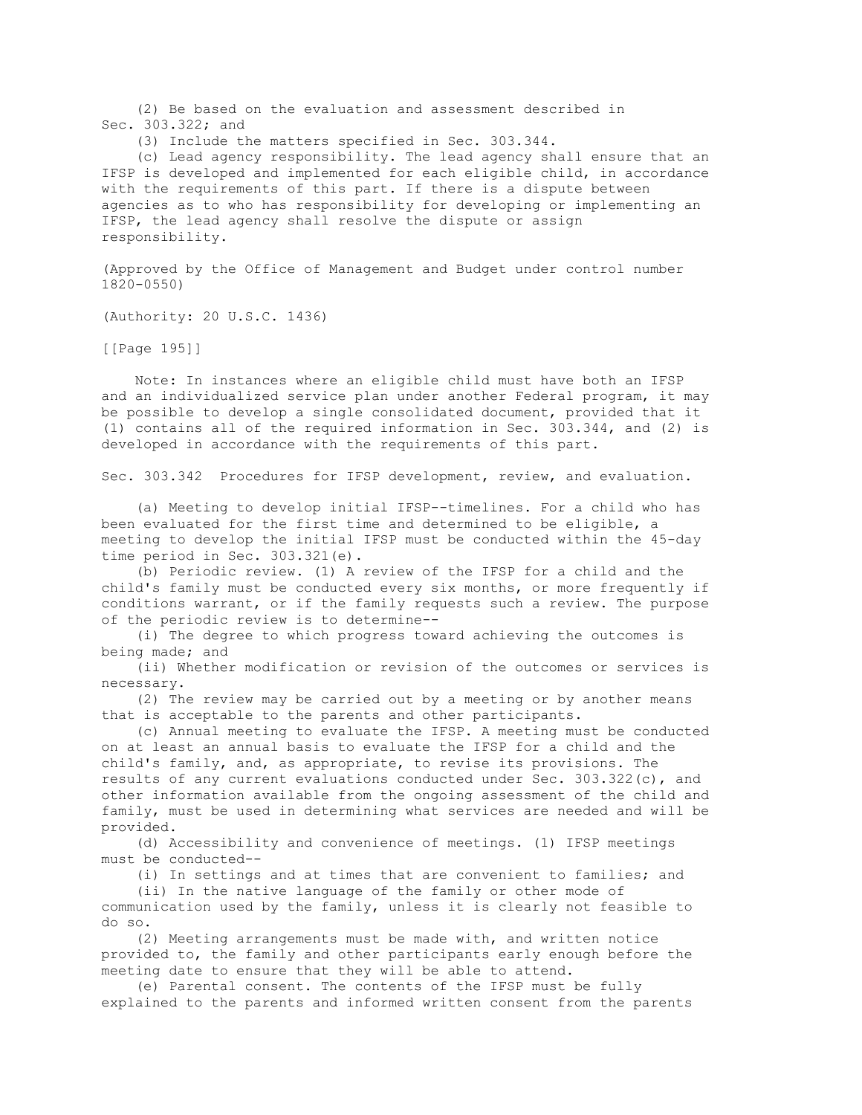(2) Be based on the evaluation and assessment described in Sec. 303.322; and

(3) Include the matters specified in Sec. 303.344.

 (c) Lead agency responsibility. The lead agency shall ensure that an IFSP is developed and implemented for each eligible child, in accordance with the requirements of this part. If there is a dispute between agencies as to who has responsibility for developing or implementing an IFSP, the lead agency shall resolve the dispute or assign responsibility.

(Approved by the Office of Management and Budget under control number 1820-0550)

(Authority: 20 U.S.C. 1436)

[[Page 195]]

 Note: In instances where an eligible child must have both an IFSP and an individualized service plan under another Federal program, it may be possible to develop a single consolidated document, provided that it (1) contains all of the required information in Sec. 303.344, and (2) is developed in accordance with the requirements of this part.

Sec. 303.342 Procedures for IFSP development, review, and evaluation.

 (a) Meeting to develop initial IFSP--timelines. For a child who has been evaluated for the first time and determined to be eligible, a meeting to develop the initial IFSP must be conducted within the 45-day time period in Sec. 303.321(e).

 (b) Periodic review. (1) A review of the IFSP for a child and the child's family must be conducted every six months, or more frequently if conditions warrant, or if the family requests such a review. The purpose of the periodic review is to determine--

 (i) The degree to which progress toward achieving the outcomes is being made; and

 (ii) Whether modification or revision of the outcomes or services is necessary.

 (2) The review may be carried out by a meeting or by another means that is acceptable to the parents and other participants.

 (c) Annual meeting to evaluate the IFSP. A meeting must be conducted on at least an annual basis to evaluate the IFSP for a child and the child's family, and, as appropriate, to revise its provisions. The results of any current evaluations conducted under Sec. 303.322(c), and other information available from the ongoing assessment of the child and family, must be used in determining what services are needed and will be provided.

 (d) Accessibility and convenience of meetings. (1) IFSP meetings must be conducted--

(i) In settings and at times that are convenient to families; and

 (ii) In the native language of the family or other mode of communication used by the family, unless it is clearly not feasible to do so.

 (2) Meeting arrangements must be made with, and written notice provided to, the family and other participants early enough before the meeting date to ensure that they will be able to attend.

 (e) Parental consent. The contents of the IFSP must be fully explained to the parents and informed written consent from the parents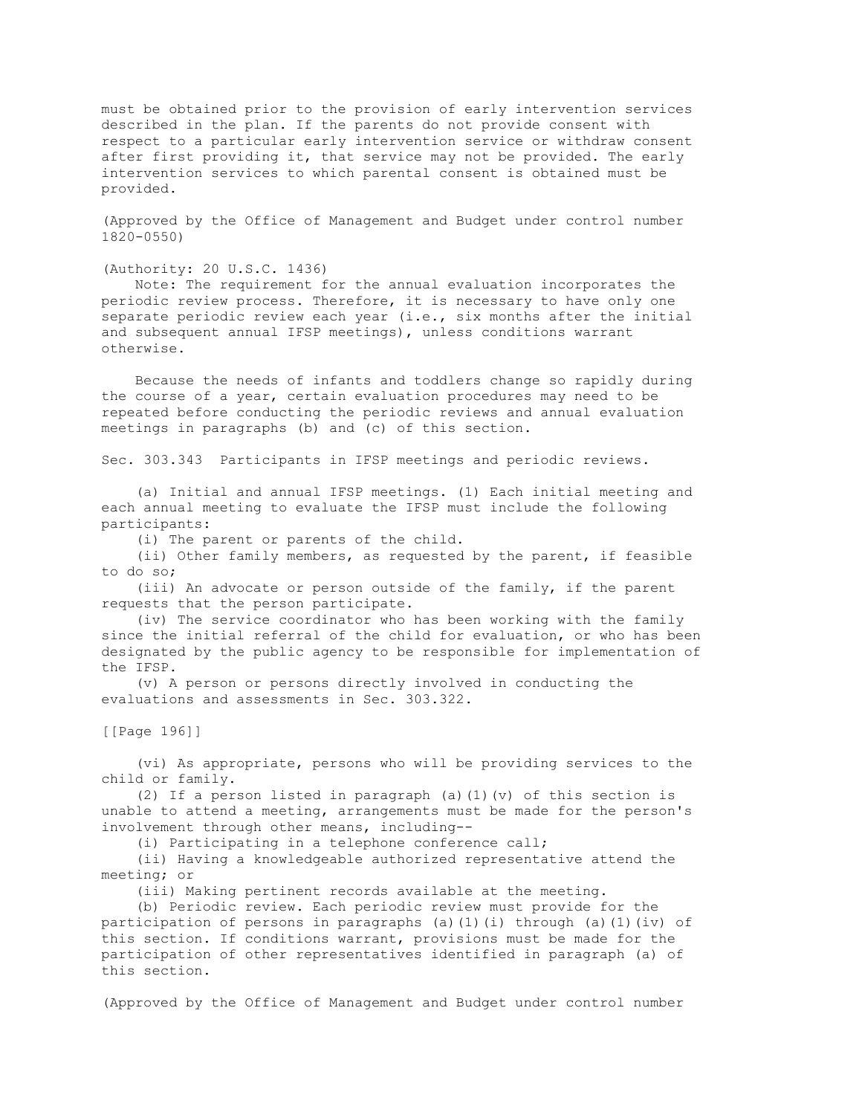must be obtained prior to the provision of early intervention services described in the plan. If the parents do not provide consent with respect to a particular early intervention service or withdraw consent after first providing it, that service may not be provided. The early intervention services to which parental consent is obtained must be provided.

(Approved by the Office of Management and Budget under control number 1820-0550)

(Authority: 20 U.S.C. 1436)

 Note: The requirement for the annual evaluation incorporates the periodic review process. Therefore, it is necessary to have only one separate periodic review each year (i.e., six months after the initial and subsequent annual IFSP meetings), unless conditions warrant otherwise.

 Because the needs of infants and toddlers change so rapidly during the course of a year, certain evaluation procedures may need to be repeated before conducting the periodic reviews and annual evaluation meetings in paragraphs (b) and (c) of this section.

Sec. 303.343 Participants in IFSP meetings and periodic reviews.

 (a) Initial and annual IFSP meetings. (1) Each initial meeting and each annual meeting to evaluate the IFSP must include the following participants:

(i) The parent or parents of the child.

 (ii) Other family members, as requested by the parent, if feasible to do so;

 (iii) An advocate or person outside of the family, if the parent requests that the person participate.

 (iv) The service coordinator who has been working with the family since the initial referral of the child for evaluation, or who has been designated by the public agency to be responsible for implementation of the IFSP.

 (v) A person or persons directly involved in conducting the evaluations and assessments in Sec. 303.322.

[[Page 196]]

 (vi) As appropriate, persons who will be providing services to the child or family.

(2) If a person listed in paragraph (a)(1)(v) of this section is unable to attend a meeting, arrangements must be made for the person's involvement through other means, including--

(i) Participating in a telephone conference call;

 (ii) Having a knowledgeable authorized representative attend the meeting; or

(iii) Making pertinent records available at the meeting.

 (b) Periodic review. Each periodic review must provide for the participation of persons in paragraphs (a)(1)(i) through (a)(1)(iv) of this section. If conditions warrant, provisions must be made for the participation of other representatives identified in paragraph (a) of this section.

(Approved by the Office of Management and Budget under control number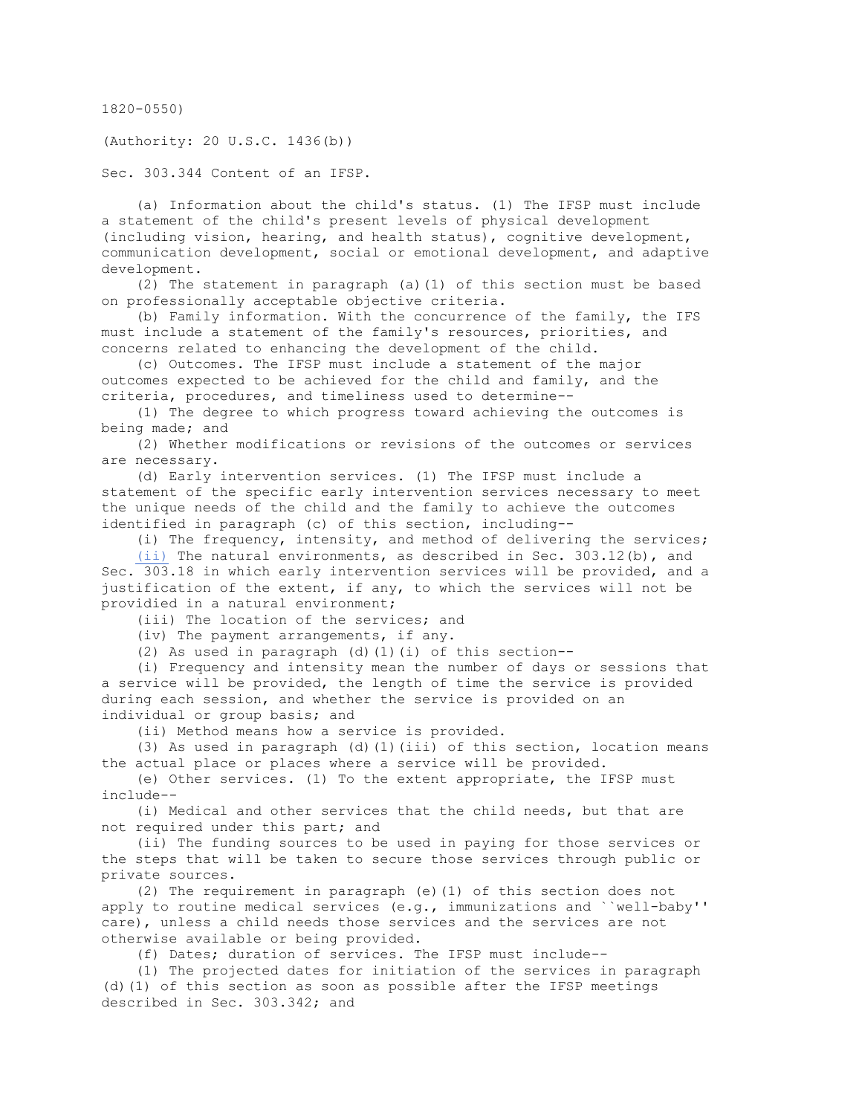1820-0550)

(Authority: 20 U.S.C. 1436(b))

Sec. 303.344 Content of an IFSP.

 (a) Information about the child's status. (1) The IFSP must include a statement of the child's present levels of physical development (including vision, hearing, and health status), cognitive development, communication development, social or emotional development, and adaptive development.

 (2) The statement in paragraph (a)(1) of this section must be based on professionally acceptable objective criteria.

 (b) Family information. With the concurrence of the family, the IFS must include a statement of the family's resources, priorities, and concerns related to enhancing the development of the child.

 (c) Outcomes. The IFSP must include a statement of the major outcomes expected to be achieved for the child and family, and the criteria, procedures, and timeliness used to determine--

 (1) The degree to which progress toward achieving the outcomes is being made; and

 (2) Whether modifications or revisions of the outcomes or services are necessary.

 (d) Early intervention services. (1) The IFSP must include a statement of the specific early intervention services necessary to meet the unique needs of the child and the family to achieve the outcomes identified in paragraph (c) of this section, including--

(i) The frequency, intensity, and method of delivering the services;

 (ii) The natural environments, as described in Sec. 303.12(b), and Sec. 303.18 in which early intervention services will be provided, and a justification of the extent, if any, to which the services will not be providied in a natural environment;

(iii) The location of the services; and

(iv) The payment arrangements, if any.

(2) As used in paragraph (d)(1)(i) of this section--

 (i) Frequency and intensity mean the number of days or sessions that a service will be provided, the length of time the service is provided during each session, and whether the service is provided on an individual or group basis; and

(ii) Method means how a service is provided.

 (3) As used in paragraph (d)(1)(iii) of this section, location means the actual place or places where a service will be provided.

 (e) Other services. (1) To the extent appropriate, the IFSP must include--

 (i) Medical and other services that the child needs, but that are not required under this part; and

 (ii) The funding sources to be used in paying for those services or the steps that will be taken to secure those services through public or private sources.

 (2) The requirement in paragraph (e)(1) of this section does not apply to routine medical services (e.g., immunizations and ``well-baby'' care), unless a child needs those services and the services are not otherwise available or being provided.

(f) Dates; duration of services. The IFSP must include--

 (1) The projected dates for initiation of the services in paragraph (d)(1) of this section as soon as possible after the IFSP meetings described in Sec. 303.342; and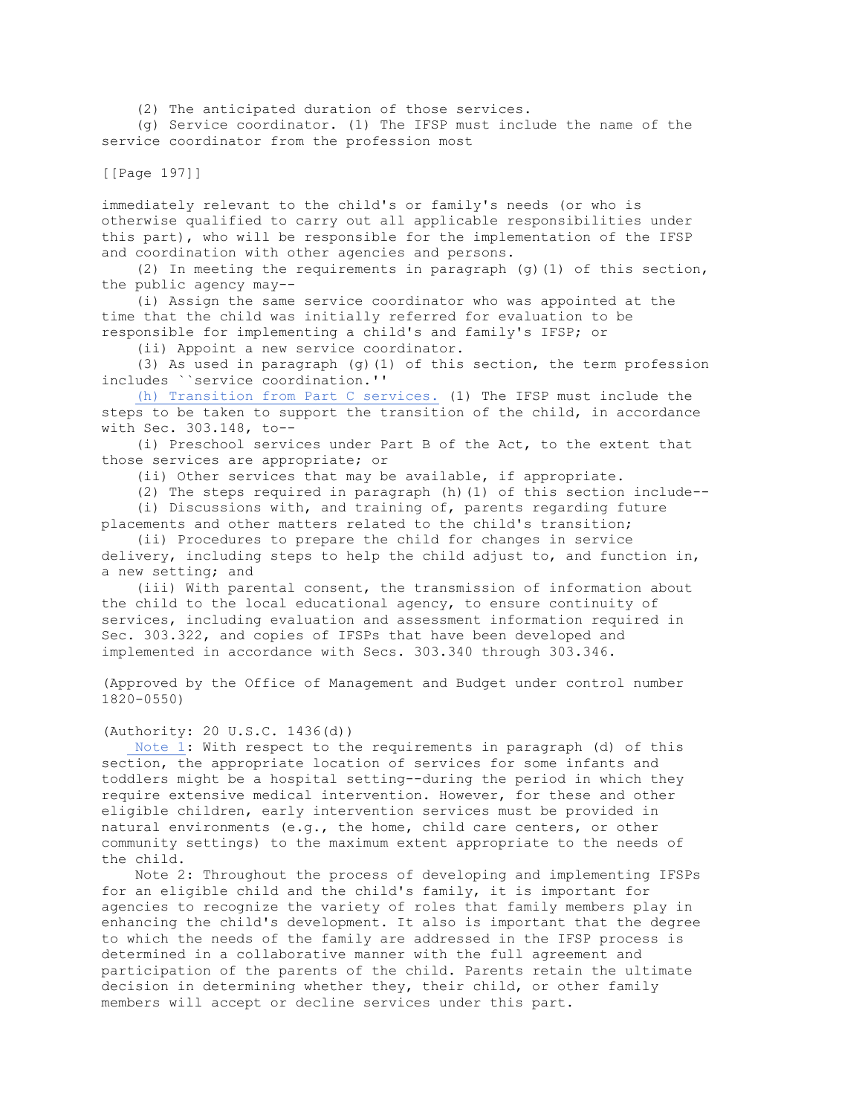(2) The anticipated duration of those services.

 (g) Service coordinator. (1) The IFSP must include the name of the service coordinator from the profession most

[[Page 197]]

immediately relevant to the child's or family's needs (or who is otherwise qualified to carry out all applicable responsibilities under this part), who will be responsible for the implementation of the IFSP and coordination with other agencies and persons.

 (2) In meeting the requirements in paragraph (g)(1) of this section, the public agency may--

 (i) Assign the same service coordinator who was appointed at the time that the child was initially referred for evaluation to be responsible for implementing a child's and family's IFSP; or

(ii) Appoint a new service coordinator.

(3) As used in paragraph (g)(1) of this section, the term profession includes ``service coordination.''

 (h) Transition from Part C services. (1) The IFSP must include the steps to be taken to support the transition of the child, in accordance with Sec. 303.148, to--

 (i) Preschool services under Part B of the Act, to the extent that those services are appropriate; or

(ii) Other services that may be available, if appropriate.

 (2) The steps required in paragraph (h)(1) of this section include-- (i) Discussions with, and training of, parents regarding future

placements and other matters related to the child's transition; (ii) Procedures to prepare the child for changes in service

delivery, including steps to help the child adjust to, and function in, a new setting; and

 (iii) With parental consent, the transmission of information about the child to the local educational agency, to ensure continuity of services, including evaluation and assessment information required in Sec. 303.322, and copies of IFSPs that have been developed and implemented in accordance with Secs. 303.340 through 303.346.

(Approved by the Office of Management and Budget under control number 1820-0550)

#### (Authority: 20 U.S.C. 1436(d))

 Note 1: With respect to the requirements in paragraph (d) of this section, the appropriate location of services for some infants and toddlers might be a hospital setting--during the period in which they require extensive medical intervention. However, for these and other eligible children, early intervention services must be provided in natural environments (e.g., the home, child care centers, or other community settings) to the maximum extent appropriate to the needs of the child.

 Note 2: Throughout the process of developing and implementing IFSPs for an eligible child and the child's family, it is important for agencies to recognize the variety of roles that family members play in enhancing the child's development. It also is important that the degree to which the needs of the family are addressed in the IFSP process is determined in a collaborative manner with the full agreement and participation of the parents of the child. Parents retain the ultimate decision in determining whether they, their child, or other family members will accept or decline services under this part.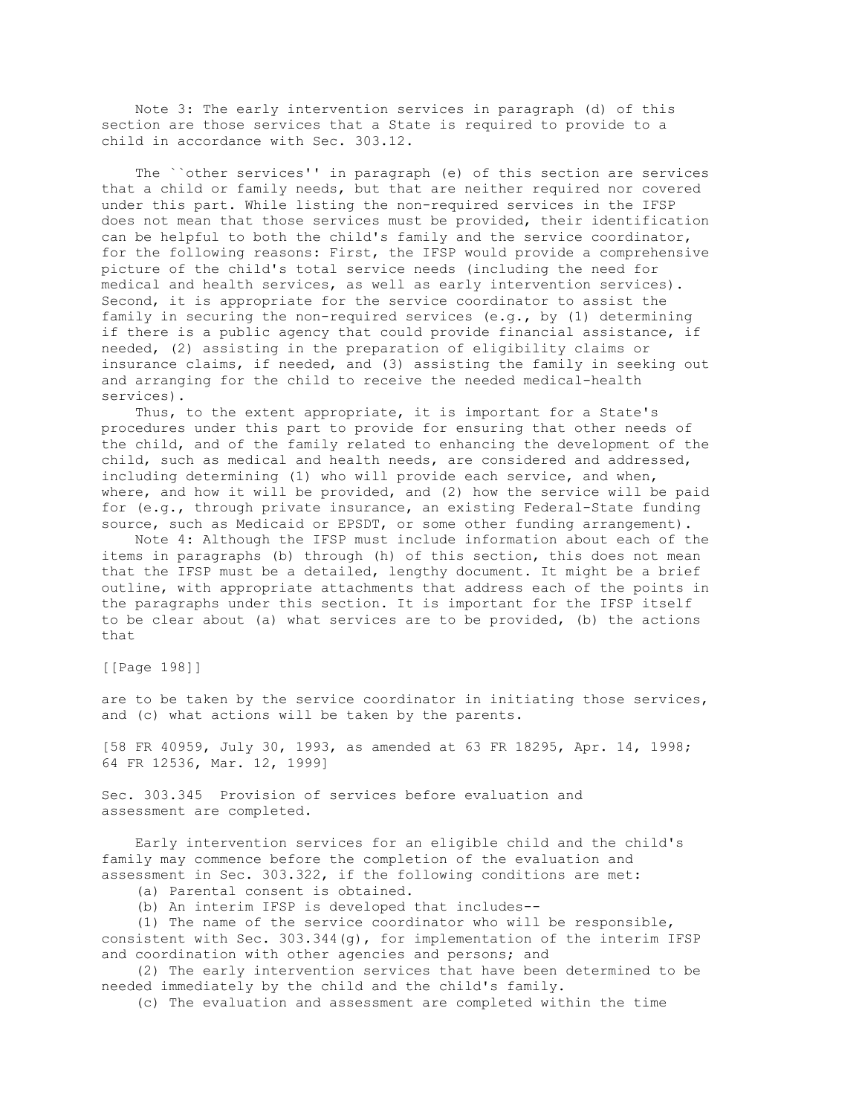Note 3: The early intervention services in paragraph (d) of this section are those services that a State is required to provide to a child in accordance with Sec. 303.12.

 The ``other services'' in paragraph (e) of this section are services that a child or family needs, but that are neither required nor covered under this part. While listing the non-required services in the IFSP does not mean that those services must be provided, their identification can be helpful to both the child's family and the service coordinator, for the following reasons: First, the IFSP would provide a comprehensive picture of the child's total service needs (including the need for medical and health services, as well as early intervention services). Second, it is appropriate for the service coordinator to assist the family in securing the non-required services (e.g., by (1) determining if there is a public agency that could provide financial assistance, if needed, (2) assisting in the preparation of eligibility claims or insurance claims, if needed, and (3) assisting the family in seeking out and arranging for the child to receive the needed medical-health services).

 Thus, to the extent appropriate, it is important for a State's procedures under this part to provide for ensuring that other needs of the child, and of the family related to enhancing the development of the child, such as medical and health needs, are considered and addressed, including determining (1) who will provide each service, and when, where, and how it will be provided, and (2) how the service will be paid for (e.g., through private insurance, an existing Federal-State funding source, such as Medicaid or EPSDT, or some other funding arrangement).

 Note 4: Although the IFSP must include information about each of the items in paragraphs (b) through (h) of this section, this does not mean that the IFSP must be a detailed, lengthy document. It might be a brief outline, with appropriate attachments that address each of the points in the paragraphs under this section. It is important for the IFSP itself to be clear about (a) what services are to be provided, (b) the actions that

[[Page 198]]

are to be taken by the service coordinator in initiating those services, and (c) what actions will be taken by the parents.

[58 FR 40959, July 30, 1993, as amended at 63 FR 18295, Apr. 14, 1998; 64 FR 12536, Mar. 12, 1999]

Sec. 303.345 Provision of services before evaluation and assessment are completed.

 Early intervention services for an eligible child and the child's family may commence before the completion of the evaluation and assessment in Sec. 303.322, if the following conditions are met:

(a) Parental consent is obtained.

(b) An interim IFSP is developed that includes--

 (1) The name of the service coordinator who will be responsible, consistent with Sec. 303.344(g), for implementation of the interim IFSP and coordination with other agencies and persons; and

 (2) The early intervention services that have been determined to be needed immediately by the child and the child's family.

(c) The evaluation and assessment are completed within the time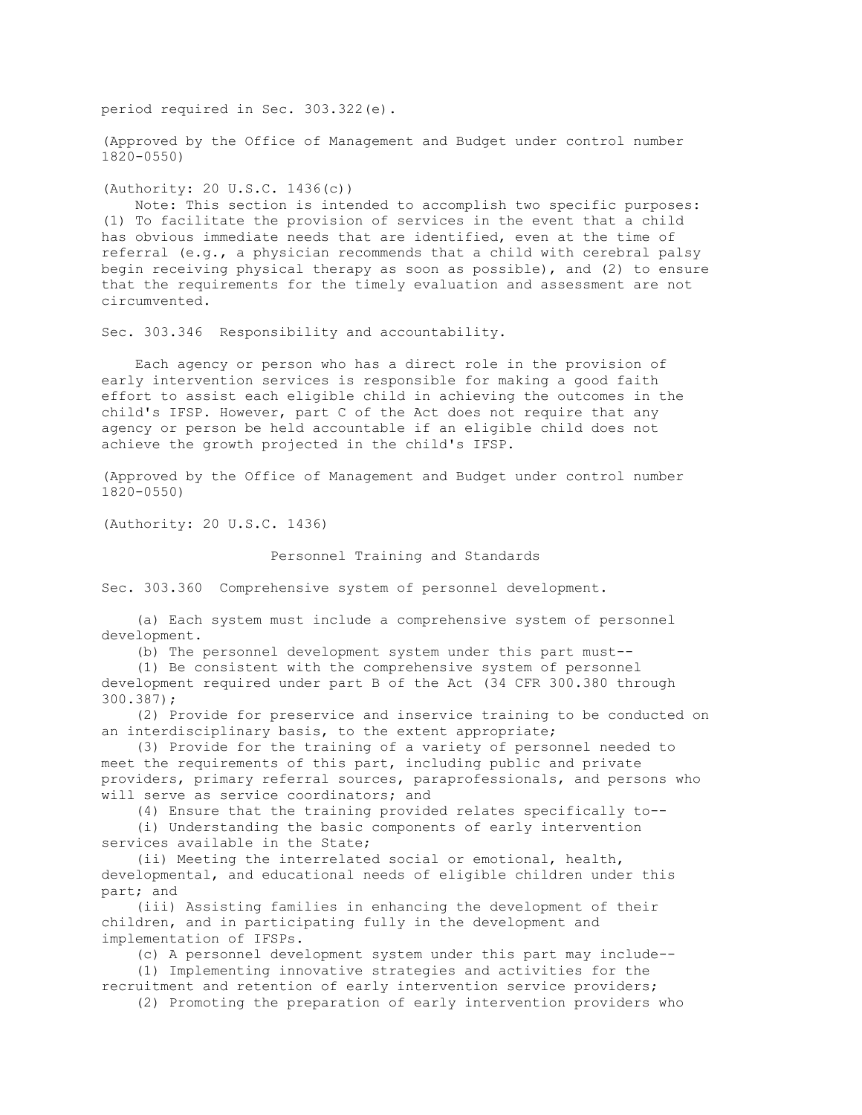period required in Sec. 303.322(e).

(Approved by the Office of Management and Budget under control number 1820-0550)

(Authority: 20 U.S.C. 1436(c))

 Note: This section is intended to accomplish two specific purposes: (1) To facilitate the provision of services in the event that a child has obvious immediate needs that are identified, even at the time of referral (e.g., a physician recommends that a child with cerebral palsy begin receiving physical therapy as soon as possible), and (2) to ensure that the requirements for the timely evaluation and assessment are not circumvented.

Sec. 303.346 Responsibility and accountability.

 Each agency or person who has a direct role in the provision of early intervention services is responsible for making a good faith effort to assist each eligible child in achieving the outcomes in the child's IFSP. However, part C of the Act does not require that any agency or person be held accountable if an eligible child does not achieve the growth projected in the child's IFSP.

(Approved by the Office of Management and Budget under control number 1820-0550)

(Authority: 20 U.S.C. 1436)

Personnel Training and Standards

Sec. 303.360 Comprehensive system of personnel development.

 (a) Each system must include a comprehensive system of personnel development.

(b) The personnel development system under this part must--

 (1) Be consistent with the comprehensive system of personnel development required under part B of the Act (34 CFR 300.380 through 300.387);

 (2) Provide for preservice and inservice training to be conducted on an interdisciplinary basis, to the extent appropriate;

 (3) Provide for the training of a variety of personnel needed to meet the requirements of this part, including public and private providers, primary referral sources, paraprofessionals, and persons who will serve as service coordinators; and

(4) Ensure that the training provided relates specifically to--

 (i) Understanding the basic components of early intervention services available in the State;

 (ii) Meeting the interrelated social or emotional, health, developmental, and educational needs of eligible children under this part; and

 (iii) Assisting families in enhancing the development of their children, and in participating fully in the development and implementation of IFSPs.

(c) A personnel development system under this part may include--

 (1) Implementing innovative strategies and activities for the recruitment and retention of early intervention service providers;

(2) Promoting the preparation of early intervention providers who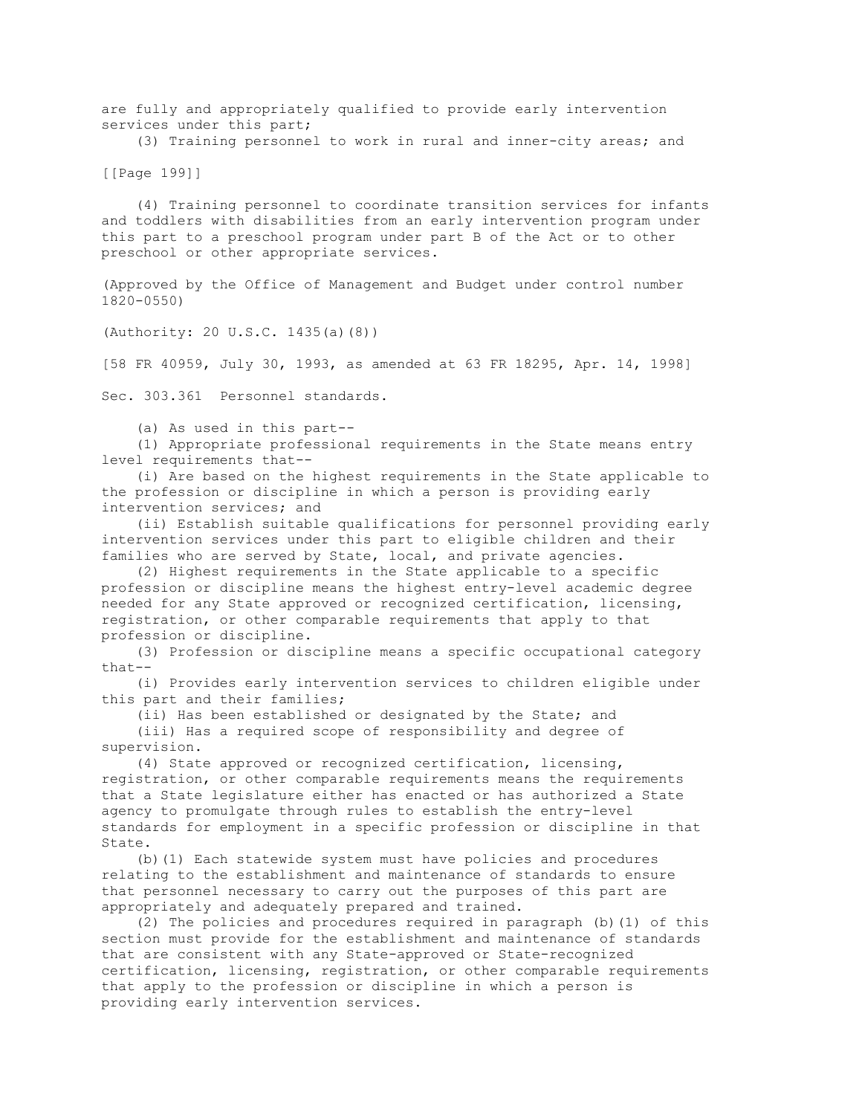are fully and appropriately qualified to provide early intervention services under this part;

(3) Training personnel to work in rural and inner-city areas; and

[[Page 199]]

 (4) Training personnel to coordinate transition services for infants and toddlers with disabilities from an early intervention program under this part to a preschool program under part B of the Act or to other preschool or other appropriate services.

(Approved by the Office of Management and Budget under control number 1820-0550)

(Authority: 20 U.S.C. 1435(a)(8))

[58 FR 40959, July 30, 1993, as amended at 63 FR 18295, Apr. 14, 1998]

Sec. 303.361 Personnel standards.

(a) As used in this part--

 (1) Appropriate professional requirements in the State means entry level requirements that--

 (i) Are based on the highest requirements in the State applicable to the profession or discipline in which a person is providing early intervention services; and

 (ii) Establish suitable qualifications for personnel providing early intervention services under this part to eligible children and their families who are served by State, local, and private agencies.

 (2) Highest requirements in the State applicable to a specific profession or discipline means the highest entry-level academic degree needed for any State approved or recognized certification, licensing, registration, or other comparable requirements that apply to that profession or discipline.

 (3) Profession or discipline means a specific occupational category that--

 (i) Provides early intervention services to children eligible under this part and their families;

(ii) Has been established or designated by the State; and

 (iii) Has a required scope of responsibility and degree of supervision.

 (4) State approved or recognized certification, licensing, registration, or other comparable requirements means the requirements that a State legislature either has enacted or has authorized a State agency to promulgate through rules to establish the entry-level standards for employment in a specific profession or discipline in that State.

 (b)(1) Each statewide system must have policies and procedures relating to the establishment and maintenance of standards to ensure that personnel necessary to carry out the purposes of this part are appropriately and adequately prepared and trained.

 (2) The policies and procedures required in paragraph (b)(1) of this section must provide for the establishment and maintenance of standards that are consistent with any State-approved or State-recognized certification, licensing, registration, or other comparable requirements that apply to the profession or discipline in which a person is providing early intervention services.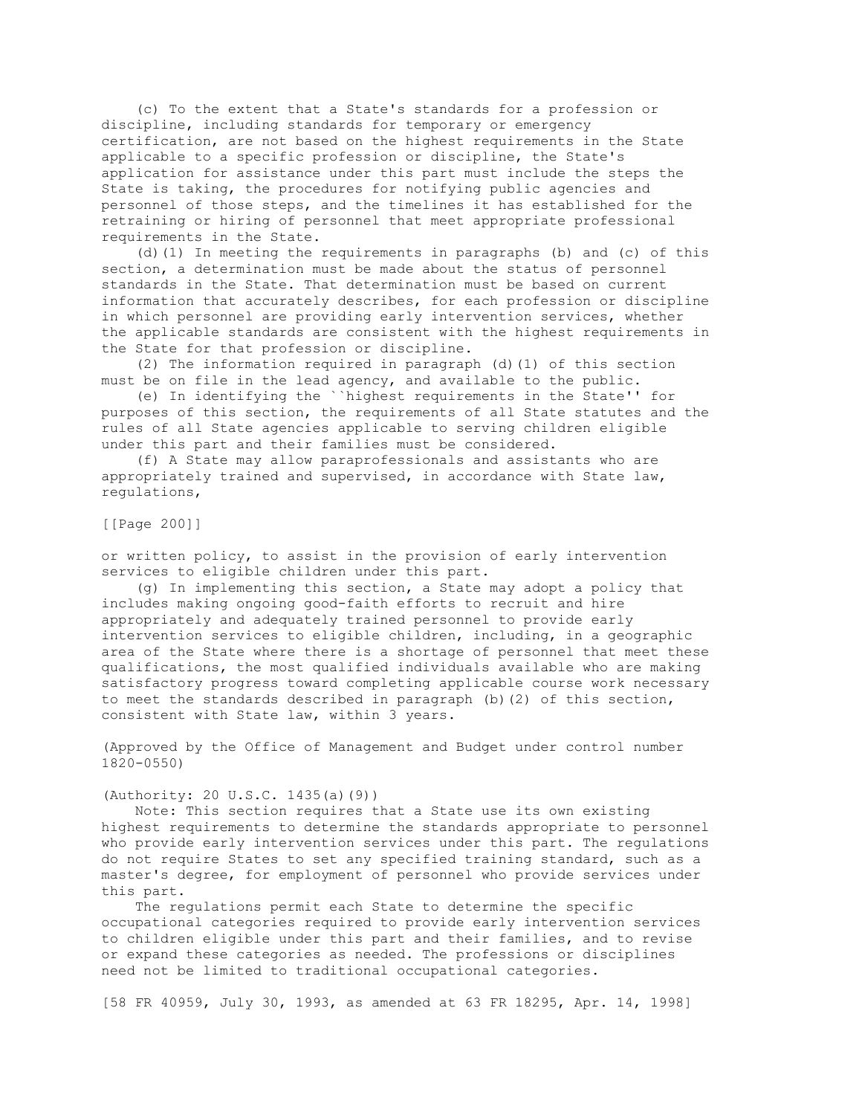(c) To the extent that a State's standards for a profession or discipline, including standards for temporary or emergency certification, are not based on the highest requirements in the State applicable to a specific profession or discipline, the State's application for assistance under this part must include the steps the State is taking, the procedures for notifying public agencies and personnel of those steps, and the timelines it has established for the retraining or hiring of personnel that meet appropriate professional requirements in the State.

 (d)(1) In meeting the requirements in paragraphs (b) and (c) of this section, a determination must be made about the status of personnel standards in the State. That determination must be based on current information that accurately describes, for each profession or discipline in which personnel are providing early intervention services, whether the applicable standards are consistent with the highest requirements in the State for that profession or discipline.

 (2) The information required in paragraph (d)(1) of this section must be on file in the lead agency, and available to the public.

 (e) In identifying the ``highest requirements in the State'' for purposes of this section, the requirements of all State statutes and the rules of all State agencies applicable to serving children eligible under this part and their families must be considered.

 (f) A State may allow paraprofessionals and assistants who are appropriately trained and supervised, in accordance with State law, regulations,

[[Page 200]]

or written policy, to assist in the provision of early intervention services to eligible children under this part.

 (g) In implementing this section, a State may adopt a policy that includes making ongoing good-faith efforts to recruit and hire appropriately and adequately trained personnel to provide early intervention services to eligible children, including, in a geographic area of the State where there is a shortage of personnel that meet these qualifications, the most qualified individuals available who are making satisfactory progress toward completing applicable course work necessary to meet the standards described in paragraph (b)(2) of this section, consistent with State law, within 3 years.

(Approved by the Office of Management and Budget under control number 1820-0550)

## (Authority: 20 U.S.C. 1435(a)(9))

 Note: This section requires that a State use its own existing highest requirements to determine the standards appropriate to personnel who provide early intervention services under this part. The regulations do not require States to set any specified training standard, such as a master's degree, for employment of personnel who provide services under this part.

 The regulations permit each State to determine the specific occupational categories required to provide early intervention services to children eligible under this part and their families, and to revise or expand these categories as needed. The professions or disciplines need not be limited to traditional occupational categories.

[58 FR 40959, July 30, 1993, as amended at 63 FR 18295, Apr. 14, 1998]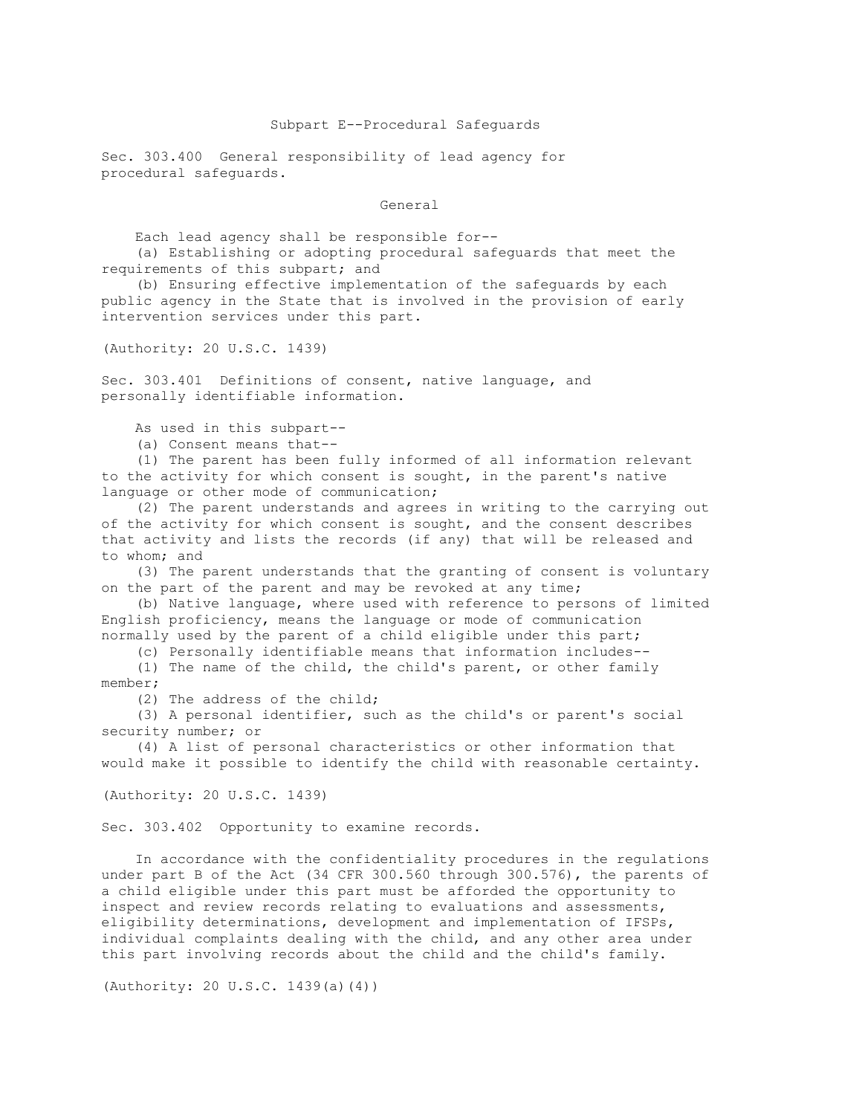## Subpart E--Procedural Safeguards

Sec. 303.400 General responsibility of lead agency for procedural safeguards.

General

 Each lead agency shall be responsible for-- (a) Establishing or adopting procedural safeguards that meet the requirements of this subpart; and

 (b) Ensuring effective implementation of the safeguards by each public agency in the State that is involved in the provision of early intervention services under this part.

(Authority: 20 U.S.C. 1439)

Sec. 303.401 Definitions of consent, native language, and personally identifiable information.

As used in this subpart--

(a) Consent means that--

 (1) The parent has been fully informed of all information relevant to the activity for which consent is sought, in the parent's native language or other mode of communication;

 (2) The parent understands and agrees in writing to the carrying out of the activity for which consent is sought, and the consent describes that activity and lists the records (if any) that will be released and to whom; and

 (3) The parent understands that the granting of consent is voluntary on the part of the parent and may be revoked at any time;

 (b) Native language, where used with reference to persons of limited English proficiency, means the language or mode of communication normally used by the parent of a child eligible under this part;

(c) Personally identifiable means that information includes--

 (1) The name of the child, the child's parent, or other family member;

(2) The address of the child;

 (3) A personal identifier, such as the child's or parent's social security number; or

 (4) A list of personal characteristics or other information that would make it possible to identify the child with reasonable certainty.

(Authority: 20 U.S.C. 1439)

Sec. 303.402 Opportunity to examine records.

 In accordance with the confidentiality procedures in the regulations under part B of the Act (34 CFR 300.560 through 300.576), the parents of a child eligible under this part must be afforded the opportunity to inspect and review records relating to evaluations and assessments, eligibility determinations, development and implementation of IFSPs, individual complaints dealing with the child, and any other area under this part involving records about the child and the child's family.

(Authority: 20 U.S.C. 1439(a)(4))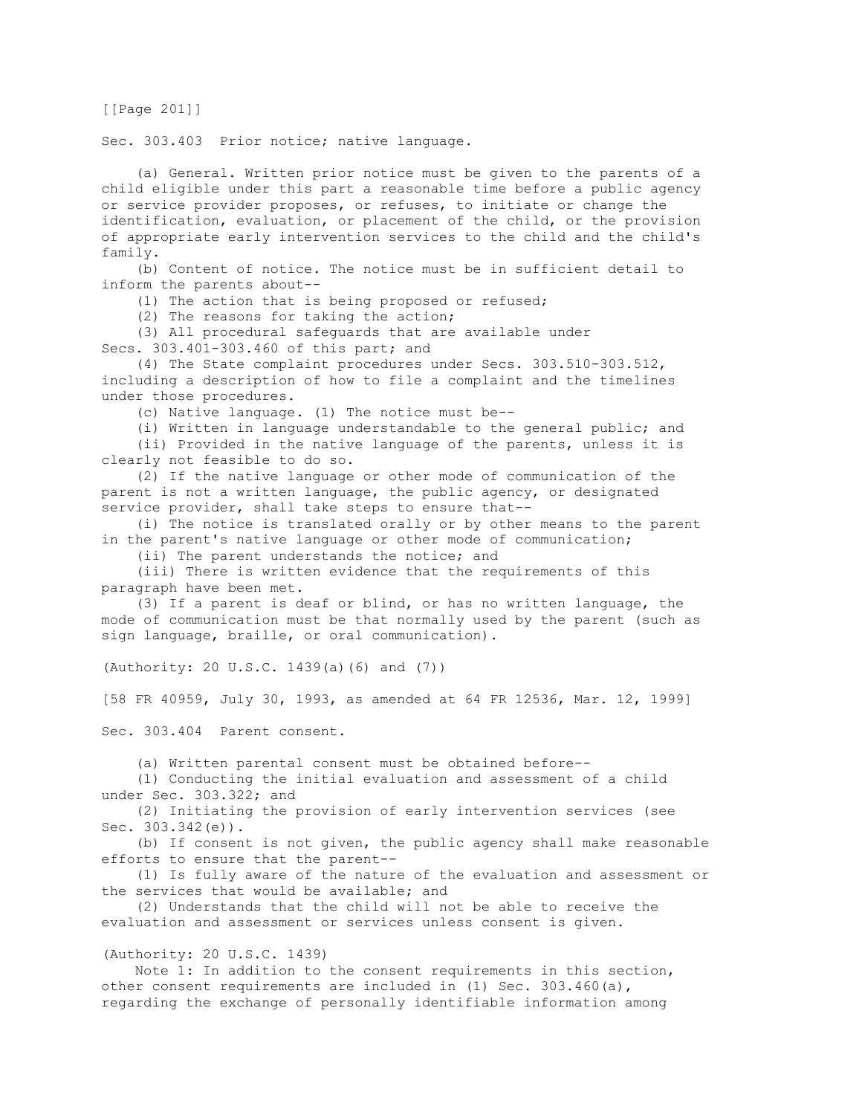[[Page 201]]

Sec. 303.403 Prior notice; native language.

 (a) General. Written prior notice must be given to the parents of a child eligible under this part a reasonable time before a public agency or service provider proposes, or refuses, to initiate or change the identification, evaluation, or placement of the child, or the provision of appropriate early intervention services to the child and the child's family.

 (b) Content of notice. The notice must be in sufficient detail to inform the parents about--

(1) The action that is being proposed or refused;

(2) The reasons for taking the action;

 (3) All procedural safeguards that are available under Secs. 303.401-303.460 of this part; and

 (4) The State complaint procedures under Secs. 303.510-303.512, including a description of how to file a complaint and the timelines under those procedures.

(c) Native language. (1) The notice must be--

 (i) Written in language understandable to the general public; and (ii) Provided in the native language of the parents, unless it is clearly not feasible to do so.

 (2) If the native language or other mode of communication of the parent is not a written language, the public agency, or designated service provider, shall take steps to ensure that--

 (i) The notice is translated orally or by other means to the parent in the parent's native language or other mode of communication;

(ii) The parent understands the notice; and

 (iii) There is written evidence that the requirements of this paragraph have been met.

 (3) If a parent is deaf or blind, or has no written language, the mode of communication must be that normally used by the parent (such as sign language, braille, or oral communication).

(Authority: 20 U.S.C. 1439(a)(6) and (7))

[58 FR 40959, July 30, 1993, as amended at 64 FR 12536, Mar. 12, 1999]

Sec. 303.404 Parent consent.

(a) Written parental consent must be obtained before--

 (1) Conducting the initial evaluation and assessment of a child under Sec. 303.322; and

 (2) Initiating the provision of early intervention services (see Sec. 303.342(e)).

 (b) If consent is not given, the public agency shall make reasonable efforts to ensure that the parent--

 (1) Is fully aware of the nature of the evaluation and assessment or the services that would be available; and

 (2) Understands that the child will not be able to receive the evaluation and assessment or services unless consent is given.

(Authority: 20 U.S.C. 1439)

 Note 1: In addition to the consent requirements in this section, other consent requirements are included in (1) Sec. 303.460(a), regarding the exchange of personally identifiable information among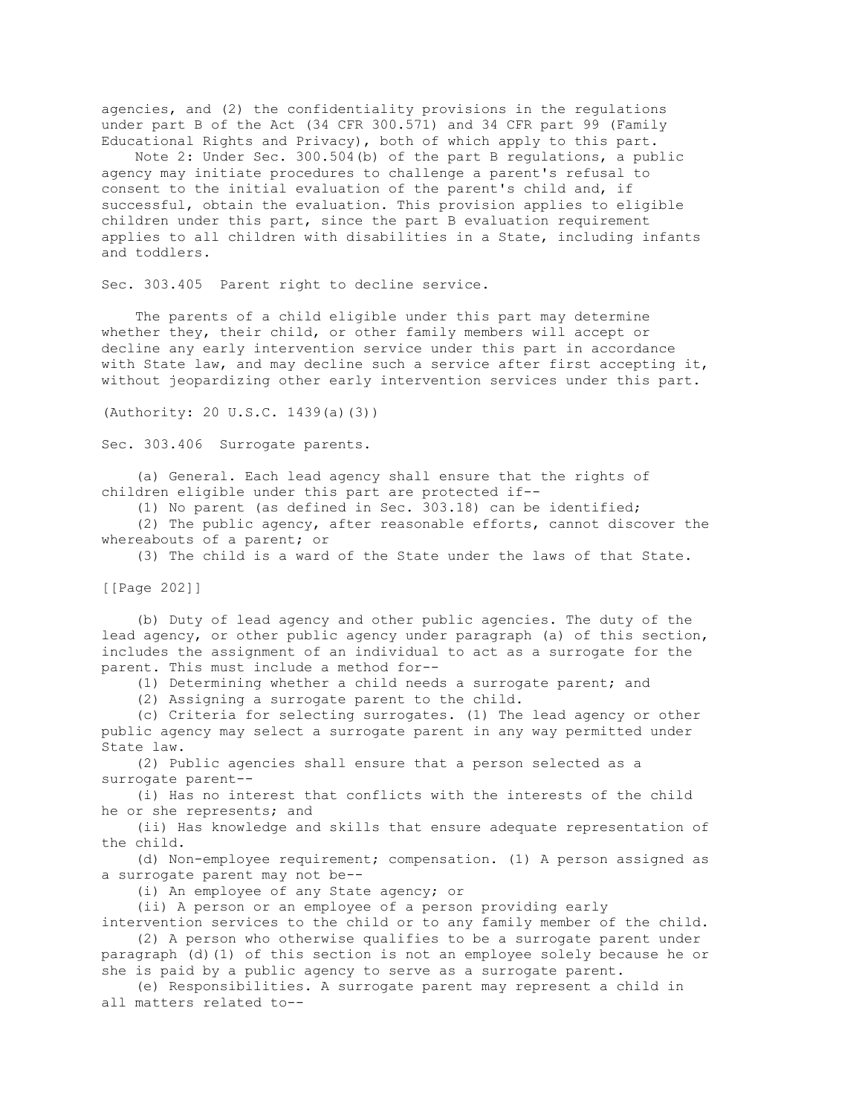agencies, and (2) the confidentiality provisions in the regulations under part B of the Act (34 CFR 300.571) and 34 CFR part 99 (Family Educational Rights and Privacy), both of which apply to this part.

 Note 2: Under Sec. 300.504(b) of the part B regulations, a public agency may initiate procedures to challenge a parent's refusal to consent to the initial evaluation of the parent's child and, if successful, obtain the evaluation. This provision applies to eligible children under this part, since the part B evaluation requirement applies to all children with disabilities in a State, including infants and toddlers.

Sec. 303.405 Parent right to decline service.

 The parents of a child eligible under this part may determine whether they, their child, or other family members will accept or decline any early intervention service under this part in accordance with State law, and may decline such a service after first accepting it, without jeopardizing other early intervention services under this part.

(Authority: 20 U.S.C. 1439(a)(3))

Sec. 303.406 Surrogate parents.

 (a) General. Each lead agency shall ensure that the rights of children eligible under this part are protected if--

(1) No parent (as defined in Sec. 303.18) can be identified;

 (2) The public agency, after reasonable efforts, cannot discover the whereabouts of a parent; or

(3) The child is a ward of the State under the laws of that State.

[[Page 202]]

 (b) Duty of lead agency and other public agencies. The duty of the lead agency, or other public agency under paragraph (a) of this section, includes the assignment of an individual to act as a surrogate for the parent. This must include a method for--

(1) Determining whether a child needs a surrogate parent; and

(2) Assigning a surrogate parent to the child.

 (c) Criteria for selecting surrogates. (1) The lead agency or other public agency may select a surrogate parent in any way permitted under State law.

 (2) Public agencies shall ensure that a person selected as a surrogate parent--

 (i) Has no interest that conflicts with the interests of the child he or she represents; and

 (ii) Has knowledge and skills that ensure adequate representation of the child.

 (d) Non-employee requirement; compensation. (1) A person assigned as a surrogate parent may not be--

(i) An employee of any State agency; or

(ii) A person or an employee of a person providing early

intervention services to the child or to any family member of the child. (2) A person who otherwise qualifies to be a surrogate parent under

paragraph (d)(1) of this section is not an employee solely because he or she is paid by a public agency to serve as a surrogate parent.

 (e) Responsibilities. A surrogate parent may represent a child in all matters related to--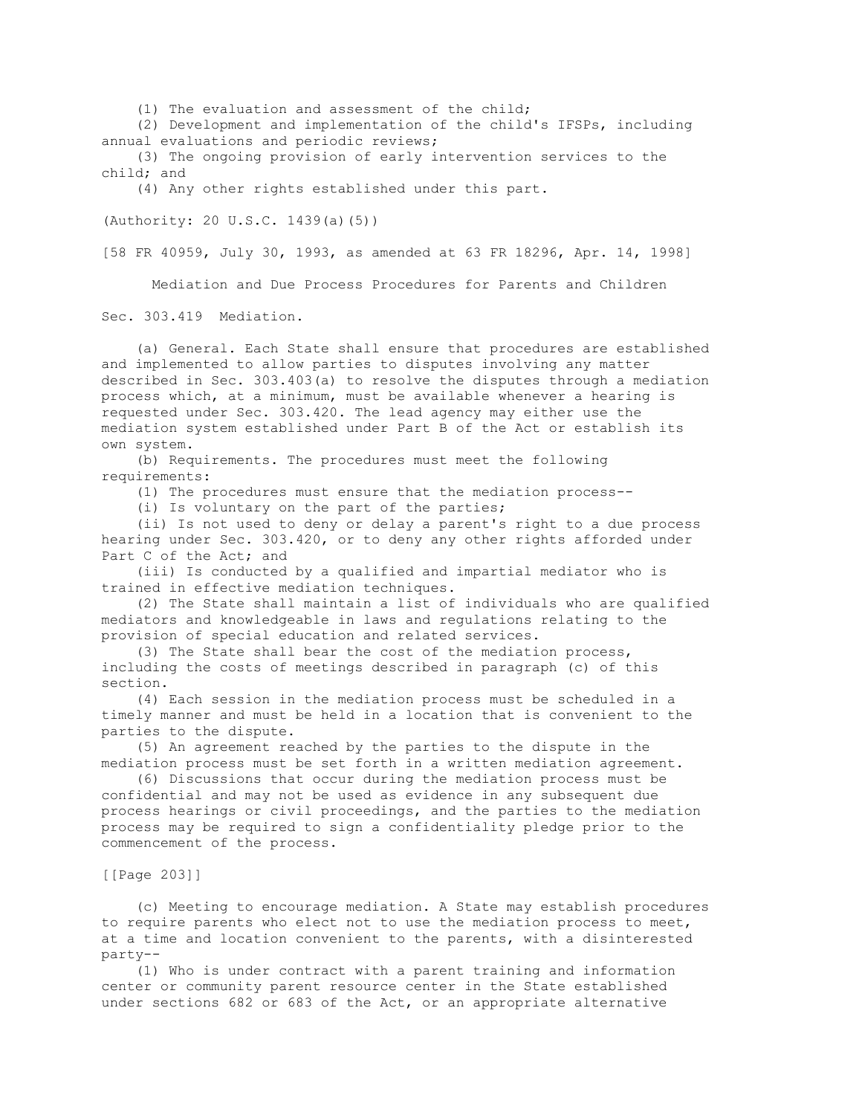(1) The evaluation and assessment of the child;

 (2) Development and implementation of the child's IFSPs, including annual evaluations and periodic reviews;

 (3) The ongoing provision of early intervention services to the child; and

(4) Any other rights established under this part.

(Authority: 20 U.S.C. 1439(a)(5))

[58 FR 40959, July 30, 1993, as amended at 63 FR 18296, Apr. 14, 1998]

Mediation and Due Process Procedures for Parents and Children

Sec. 303.419 Mediation.

 (a) General. Each State shall ensure that procedures are established and implemented to allow parties to disputes involving any matter described in Sec. 303.403(a) to resolve the disputes through a mediation process which, at a minimum, must be available whenever a hearing is requested under Sec. 303.420. The lead agency may either use the mediation system established under Part B of the Act or establish its own system.

 (b) Requirements. The procedures must meet the following requirements:

(1) The procedures must ensure that the mediation process--

(i) Is voluntary on the part of the parties;

 (ii) Is not used to deny or delay a parent's right to a due process hearing under Sec. 303.420, or to deny any other rights afforded under Part C of the Act; and

 (iii) Is conducted by a qualified and impartial mediator who is trained in effective mediation techniques.

 (2) The State shall maintain a list of individuals who are qualified mediators and knowledgeable in laws and regulations relating to the provision of special education and related services.

 (3) The State shall bear the cost of the mediation process, including the costs of meetings described in paragraph (c) of this section.

 (4) Each session in the mediation process must be scheduled in a timely manner and must be held in a location that is convenient to the parties to the dispute.

 (5) An agreement reached by the parties to the dispute in the mediation process must be set forth in a written mediation agreement.

 (6) Discussions that occur during the mediation process must be confidential and may not be used as evidence in any subsequent due process hearings or civil proceedings, and the parties to the mediation process may be required to sign a confidentiality pledge prior to the commencement of the process.

[[Page 203]]

 (c) Meeting to encourage mediation. A State may establish procedures to require parents who elect not to use the mediation process to meet, at a time and location convenient to the parents, with a disinterested party--

 (1) Who is under contract with a parent training and information center or community parent resource center in the State established under sections 682 or 683 of the Act, or an appropriate alternative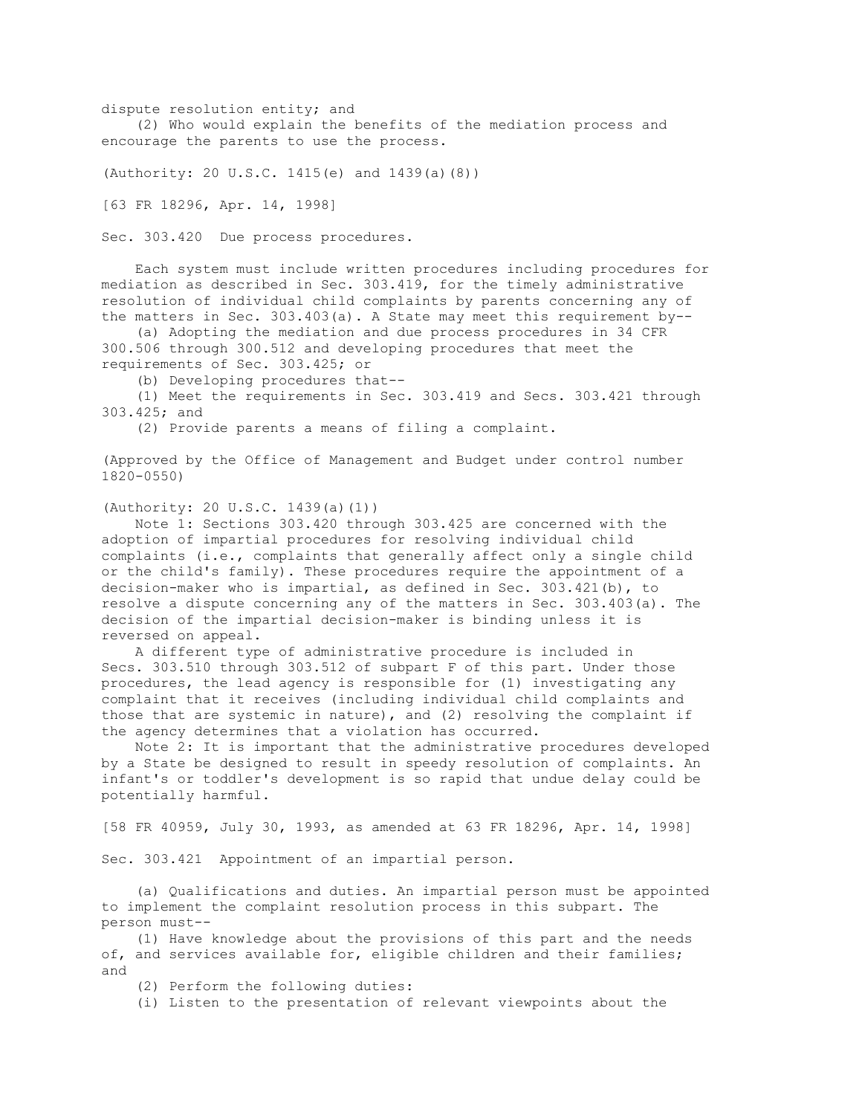dispute resolution entity; and (2) Who would explain the benefits of the mediation process and encourage the parents to use the process.

(Authority: 20 U.S.C. 1415(e) and 1439(a)(8))

[63 FR 18296, Apr. 14, 1998]

Sec. 303.420 Due process procedures.

 Each system must include written procedures including procedures for mediation as described in Sec. 303.419, for the timely administrative resolution of individual child complaints by parents concerning any of the matters in Sec. 303.403(a). A State may meet this requirement by--

 (a) Adopting the mediation and due process procedures in 34 CFR 300.506 through 300.512 and developing procedures that meet the requirements of Sec. 303.425; or

(b) Developing procedures that--

 (1) Meet the requirements in Sec. 303.419 and Secs. 303.421 through 303.425; and

(2) Provide parents a means of filing a complaint.

(Approved by the Office of Management and Budget under control number 1820-0550)

(Authority: 20 U.S.C. 1439(a)(1))

 Note 1: Sections 303.420 through 303.425 are concerned with the adoption of impartial procedures for resolving individual child complaints (i.e., complaints that generally affect only a single child or the child's family). These procedures require the appointment of a decision-maker who is impartial, as defined in Sec. 303.421(b), to resolve a dispute concerning any of the matters in Sec. 303.403(a). The decision of the impartial decision-maker is binding unless it is reversed on appeal.

 A different type of administrative procedure is included in Secs. 303.510 through 303.512 of subpart F of this part. Under those procedures, the lead agency is responsible for (1) investigating any complaint that it receives (including individual child complaints and those that are systemic in nature), and (2) resolving the complaint if the agency determines that a violation has occurred.

 Note 2: It is important that the administrative procedures developed by a State be designed to result in speedy resolution of complaints. An infant's or toddler's development is so rapid that undue delay could be potentially harmful.

[58 FR 40959, July 30, 1993, as amended at 63 FR 18296, Apr. 14, 1998]

Sec. 303.421 Appointment of an impartial person.

 (a) Qualifications and duties. An impartial person must be appointed to implement the complaint resolution process in this subpart. The person must--

 (1) Have knowledge about the provisions of this part and the needs of, and services available for, eligible children and their families; and

(2) Perform the following duties:

(i) Listen to the presentation of relevant viewpoints about the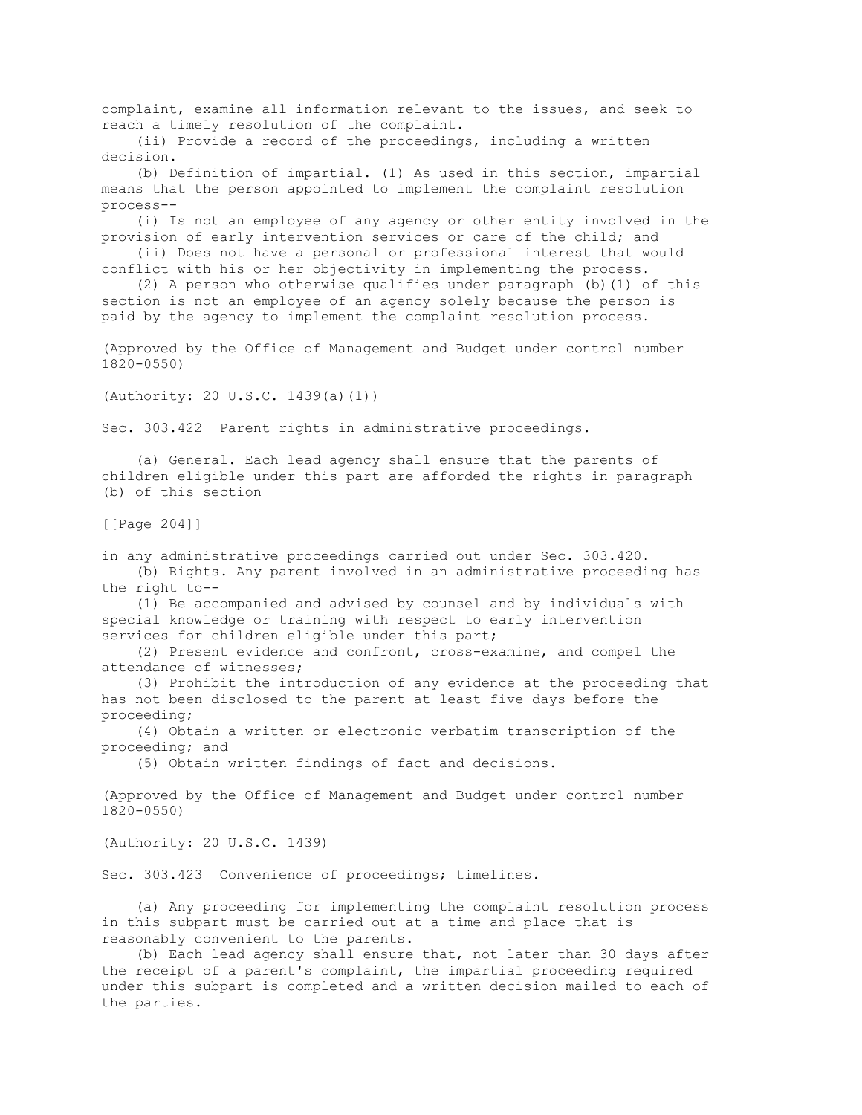complaint, examine all information relevant to the issues, and seek to reach a timely resolution of the complaint.

 (ii) Provide a record of the proceedings, including a written decision.

 (b) Definition of impartial. (1) As used in this section, impartial means that the person appointed to implement the complaint resolution process--

 (i) Is not an employee of any agency or other entity involved in the provision of early intervention services or care of the child; and

 (ii) Does not have a personal or professional interest that would conflict with his or her objectivity in implementing the process.

 (2) A person who otherwise qualifies under paragraph (b)(1) of this section is not an employee of an agency solely because the person is paid by the agency to implement the complaint resolution process.

(Approved by the Office of Management and Budget under control number 1820-0550)

(Authority: 20 U.S.C. 1439(a)(1))

Sec. 303.422 Parent rights in administrative proceedings.

 (a) General. Each lead agency shall ensure that the parents of children eligible under this part are afforded the rights in paragraph (b) of this section

[[Page 204]]

in any administrative proceedings carried out under Sec. 303.420.

 (b) Rights. Any parent involved in an administrative proceeding has the right to--

 (1) Be accompanied and advised by counsel and by individuals with special knowledge or training with respect to early intervention services for children eligible under this part;

 (2) Present evidence and confront, cross-examine, and compel the attendance of witnesses;

 (3) Prohibit the introduction of any evidence at the proceeding that has not been disclosed to the parent at least five days before the proceeding;

 (4) Obtain a written or electronic verbatim transcription of the proceeding; and

(5) Obtain written findings of fact and decisions.

(Approved by the Office of Management and Budget under control number 1820-0550)

(Authority: 20 U.S.C. 1439)

Sec. 303.423 Convenience of proceedings; timelines.

 (a) Any proceeding for implementing the complaint resolution process in this subpart must be carried out at a time and place that is reasonably convenient to the parents.

 (b) Each lead agency shall ensure that, not later than 30 days after the receipt of a parent's complaint, the impartial proceeding required under this subpart is completed and a written decision mailed to each of the parties.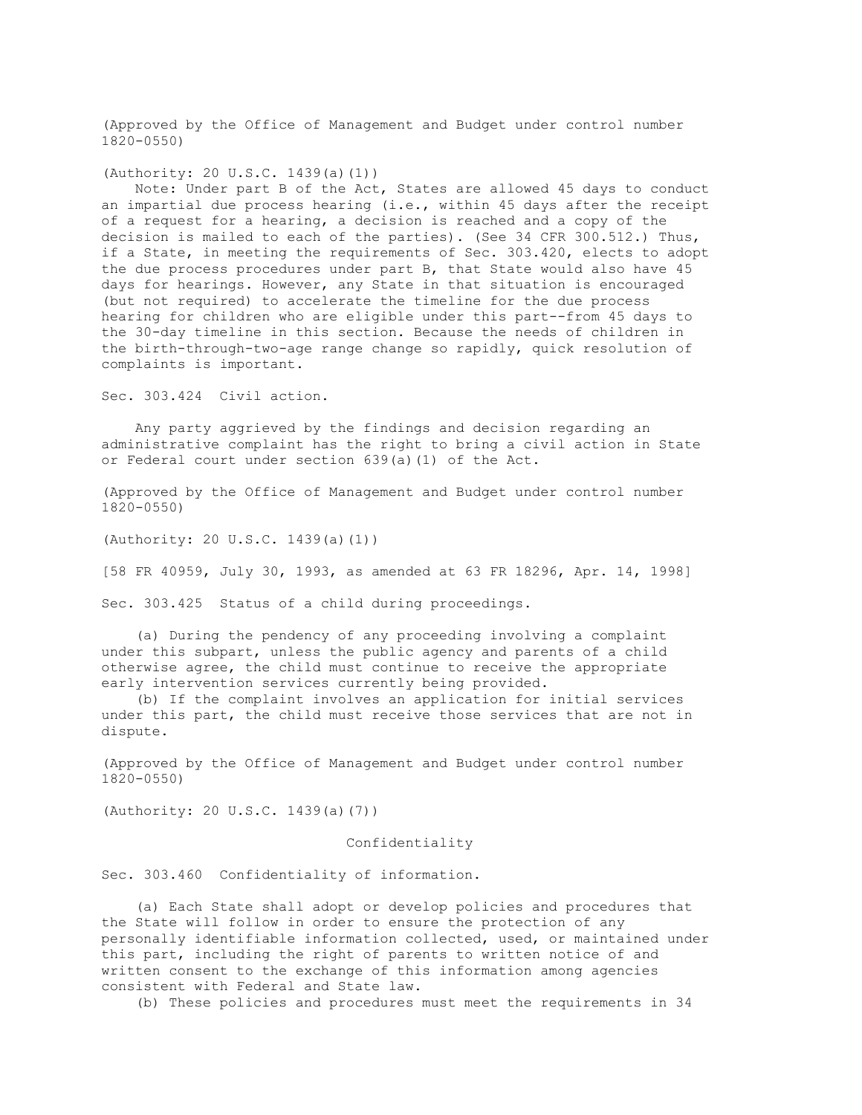(Approved by the Office of Management and Budget under control number 1820-0550)

(Authority: 20 U.S.C. 1439(a)(1))

 Note: Under part B of the Act, States are allowed 45 days to conduct an impartial due process hearing (i.e., within 45 days after the receipt of a request for a hearing, a decision is reached and a copy of the decision is mailed to each of the parties). (See 34 CFR 300.512.) Thus, if a State, in meeting the requirements of Sec. 303.420, elects to adopt the due process procedures under part B, that State would also have 45 days for hearings. However, any State in that situation is encouraged (but not required) to accelerate the timeline for the due process hearing for children who are eligible under this part--from 45 days to the 30-day timeline in this section. Because the needs of children in the birth-through-two-age range change so rapidly, quick resolution of complaints is important.

Sec. 303.424 Civil action.

 Any party aggrieved by the findings and decision regarding an administrative complaint has the right to bring a civil action in State or Federal court under section 639(a)(1) of the Act.

(Approved by the Office of Management and Budget under control number 1820-0550)

(Authority: 20 U.S.C. 1439(a)(1))

[58 FR 40959, July 30, 1993, as amended at 63 FR 18296, Apr. 14, 1998]

Sec. 303.425 Status of a child during proceedings.

 (a) During the pendency of any proceeding involving a complaint under this subpart, unless the public agency and parents of a child otherwise agree, the child must continue to receive the appropriate early intervention services currently being provided.

 (b) If the complaint involves an application for initial services under this part, the child must receive those services that are not in dispute.

(Approved by the Office of Management and Budget under control number 1820-0550)

(Authority: 20 U.S.C. 1439(a)(7))

Confidentiality

Sec. 303.460 Confidentiality of information.

 (a) Each State shall adopt or develop policies and procedures that the State will follow in order to ensure the protection of any personally identifiable information collected, used, or maintained under this part, including the right of parents to written notice of and written consent to the exchange of this information among agencies consistent with Federal and State law.

(b) These policies and procedures must meet the requirements in 34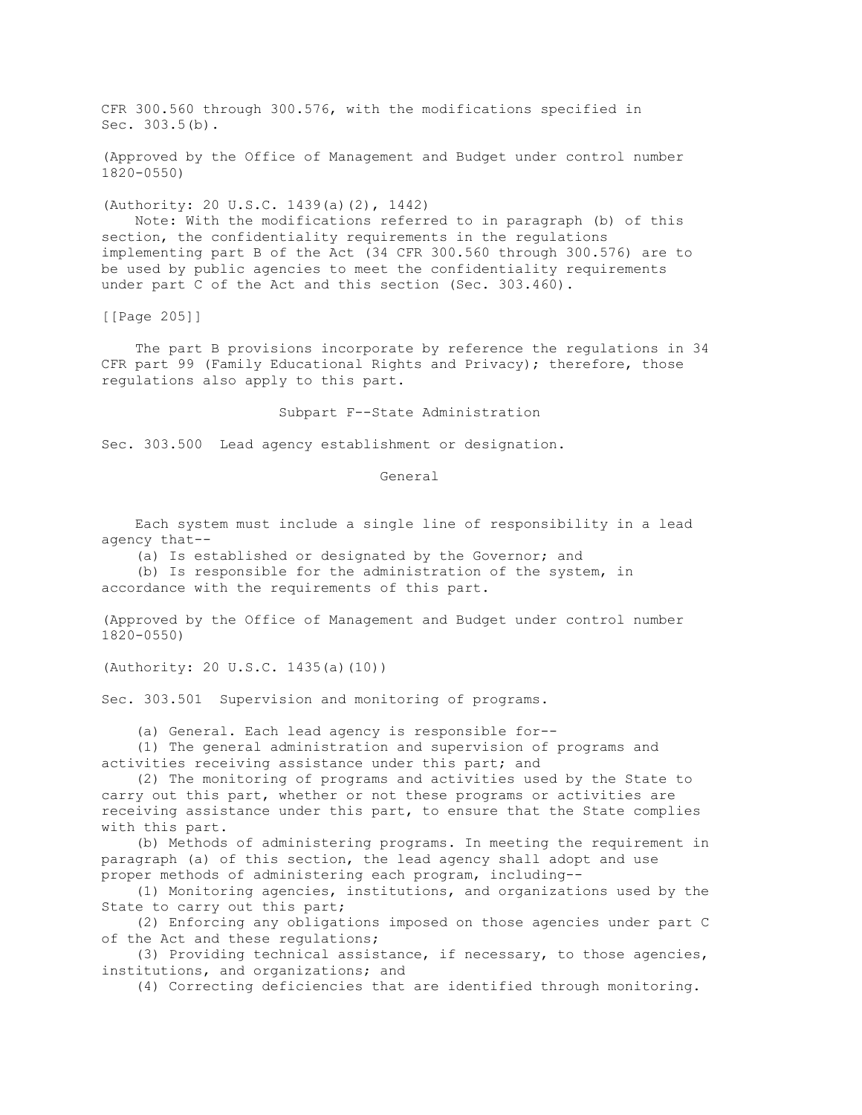CFR 300.560 through 300.576, with the modifications specified in Sec. 303.5(b).

(Approved by the Office of Management and Budget under control number 1820-0550)

(Authority: 20 U.S.C. 1439(a)(2), 1442)

 Note: With the modifications referred to in paragraph (b) of this section, the confidentiality requirements in the regulations implementing part B of the Act (34 CFR 300.560 through 300.576) are to be used by public agencies to meet the confidentiality requirements under part C of the Act and this section (Sec. 303.460).

[[Page 205]]

 The part B provisions incorporate by reference the regulations in 34 CFR part 99 (Family Educational Rights and Privacy); therefore, those regulations also apply to this part.

Subpart F--State Administration

Sec. 303.500 Lead agency establishment or designation.

General

 Each system must include a single line of responsibility in a lead agency that--

(a) Is established or designated by the Governor; and

 (b) Is responsible for the administration of the system, in accordance with the requirements of this part.

(Approved by the Office of Management and Budget under control number 1820-0550)

(Authority: 20 U.S.C. 1435(a)(10))

Sec. 303.501 Supervision and monitoring of programs.

(a) General. Each lead agency is responsible for--

 (1) The general administration and supervision of programs and activities receiving assistance under this part; and

 (2) The monitoring of programs and activities used by the State to carry out this part, whether or not these programs or activities are receiving assistance under this part, to ensure that the State complies with this part.

 (b) Methods of administering programs. In meeting the requirement in paragraph (a) of this section, the lead agency shall adopt and use proper methods of administering each program, including--

 (1) Monitoring agencies, institutions, and organizations used by the State to carry out this part;

 (2) Enforcing any obligations imposed on those agencies under part C of the Act and these regulations;

 (3) Providing technical assistance, if necessary, to those agencies, institutions, and organizations; and

(4) Correcting deficiencies that are identified through monitoring.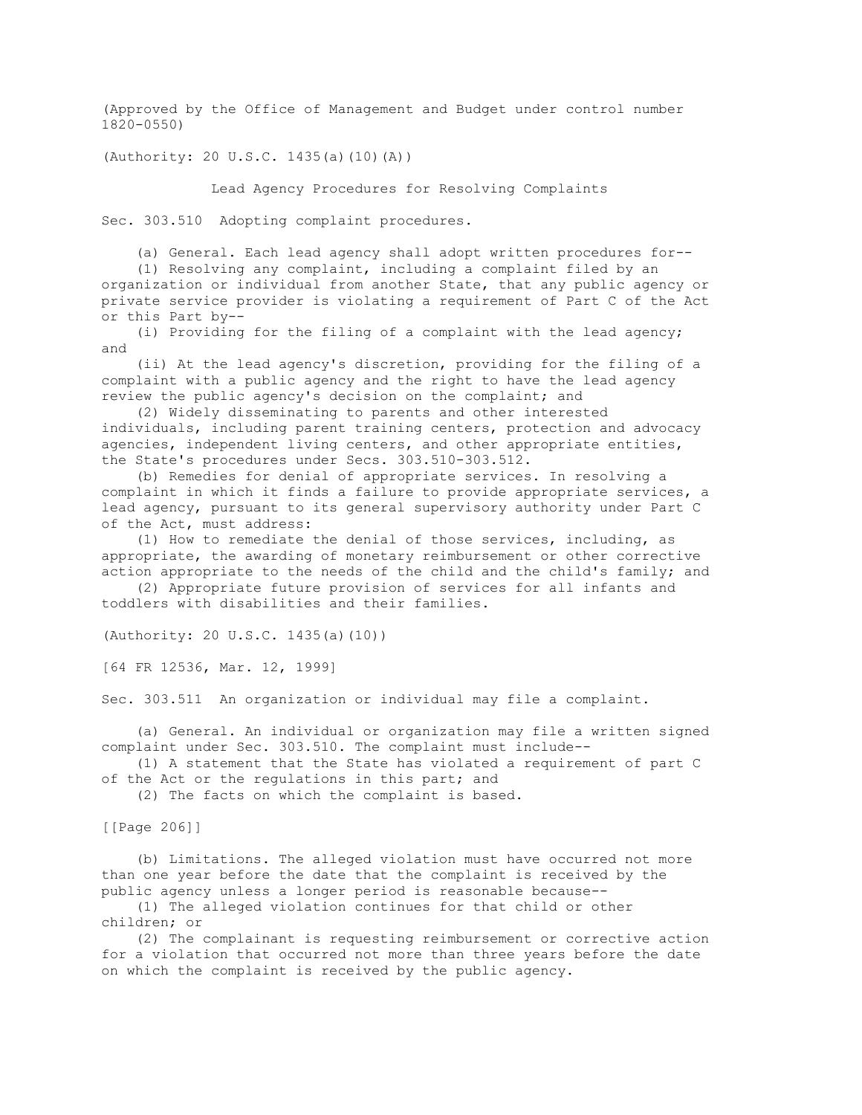(Approved by the Office of Management and Budget under control number 1820-0550)

(Authority: 20 U.S.C. 1435(a)(10)(A))

Lead Agency Procedures for Resolving Complaints

Sec. 303.510 Adopting complaint procedures.

(a) General. Each lead agency shall adopt written procedures for--

 (1) Resolving any complaint, including a complaint filed by an organization or individual from another State, that any public agency or private service provider is violating a requirement of Part C of the Act or this Part by--

 (i) Providing for the filing of a complaint with the lead agency; and

 (ii) At the lead agency's discretion, providing for the filing of a complaint with a public agency and the right to have the lead agency review the public agency's decision on the complaint; and

 (2) Widely disseminating to parents and other interested individuals, including parent training centers, protection and advocacy agencies, independent living centers, and other appropriate entities, the State's procedures under Secs. 303.510-303.512.

 (b) Remedies for denial of appropriate services. In resolving a complaint in which it finds a failure to provide appropriate services, a lead agency, pursuant to its general supervisory authority under Part C of the Act, must address:

 (1) How to remediate the denial of those services, including, as appropriate, the awarding of monetary reimbursement or other corrective action appropriate to the needs of the child and the child's family; and

 (2) Appropriate future provision of services for all infants and toddlers with disabilities and their families.

(Authority: 20 U.S.C. 1435(a)(10))

[64 FR 12536, Mar. 12, 1999]

Sec. 303.511 An organization or individual may file a complaint.

 (a) General. An individual or organization may file a written signed complaint under Sec. 303.510. The complaint must include--

 (1) A statement that the State has violated a requirement of part C of the Act or the regulations in this part; and

(2) The facts on which the complaint is based.

[[Page 206]]

 (b) Limitations. The alleged violation must have occurred not more than one year before the date that the complaint is received by the public agency unless a longer period is reasonable because--

 (1) The alleged violation continues for that child or other children; or

 (2) The complainant is requesting reimbursement or corrective action for a violation that occurred not more than three years before the date on which the complaint is received by the public agency.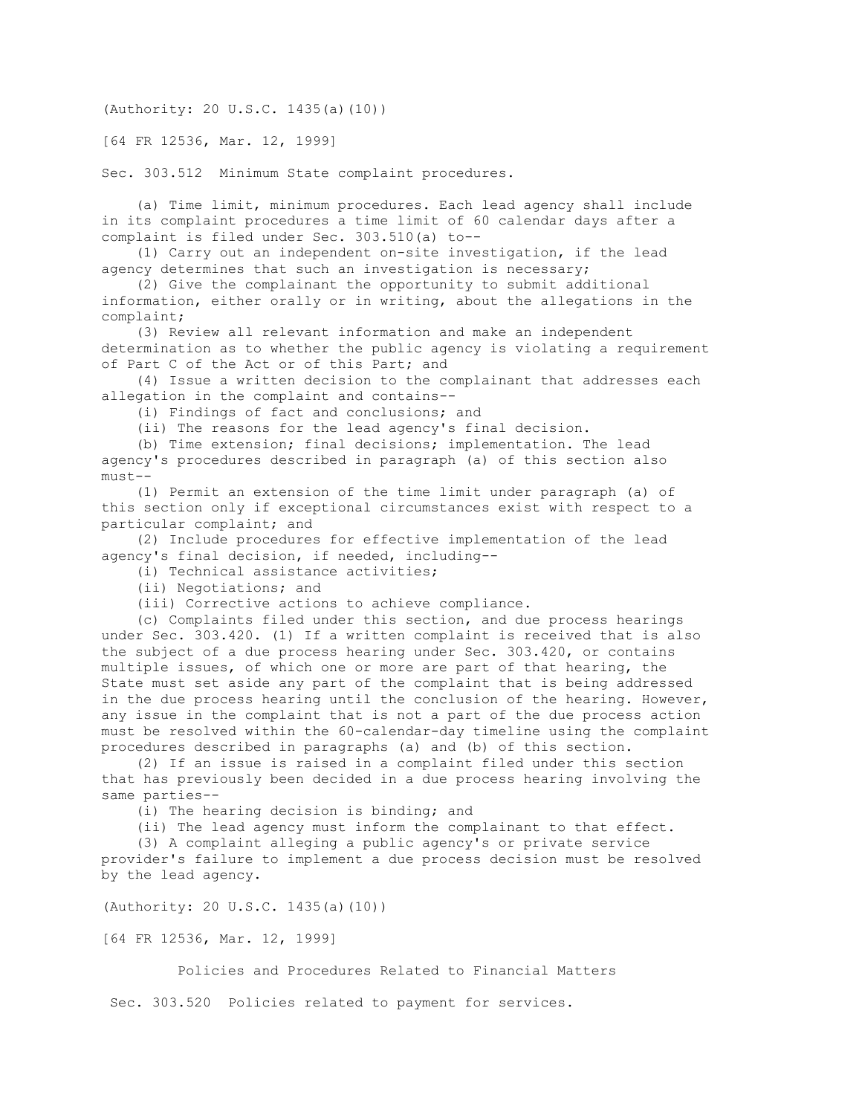(Authority: 20 U.S.C. 1435(a)(10))

[64 FR 12536, Mar. 12, 1999]

Sec. 303.512 Minimum State complaint procedures.

 (a) Time limit, minimum procedures. Each lead agency shall include in its complaint procedures a time limit of 60 calendar days after a complaint is filed under Sec. 303.510(a) to--

 (1) Carry out an independent on-site investigation, if the lead agency determines that such an investigation is necessary;

 (2) Give the complainant the opportunity to submit additional information, either orally or in writing, about the allegations in the complaint;

 (3) Review all relevant information and make an independent determination as to whether the public agency is violating a requirement of Part C of the Act or of this Part; and

 (4) Issue a written decision to the complainant that addresses each allegation in the complaint and contains--

(i) Findings of fact and conclusions; and

(ii) The reasons for the lead agency's final decision.

 (b) Time extension; final decisions; implementation. The lead agency's procedures described in paragraph (a) of this section also must--

 (1) Permit an extension of the time limit under paragraph (a) of this section only if exceptional circumstances exist with respect to a particular complaint; and

 (2) Include procedures for effective implementation of the lead agency's final decision, if needed, including--

(i) Technical assistance activities;

(ii) Negotiations; and

(iii) Corrective actions to achieve compliance.

 (c) Complaints filed under this section, and due process hearings under Sec. 303.420. (1) If a written complaint is received that is also the subject of a due process hearing under Sec. 303.420, or contains multiple issues, of which one or more are part of that hearing, the State must set aside any part of the complaint that is being addressed in the due process hearing until the conclusion of the hearing. However, any issue in the complaint that is not a part of the due process action must be resolved within the 60-calendar-day timeline using the complaint procedures described in paragraphs (a) and (b) of this section.

 (2) If an issue is raised in a complaint filed under this section that has previously been decided in a due process hearing involving the same parties--

(i) The hearing decision is binding; and

(ii) The lead agency must inform the complainant to that effect.

 (3) A complaint alleging a public agency's or private service provider's failure to implement a due process decision must be resolved by the lead agency.

(Authority: 20 U.S.C. 1435(a)(10))

[64 FR 12536, Mar. 12, 1999]

Policies and Procedures Related to Financial Matters

Sec. 303.520 Policies related to payment for services.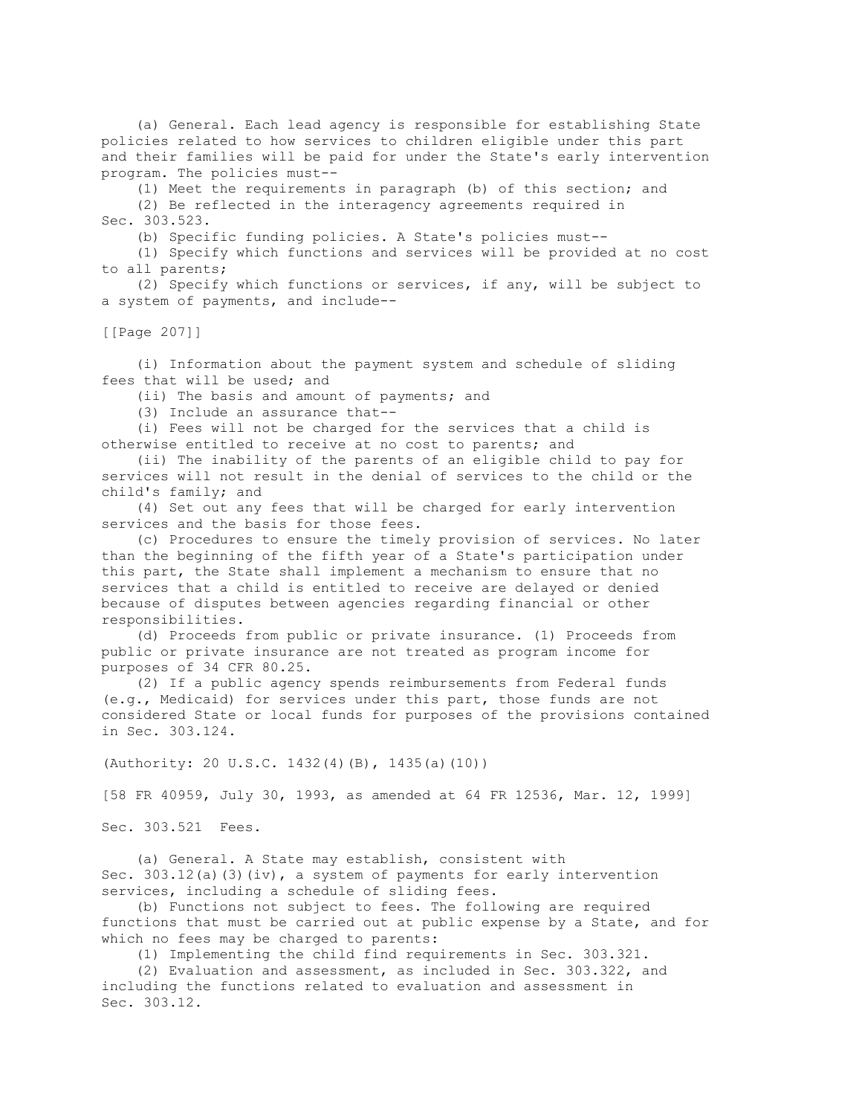(a) General. Each lead agency is responsible for establishing State policies related to how services to children eligible under this part and their families will be paid for under the State's early intervention program. The policies must--

 (1) Meet the requirements in paragraph (b) of this section; and (2) Be reflected in the interagency agreements required in Sec. 303.523.

(b) Specific funding policies. A State's policies must--

 (1) Specify which functions and services will be provided at no cost to all parents;

 (2) Specify which functions or services, if any, will be subject to a system of payments, and include--

[[Page 207]]

 (i) Information about the payment system and schedule of sliding fees that will be used; and

(ii) The basis and amount of payments; and

(3) Include an assurance that--

 (i) Fees will not be charged for the services that a child is otherwise entitled to receive at no cost to parents; and

 (ii) The inability of the parents of an eligible child to pay for services will not result in the denial of services to the child or the child's family; and

 (4) Set out any fees that will be charged for early intervention services and the basis for those fees.

 (c) Procedures to ensure the timely provision of services. No later than the beginning of the fifth year of a State's participation under this part, the State shall implement a mechanism to ensure that no services that a child is entitled to receive are delayed or denied because of disputes between agencies regarding financial or other responsibilities.

 (d) Proceeds from public or private insurance. (1) Proceeds from public or private insurance are not treated as program income for purposes of 34 CFR 80.25.

 (2) If a public agency spends reimbursements from Federal funds (e.g., Medicaid) for services under this part, those funds are not considered State or local funds for purposes of the provisions contained in Sec. 303.124.

(Authority: 20 U.S.C. 1432(4)(B), 1435(a)(10))

[58 FR 40959, July 30, 1993, as amended at 64 FR 12536, Mar. 12, 1999]

Sec. 303.521 Fees.

 (a) General. A State may establish, consistent with Sec. 303.12(a)(3)(iv), a system of payments for early intervention services, including a schedule of sliding fees.

 (b) Functions not subject to fees. The following are required functions that must be carried out at public expense by a State, and for which no fees may be charged to parents:

(1) Implementing the child find requirements in Sec. 303.321.

 (2) Evaluation and assessment, as included in Sec. 303.322, and including the functions related to evaluation and assessment in Sec. 303.12.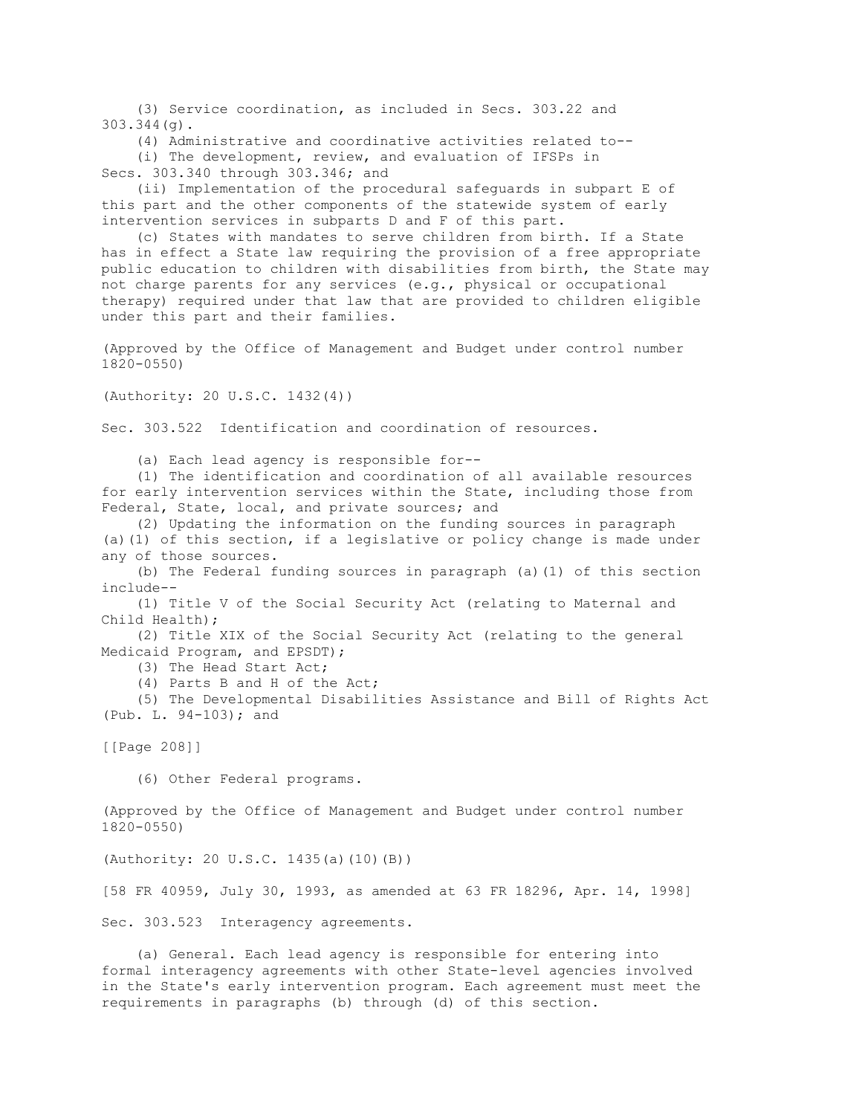(3) Service coordination, as included in Secs. 303.22 and 303.344(g).

(4) Administrative and coordinative activities related to--

 (i) The development, review, and evaluation of IFSPs in Secs. 303.340 through 303.346; and

 (ii) Implementation of the procedural safeguards in subpart E of this part and the other components of the statewide system of early intervention services in subparts D and F of this part.

 (c) States with mandates to serve children from birth. If a State has in effect a State law requiring the provision of a free appropriate public education to children with disabilities from birth, the State may not charge parents for any services (e.g., physical or occupational therapy) required under that law that are provided to children eligible under this part and their families.

(Approved by the Office of Management and Budget under control number 1820-0550)

(Authority: 20 U.S.C. 1432(4))

Sec. 303.522 Identification and coordination of resources.

(a) Each lead agency is responsible for--

 (1) The identification and coordination of all available resources for early intervention services within the State, including those from Federal, State, local, and private sources; and

 (2) Updating the information on the funding sources in paragraph (a)(1) of this section, if a legislative or policy change is made under any of those sources.

 (b) The Federal funding sources in paragraph (a)(1) of this section include--

 (1) Title V of the Social Security Act (relating to Maternal and Child Health);

 (2) Title XIX of the Social Security Act (relating to the general Medicaid Program, and EPSDT);

(3) The Head Start Act;

(4) Parts B and H of the Act;

 (5) The Developmental Disabilities Assistance and Bill of Rights Act (Pub. L. 94-103); and

[[Page 208]]

(6) Other Federal programs.

(Approved by the Office of Management and Budget under control number 1820-0550)

(Authority: 20 U.S.C. 1435(a)(10)(B))

[58 FR 40959, July 30, 1993, as amended at 63 FR 18296, Apr. 14, 1998]

Sec. 303.523 Interagency agreements.

 (a) General. Each lead agency is responsible for entering into formal interagency agreements with other State-level agencies involved in the State's early intervention program. Each agreement must meet the requirements in paragraphs (b) through (d) of this section.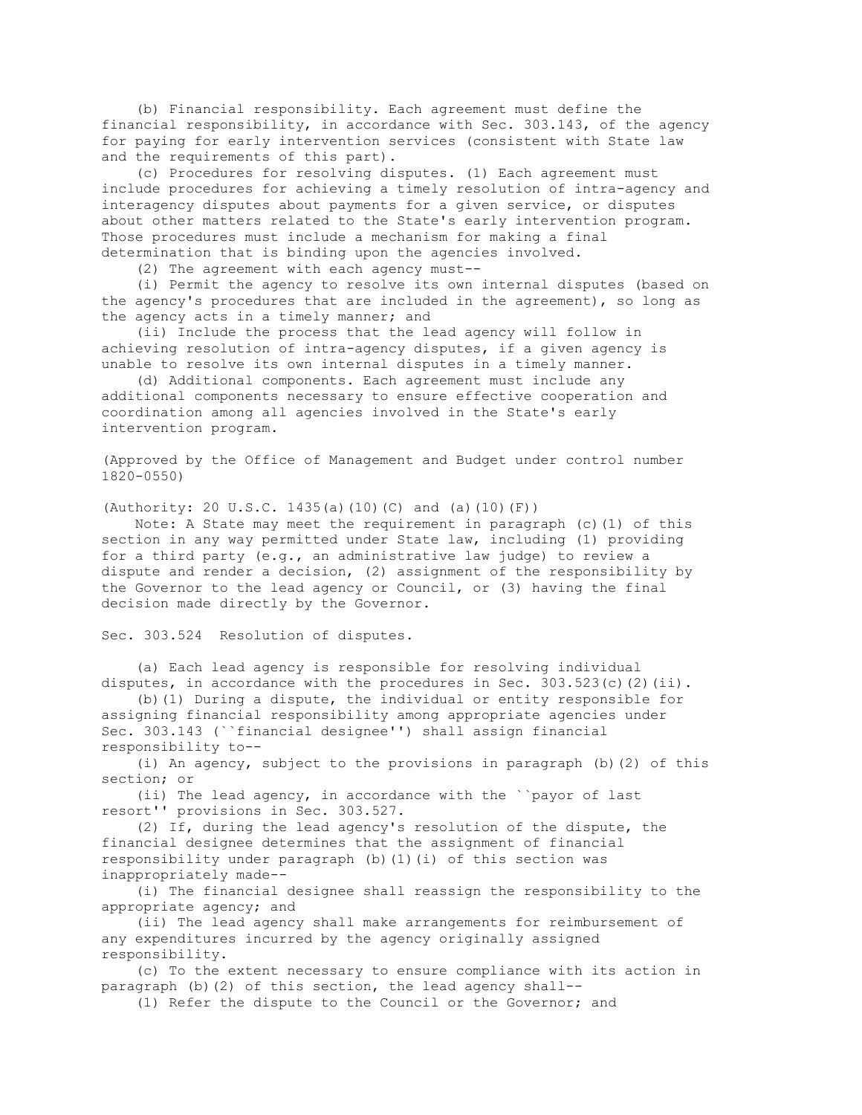(b) Financial responsibility. Each agreement must define the financial responsibility, in accordance with Sec. 303.143, of the agency for paying for early intervention services (consistent with State law and the requirements of this part).

 (c) Procedures for resolving disputes. (1) Each agreement must include procedures for achieving a timely resolution of intra-agency and interagency disputes about payments for a given service, or disputes about other matters related to the State's early intervention program. Those procedures must include a mechanism for making a final determination that is binding upon the agencies involved.

(2) The agreement with each agency must--

 (i) Permit the agency to resolve its own internal disputes (based on the agency's procedures that are included in the agreement), so long as the agency acts in a timely manner; and

 (ii) Include the process that the lead agency will follow in achieving resolution of intra-agency disputes, if a given agency is unable to resolve its own internal disputes in a timely manner.

 (d) Additional components. Each agreement must include any additional components necessary to ensure effective cooperation and coordination among all agencies involved in the State's early intervention program.

(Approved by the Office of Management and Budget under control number 1820-0550)

(Authority: 20 U.S.C. 1435(a)(10)(C) and (a)(10)(F))

 Note: A State may meet the requirement in paragraph (c)(1) of this section in any way permitted under State law, including (1) providing for a third party (e.g., an administrative law judge) to review a dispute and render a decision, (2) assignment of the responsibility by the Governor to the lead agency or Council, or (3) having the final decision made directly by the Governor.

Sec. 303.524 Resolution of disputes.

 (a) Each lead agency is responsible for resolving individual disputes, in accordance with the procedures in Sec.  $303.523(c)(2)(ii)$ .

 (b)(1) During a dispute, the individual or entity responsible for assigning financial responsibility among appropriate agencies under Sec. 303.143 (``financial designee'') shall assign financial responsibility to--

 (i) An agency, subject to the provisions in paragraph (b)(2) of this section; or

 (ii) The lead agency, in accordance with the ``payor of last resort'' provisions in Sec. 303.527.

 (2) If, during the lead agency's resolution of the dispute, the financial designee determines that the assignment of financial responsibility under paragraph (b)(1)(i) of this section was inappropriately made--

 (i) The financial designee shall reassign the responsibility to the appropriate agency; and

 (ii) The lead agency shall make arrangements for reimbursement of any expenditures incurred by the agency originally assigned responsibility.

 (c) To the extent necessary to ensure compliance with its action in paragraph (b)(2) of this section, the lead agency shall--

(1) Refer the dispute to the Council or the Governor; and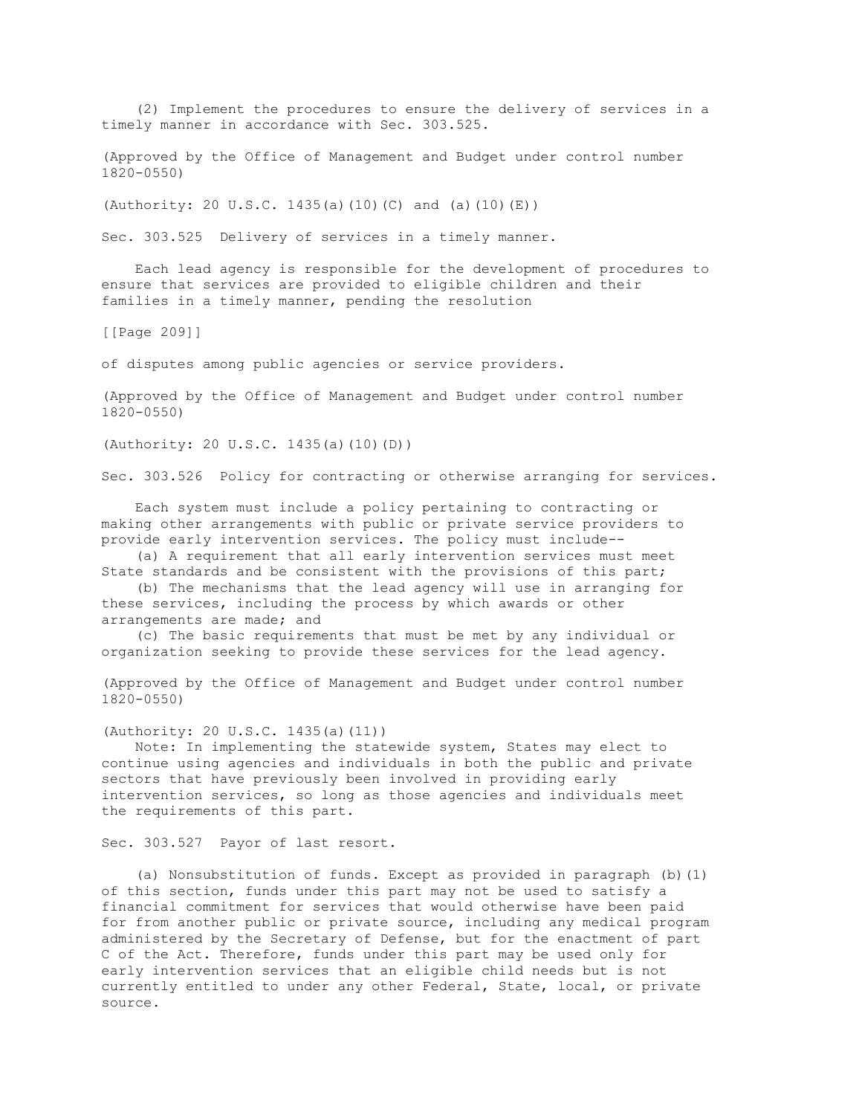(2) Implement the procedures to ensure the delivery of services in a timely manner in accordance with Sec. 303.525.

(Approved by the Office of Management and Budget under control number 1820-0550)

(Authority: 20 U.S.C. 1435(a)(10)(C) and (a)(10)(E))

Sec. 303.525 Delivery of services in a timely manner.

 Each lead agency is responsible for the development of procedures to ensure that services are provided to eligible children and their families in a timely manner, pending the resolution

[[Page 209]]

of disputes among public agencies or service providers.

(Approved by the Office of Management and Budget under control number 1820-0550)

(Authority: 20 U.S.C. 1435(a)(10)(D))

Sec. 303.526 Policy for contracting or otherwise arranging for services.

 Each system must include a policy pertaining to contracting or making other arrangements with public or private service providers to provide early intervention services. The policy must include--

 (a) A requirement that all early intervention services must meet State standards and be consistent with the provisions of this part;

 (b) The mechanisms that the lead agency will use in arranging for these services, including the process by which awards or other arrangements are made; and

 (c) The basic requirements that must be met by any individual or organization seeking to provide these services for the lead agency.

(Approved by the Office of Management and Budget under control number 1820-0550)

#### (Authority: 20 U.S.C. 1435(a)(11))

 Note: In implementing the statewide system, States may elect to continue using agencies and individuals in both the public and private sectors that have previously been involved in providing early intervention services, so long as those agencies and individuals meet the requirements of this part.

Sec. 303.527 Payor of last resort.

 (a) Nonsubstitution of funds. Except as provided in paragraph (b)(1) of this section, funds under this part may not be used to satisfy a financial commitment for services that would otherwise have been paid for from another public or private source, including any medical program administered by the Secretary of Defense, but for the enactment of part C of the Act. Therefore, funds under this part may be used only for early intervention services that an eligible child needs but is not currently entitled to under any other Federal, State, local, or private source.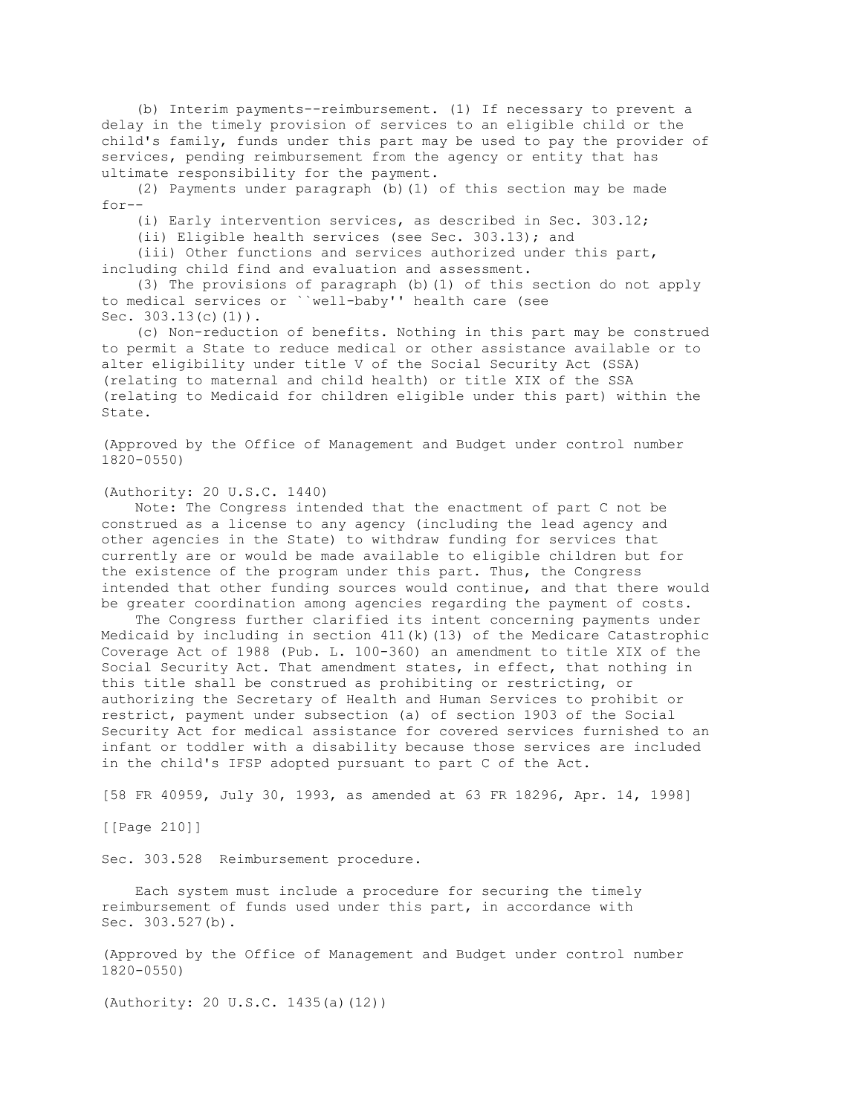(b) Interim payments--reimbursement. (1) If necessary to prevent a delay in the timely provision of services to an eligible child or the child's family, funds under this part may be used to pay the provider of services, pending reimbursement from the agency or entity that has ultimate responsibility for the payment.

 (2) Payments under paragraph (b)(1) of this section may be made for--

(i) Early intervention services, as described in Sec. 303.12;

(ii) Eligible health services (see Sec. 303.13); and

 (iii) Other functions and services authorized under this part, including child find and evaluation and assessment.

 (3) The provisions of paragraph (b)(1) of this section do not apply to medical services or ``well-baby'' health care (see Sec. 303.13(c)(1)).

 (c) Non-reduction of benefits. Nothing in this part may be construed to permit a State to reduce medical or other assistance available or to alter eligibility under title V of the Social Security Act (SSA) (relating to maternal and child health) or title XIX of the SSA (relating to Medicaid for children eligible under this part) within the State.

(Approved by the Office of Management and Budget under control number 1820-0550)

### (Authority: 20 U.S.C. 1440)

 Note: The Congress intended that the enactment of part C not be construed as a license to any agency (including the lead agency and other agencies in the State) to withdraw funding for services that currently are or would be made available to eligible children but for the existence of the program under this part. Thus, the Congress intended that other funding sources would continue, and that there would be greater coordination among agencies regarding the payment of costs.

 The Congress further clarified its intent concerning payments under Medicaid by including in section  $411(k)(13)$  of the Medicare Catastrophic Coverage Act of 1988 (Pub. L. 100-360) an amendment to title XIX of the Social Security Act. That amendment states, in effect, that nothing in this title shall be construed as prohibiting or restricting, or authorizing the Secretary of Health and Human Services to prohibit or restrict, payment under subsection (a) of section 1903 of the Social Security Act for medical assistance for covered services furnished to an infant or toddler with a disability because those services are included in the child's IFSP adopted pursuant to part C of the Act.

[58 FR 40959, July 30, 1993, as amended at 63 FR 18296, Apr. 14, 1998]

[[Page 210]]

Sec. 303.528 Reimbursement procedure.

 Each system must include a procedure for securing the timely reimbursement of funds used under this part, in accordance with Sec. 303.527(b).

(Approved by the Office of Management and Budget under control number 1820-0550)

(Authority: 20 U.S.C. 1435(a)(12))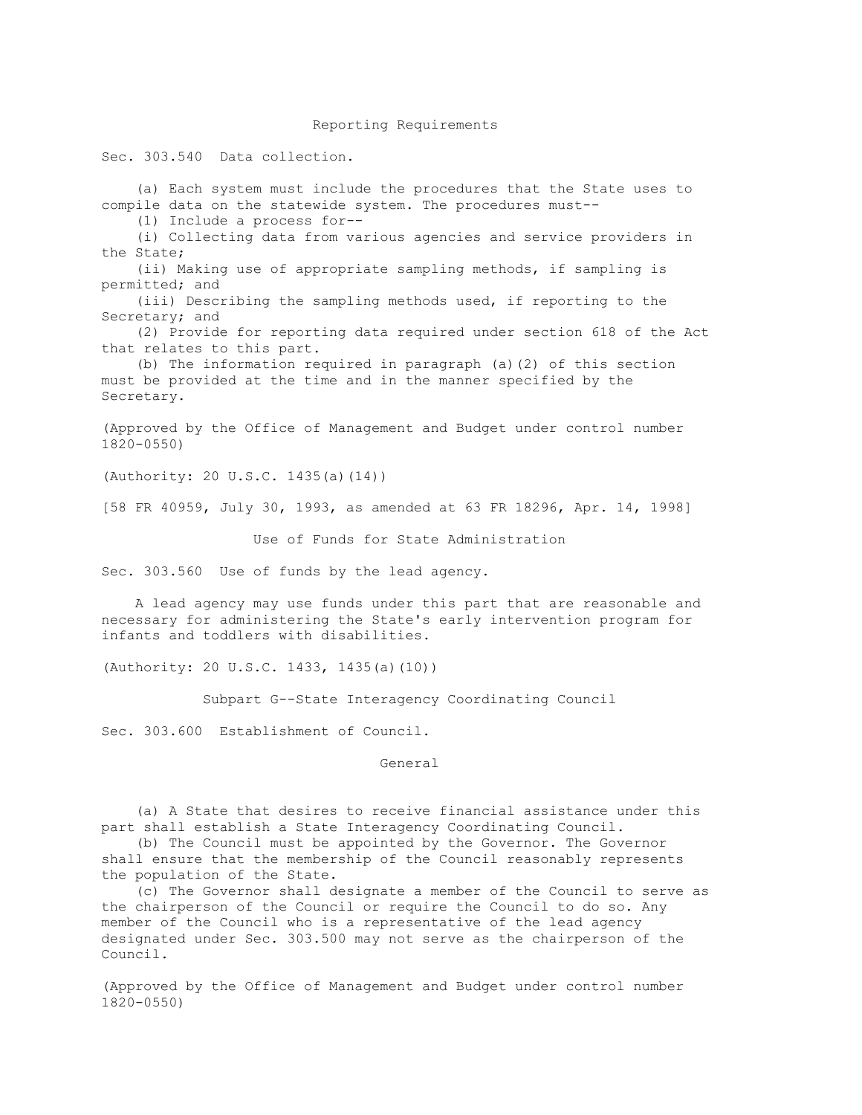# Reporting Requirements

Sec. 303.540 Data collection. (a) Each system must include the procedures that the State uses to compile data on the statewide system. The procedures must-- (1) Include a process for-- (i) Collecting data from various agencies and service providers in the State; (ii) Making use of appropriate sampling methods, if sampling is permitted; and (iii) Describing the sampling methods used, if reporting to the Secretary; and (2) Provide for reporting data required under section 618 of the Act that relates to this part. (b) The information required in paragraph (a)(2) of this section must be provided at the time and in the manner specified by the Secretary. (Approved by the Office of Management and Budget under control number 1820-0550) (Authority: 20 U.S.C. 1435(a)(14))

[58 FR 40959, July 30, 1993, as amended at 63 FR 18296, Apr. 14, 1998]

Use of Funds for State Administration

Sec. 303.560 Use of funds by the lead agency.

 A lead agency may use funds under this part that are reasonable and necessary for administering the State's early intervention program for infants and toddlers with disabilities.

(Authority: 20 U.S.C. 1433, 1435(a)(10))

Subpart G--State Interagency Coordinating Council

Sec. 303.600 Establishment of Council.

General

 (a) A State that desires to receive financial assistance under this part shall establish a State Interagency Coordinating Council.

 (b) The Council must be appointed by the Governor. The Governor shall ensure that the membership of the Council reasonably represents the population of the State.

 (c) The Governor shall designate a member of the Council to serve as the chairperson of the Council or require the Council to do so. Any member of the Council who is a representative of the lead agency designated under Sec. 303.500 may not serve as the chairperson of the Council.

(Approved by the Office of Management and Budget under control number 1820-0550)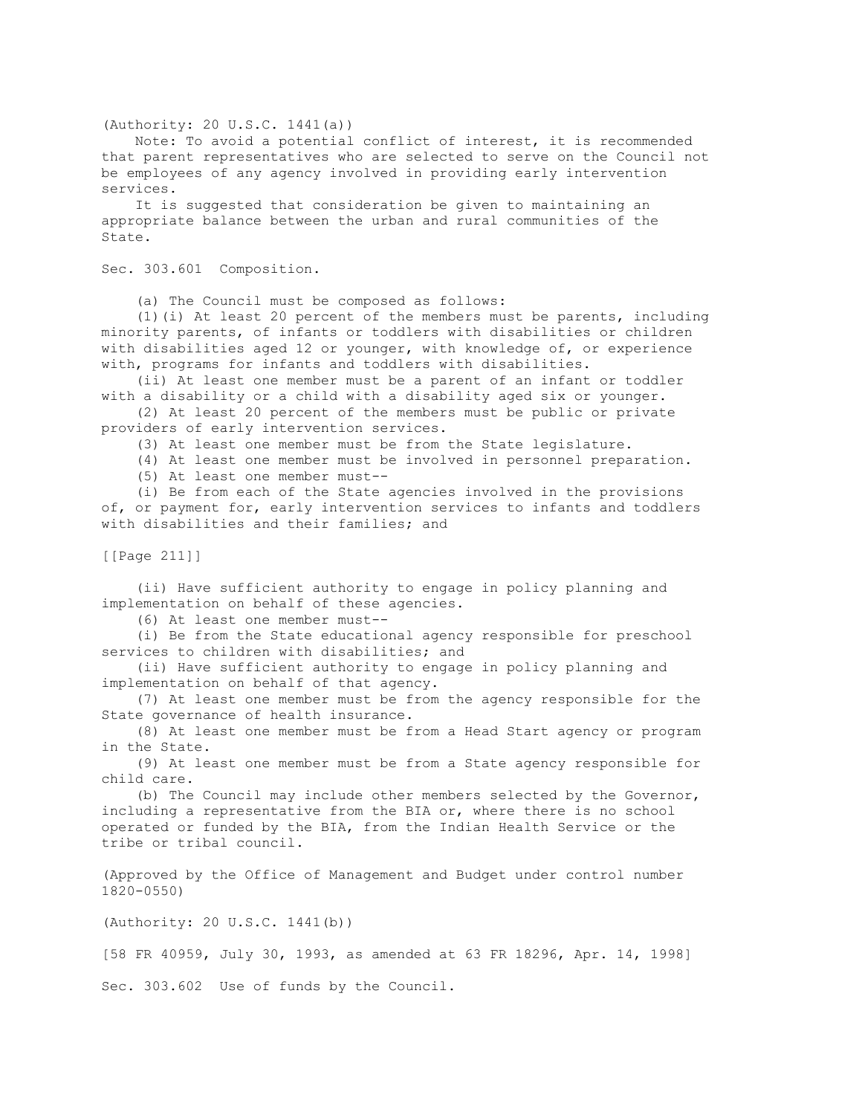(Authority: 20 U.S.C. 1441(a))

 Note: To avoid a potential conflict of interest, it is recommended that parent representatives who are selected to serve on the Council not be employees of any agency involved in providing early intervention services.

 It is suggested that consideration be given to maintaining an appropriate balance between the urban and rural communities of the State.

Sec. 303.601 Composition.

(a) The Council must be composed as follows:

 (1)(i) At least 20 percent of the members must be parents, including minority parents, of infants or toddlers with disabilities or children with disabilities aged 12 or younger, with knowledge of, or experience with, programs for infants and toddlers with disabilities.

 (ii) At least one member must be a parent of an infant or toddler with a disability or a child with a disability aged six or younger.

 (2) At least 20 percent of the members must be public or private providers of early intervention services.

(3) At least one member must be from the State legislature.

(4) At least one member must be involved in personnel preparation.

(5) At least one member must--

 (i) Be from each of the State agencies involved in the provisions of, or payment for, early intervention services to infants and toddlers with disabilities and their families; and

[[Page 211]]

 (ii) Have sufficient authority to engage in policy planning and implementation on behalf of these agencies.

(6) At least one member must--

 (i) Be from the State educational agency responsible for preschool services to children with disabilities; and

 (ii) Have sufficient authority to engage in policy planning and implementation on behalf of that agency.

 (7) At least one member must be from the agency responsible for the State governance of health insurance.

 (8) At least one member must be from a Head Start agency or program in the State.

 (9) At least one member must be from a State agency responsible for child care.

 (b) The Council may include other members selected by the Governor, including a representative from the BIA or, where there is no school operated or funded by the BIA, from the Indian Health Service or the tribe or tribal council.

(Approved by the Office of Management and Budget under control number 1820-0550)

(Authority: 20 U.S.C. 1441(b))

[58 FR 40959, July 30, 1993, as amended at 63 FR 18296, Apr. 14, 1998]

Sec. 303.602 Use of funds by the Council.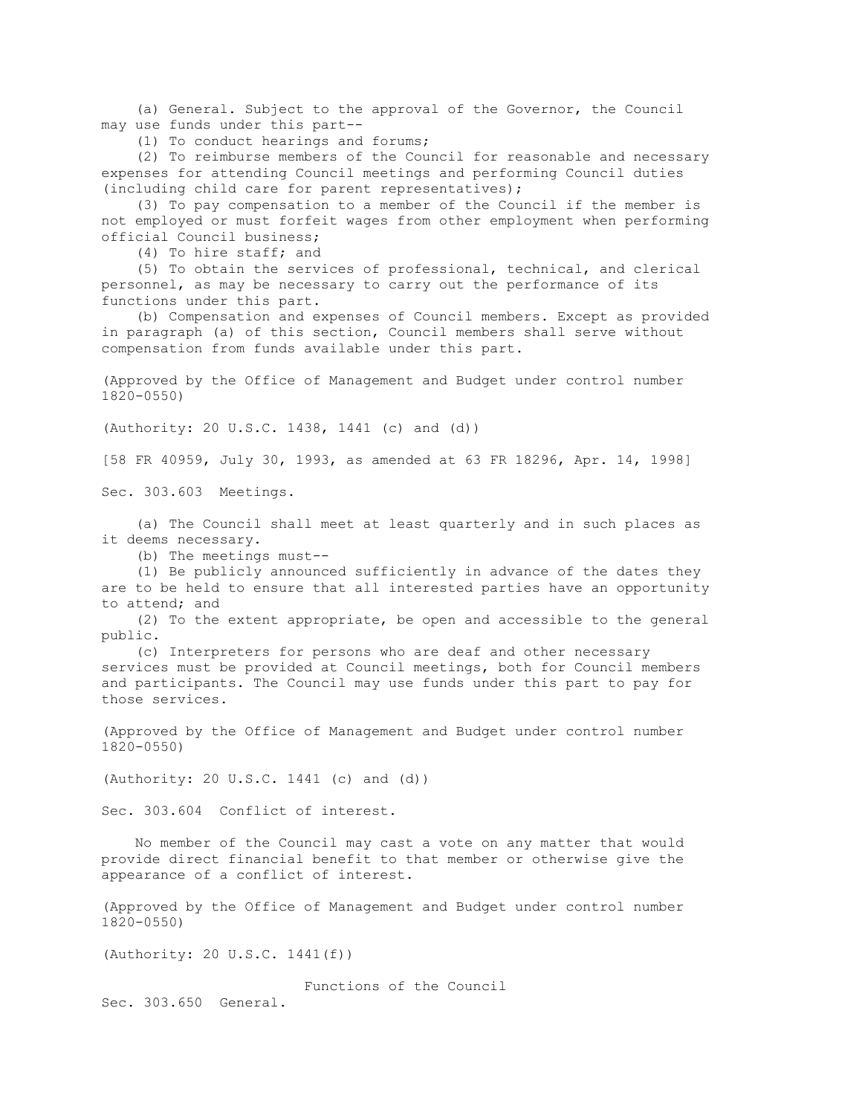(a) General. Subject to the approval of the Governor, the Council may use funds under this part--

(1) To conduct hearings and forums;

 (2) To reimburse members of the Council for reasonable and necessary expenses for attending Council meetings and performing Council duties (including child care for parent representatives);

 (3) To pay compensation to a member of the Council if the member is not employed or must forfeit wages from other employment when performing official Council business;

(4) To hire staff; and

 (5) To obtain the services of professional, technical, and clerical personnel, as may be necessary to carry out the performance of its functions under this part.

 (b) Compensation and expenses of Council members. Except as provided in paragraph (a) of this section, Council members shall serve without compensation from funds available under this part.

(Approved by the Office of Management and Budget under control number 1820-0550)

(Authority: 20 U.S.C. 1438, 1441 (c) and (d))

[58 FR 40959, July 30, 1993, as amended at 63 FR 18296, Apr. 14, 1998]

Sec. 303.603 Meetings.

 (a) The Council shall meet at least quarterly and in such places as it deems necessary.

(b) The meetings must--

 (1) Be publicly announced sufficiently in advance of the dates they are to be held to ensure that all interested parties have an opportunity to attend; and

 (2) To the extent appropriate, be open and accessible to the general public.

 (c) Interpreters for persons who are deaf and other necessary services must be provided at Council meetings, both for Council members and participants. The Council may use funds under this part to pay for those services.

(Approved by the Office of Management and Budget under control number 1820-0550)

(Authority: 20 U.S.C. 1441 (c) and (d))

Sec. 303.604 Conflict of interest.

 No member of the Council may cast a vote on any matter that would provide direct financial benefit to that member or otherwise give the appearance of a conflict of interest.

(Approved by the Office of Management and Budget under control number 1820-0550)

(Authority: 20 U.S.C. 1441(f))

Functions of the Council

Sec. 303.650 General.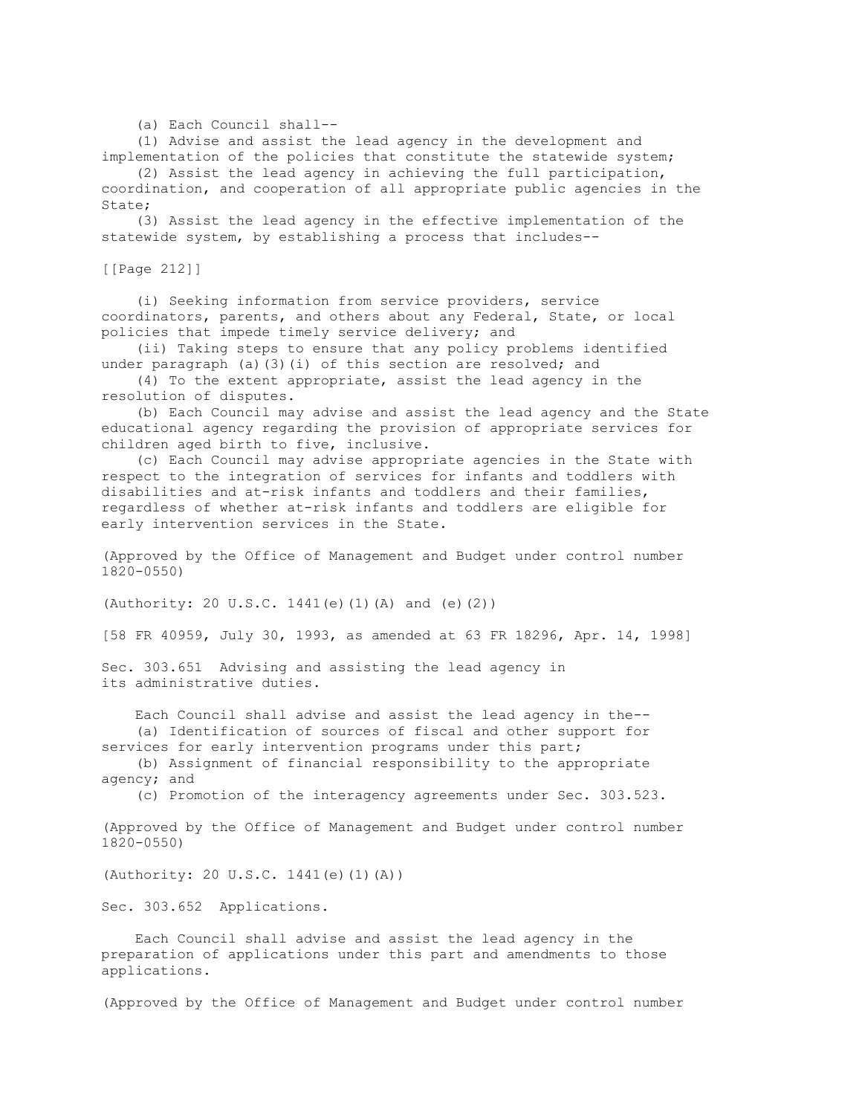(a) Each Council shall--

 (1) Advise and assist the lead agency in the development and implementation of the policies that constitute the statewide system;

 (2) Assist the lead agency in achieving the full participation, coordination, and cooperation of all appropriate public agencies in the State;

 (3) Assist the lead agency in the effective implementation of the statewide system, by establishing a process that includes--

[[Page 212]]

 (i) Seeking information from service providers, service coordinators, parents, and others about any Federal, State, or local policies that impede timely service delivery; and

 (ii) Taking steps to ensure that any policy problems identified under paragraph (a)(3)(i) of this section are resolved; and

 (4) To the extent appropriate, assist the lead agency in the resolution of disputes.

 (b) Each Council may advise and assist the lead agency and the State educational agency regarding the provision of appropriate services for children aged birth to five, inclusive.

 (c) Each Council may advise appropriate agencies in the State with respect to the integration of services for infants and toddlers with disabilities and at-risk infants and toddlers and their families, regardless of whether at-risk infants and toddlers are eligible for early intervention services in the State.

(Approved by the Office of Management and Budget under control number 1820-0550)

(Authority: 20 U.S.C. 1441(e)(1)(A) and (e)(2))

[58 FR 40959, July 30, 1993, as amended at 63 FR 18296, Apr. 14, 1998]

Sec. 303.651 Advising and assisting the lead agency in its administrative duties.

 Each Council shall advise and assist the lead agency in the-- (a) Identification of sources of fiscal and other support for services for early intervention programs under this part;

 (b) Assignment of financial responsibility to the appropriate agency; and

(c) Promotion of the interagency agreements under Sec. 303.523.

(Approved by the Office of Management and Budget under control number 1820-0550)

(Authority: 20 U.S.C. 1441(e)(1)(A))

Sec. 303.652 Applications.

 Each Council shall advise and assist the lead agency in the preparation of applications under this part and amendments to those applications.

(Approved by the Office of Management and Budget under control number